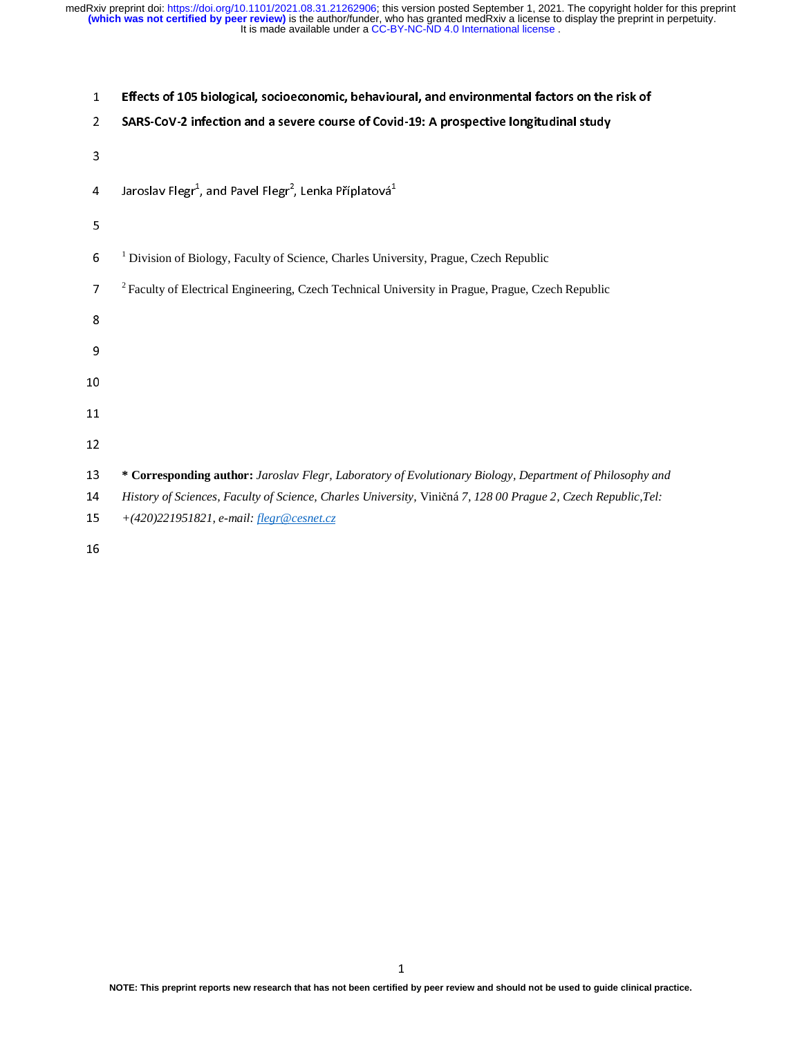| $\mathbf{1}$            | Effects of 105 biological, socioeconomic, behavioural, and environmental factors on the risk of                                                           |
|-------------------------|-----------------------------------------------------------------------------------------------------------------------------------------------------------|
| $\overline{a}$          | SARS-CoV-2 infection and a severe course of Covid-19: A prospective longitudinal study                                                                    |
| 3                       |                                                                                                                                                           |
| $\overline{\mathbf{4}}$ | Jaroslav Flegr <sup>1</sup> , and Pavel Flegr <sup>2</sup> , Lenka Příplatová <sup>1</sup>                                                                |
| 5                       |                                                                                                                                                           |
| 6                       | <sup>1</sup> Division of Biology, Faculty of Science, Charles University, Prague, Czech Republic                                                          |
| $\overline{7}$          | <sup>2</sup> Faculty of Electrical Engineering, Czech Technical University in Prague, Prague, Czech Republic                                              |
| 8                       |                                                                                                                                                           |
| 9                       |                                                                                                                                                           |
| 10                      |                                                                                                                                                           |
| 11                      |                                                                                                                                                           |
| 12                      |                                                                                                                                                           |
| 13                      | * Corresponding author: Jaroslav Flegr, Laboratory of Evolutionary Biology, Department of Philosophy and                                                  |
| 14<br>15                | History of Sciences, Faculty of Science, Charles University, Viničná 7, 128 00 Prague 2, Czech Republic, Tel:<br>+(420)221951821, e-mail: flegr@cesnet.cz |
| 16                      |                                                                                                                                                           |
|                         |                                                                                                                                                           |
|                         |                                                                                                                                                           |
|                         |                                                                                                                                                           |
|                         |                                                                                                                                                           |
|                         |                                                                                                                                                           |
|                         |                                                                                                                                                           |
|                         |                                                                                                                                                           |
|                         |                                                                                                                                                           |
|                         |                                                                                                                                                           |
|                         |                                                                                                                                                           |
|                         |                                                                                                                                                           |
|                         |                                                                                                                                                           |
|                         |                                                                                                                                                           |
|                         | 1<br>NOTE: This preprint reports new research that has not been certified by peer review and should not be used to guide clinical prac                    |
|                         |                                                                                                                                                           |
|                         |                                                                                                                                                           |
|                         |                                                                                                                                                           |
|                         |                                                                                                                                                           |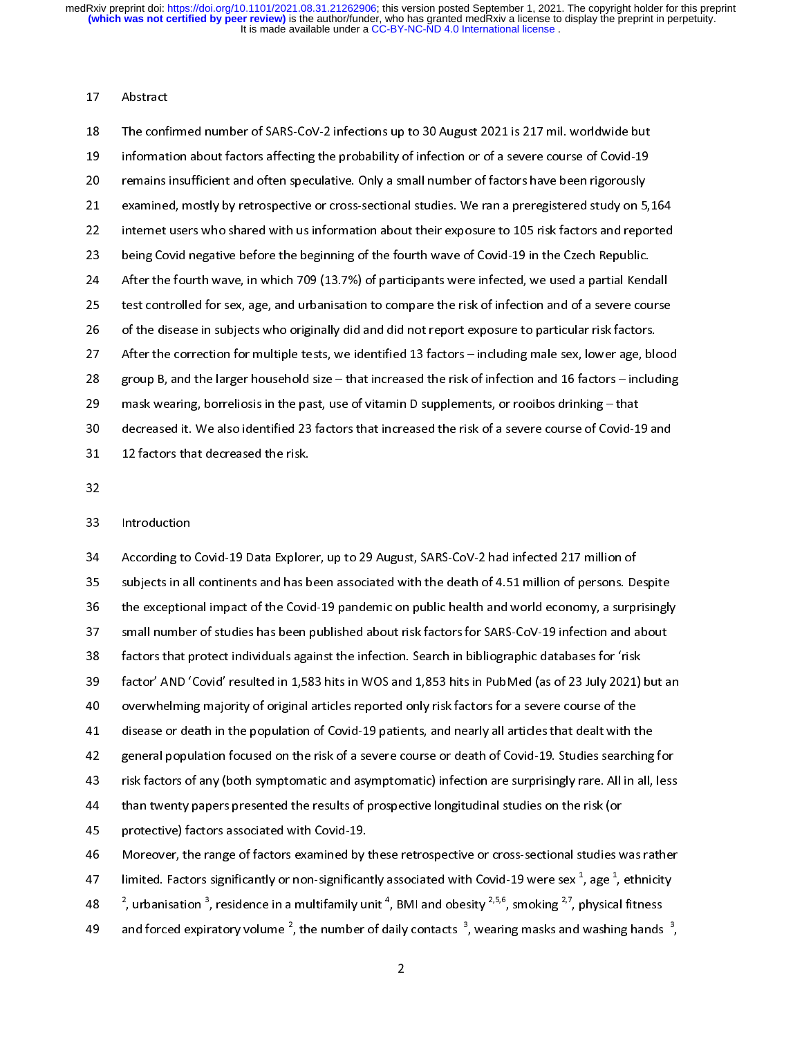# 17 Abstract

18 The confi<br>
19 Informati<br>
20 remains<br>
21 examine<br>
22 Internet<br>
23 being Cov<br>
24 After the<br>
25 test cont<br>
26 of the dis<br>
27 After the<br>
28 group B,<br>
29 mask we<br>
30 decrease<br>
31 12 factor<br>
32 Introduct<br>
32 S3 Introduct<br>
35 19 Information about factors affecting the probability of infection or of a severe course of Covid-19<br>19 The confirmed and the speculative. Only a small number of factors have been rigorously<br>1921 Examined, mostly by retro 19 remains insufficient and often speculative. Only a small number of factors have been rigorously<br>
21 examined, mostly by retrospective or cross-sectional studies. We can a preregistered study on 5,<br>
22 internet users who 21 examined, mostly by retrospective or cross-sectional studies. We ran a preregistered study on 5<br>
22 internet users who shared with us information about their exposure to 105 risk factors and repo<br>
22 being Covid negati 22 internet users who shared with us information about the resposure to 105 risk factors and reported<br>
23 benefit the fourth wave, in which 709 (13.7%) of participants were infected, we used a partial Kendall<br>
24 After th

being Covid negative before the beginning of the fourth wave of Covid-19 in the Czech Republic.<br>
24 After the fourth wave, in which 709 (13.7%) of participants were infected, we used a partial Kendall<br>
25 test controlled 24 After the fourth wave, in which 709 (13.7%) of participants were infected, we used a partial Kent test controlled for sex, age, and urbanisation to compare the risk of infection and of a severe court of the disease in s 25 test controlled for sex, age, and urbanisation to compare the risk of infection and of a severe course<br>of the disease in subjects who originally did and dd not report exposure to particular risk factors.<br>After the corre 26 of the disease in subjects who originally did and dd not report exposure to particular risk factors.<br>
26 after the correction for multiple tests, we identified 13 factors – including male sex, lower age, blood<br>
28 grou 27 After the correction for multiple tests, we identified 13 factors – including male sex, lower age, biased in the disease in subjects who originally diseased the risk of infection and 16 factors – included make wearing, 28 group B, and the larger household size – that increased the risk of infection and 16 factors – including<br>
29 anot Wester the corrections in the past, use of vitamin D supplements, or rootbos dinking – that<br>
32 decrease 29 mask wearing, borrel osis in the past, use of vitamin D supplements, or roobos drinking – that<br>28 mask wearing, borrel osis in the past, use of vitamin D supplements, or roobos drinking – that<br>28 decreased it. We also 29 decreased it. We also identified 23 factors that increased the risk of a severe course of Covid-1<br>
22 decreased it. We also identified 23 factors that increased the risk of a severe course of Covid-1<br>
22 Introduction<br> 32 12 factors that decreased the risk.<br>
32 Introduction<br>
33 decreased it in this Explorer, up to 29 August, SARS-CoV-2 had infected 217 million of<br>
40 subjects in all continents and has been associated with the death of 4 32<br>
33 Introduction<br>
34 According to Covid-19 Data Explore<br>
35 subjects in all continents and has b<br>
36 the exceptional impact of the Covid<br>
37 small number of studies has been<br>
53 factors that protect individuals aga<br>
39 32 34 According to<br>35 subjects in al<br>36 the exceptior<br>37 small numbe<br>40 factors that p<br>40 overwhelmin<br>41 disease or de<br>42 general popu<br>43 risk factors o'<br>44 than twenty<br>45 protective) fa<br>5 Moreover, th<br>47 limited. Facto<br>48 <sup>2</sup> 35 subjects in all continents and has been associated with the death of 4.51 million of persons. Dubit exceptional impact of the Covid-19 pandemic on public health and world economy, a surprovident and and more of studies 35 the exceptional impact of the Covid-19 pandemic on public health and world economy, a surprisingly small number of studies has been published about risk factors for SARS-CoV-19 infection and about factors that protect 37 small number of studies has been published about risk factors for SARS-CoV-19 infection and about<br>58 factors that protect individuals against the infection. Search in bibliographic databases for 'risk<br>59 factor' AND 'C 37 stators that protect individuals against the infection. Search in bibliographic databases for 'risk<br>52 factor' AND 'Covid' resulted in 1,583 hits in WOS and 1,853 hits in PubMed (as of 23 July 2021) but overwhelming ma 33 factor' AND 'Covid' resulted in 1,583 hits in WOS and 1,853 hits in PubMed (as of 23 July 2021)<br>33 factor' AND 'Covid' resulted in 1,583 hits in WOS and 1,853 hits in PubMed (as of 23 July 2021)<br>34 overwhelming majorit 39 overwhelming majority of original articles reported only risk factors for a severe course of the<br>disease or death in the population of Covid-19 patients, and nearly all articles that dealt with the<br>general population f disease or death in the population of Covid-19 patients, and nearly all articles that dealt with t<br>general population focused on the risk of a severe course or death of Covid-19. Studies searchi<br>risk factors of any (both 42 disease or death in the population focused on the risk of a severe course or death of Covid-19. Studies searching<br>43 risk factors of any (both symptomatic and asymptomatic) infection are surprisingly rare. All in all,<br> examples and the results of prospective longitudinal studies on the risk (or<br>the risk factors of any (both symptomatic and asymptomatic) infection are surprisingly rare. All in all, less<br>than twenty papers presented the r than twenty papers presented the results of prospective longitudinal studies on the risk (or<br>
protective) factors associated with Covid-19.<br>
Moreover, the range of factors examined by these retrospective or cross-sectiona 45 protective) factors associated with Covid-19.<br>
46 Moreover, the range of factors examined by these retrospective or cross-sectional studies v<br>
47 limited. Factors significantly or non-significantly associated with Covi Moreover, the range of factors examined by limited. Factors significantly or non-significan<br>48  $\frac{2}{7}$ , urbanisation  $\frac{3}{7}$ , residence in a multifamily un and forced expiratory volume  $\frac{2}{7}$ , the number of 47 limited. Factors significantly or non-significantly associated with Covid-19 were sex<sup>-1</sup>, age<sup>-1</sup>, ethnicity<br><sup>2</sup>, urbanisation<sup>-3</sup>, residence in a multifamily unit<sup>4</sup>, BMI and obesity <sup>2,5,6</sup>, smoking <sup>2,7</sup>, physical limited. Factors significantly or non-significantly associated with Covid-19 were sex  $^2$ , urbanisation  $^3$ , residence in a multifamily unit  $^4$ , BMI and obesity  $^{2,5,6}$ , smoking  $^{2,7}$ , pand forced expiratory volum 47 limited. Factors significantly or non-significantly associated with Covid-19 were sex<sup>+</sup>, age<sup>+</sup>, ethnicity<br>48 <sup>2</sup>, urbanisation <sup>3</sup>, residence in a multifamily unit <sup>4</sup>, BMI and obesity <sup>2,5,6</sup>, smoking <sup>2,7</sup>, physica <sup>2</sup>, urbanisation <sup>3</sup>, residence in a multifamily unit <sup>4</sup>, BMI and obesity <sup>2,5,6</sup>, smoking <sup>2,7</sup>, physical fitness , urbanisation 3 , residence in a multifamily unit  $\tau$ <br>atory volume <sup>2</sup>, the number of derivation 48  $\rightarrow$  , urbanisation  $\rightarrow$  residence in a multifamily unit  $\rightarrow$  BMI and obesity  $\rightarrow$   $\rightarrow$ , smoking  $\rightarrow$ , physical fitness<br>and forced expiratory volume <sup>2</sup>, the number of daily contacts <sup>3</sup>, wearing masks and washing hand and forced expiratory volume and forced expiratory volume <sup>2</sup>, the number of daily contacts  $\frac{3}{2}$ , wearing masks and washing hands  $\frac{3}{2}$ , , the number of daily contacts  $\frac{3}{2}$ and forced expiratory volume  $\frac{2}{3}$ , the number of daily contacts  $\frac{3}{2}$ , wearing masks and washing hands  $\frac{3}{2}$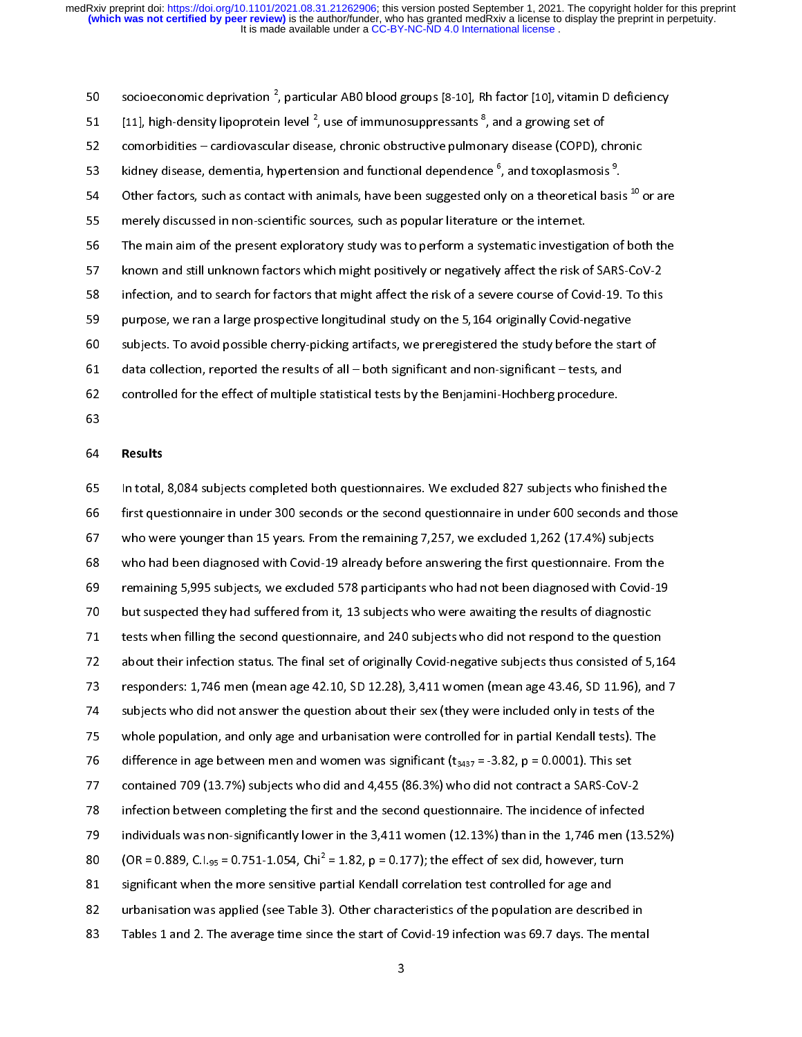socioeconomic deprivation<br>[11], high-density lipoprotei<br>comorbidities – cardiovascu<br>kidney disease, dementia, h<br>Other factors, such as conta<br>merely discussed in non-scion<br>The main aim of the presen<br>known and still unknown socioeconomic deprivation <sup>2</sup>, particular ABO blood groups [8-10]. Rh factor [10], vitamin D deficiency oution the controlline the method in the method in the method groups (see of minimal presents<sup>8</sup>, and a growing set of controllines - card dovastular disease, chronic obstructive pulmonary disease (COPD), chronic kdnee di [11], high-density lipoprotein level<sup>2</sup><br>comorbidities – cardiovascular disea<br>kidney disease, dementia, hyperten<br>Other factors, such as contact with i<br>merely discussed in non-scientific sc<br>The main aim of the present explor 131, high-density lipoprotein level \*, use of immunosuppressants \*, and a growing set of<br>
252 conorbolidies - cardiovascular disease, chronic obstructive pullmomary disease (COPD),<br>
8 kidney disease, dementia, hypertension kidney disease, dementia, hypertension and functional dependence <sup>6</sup>, and toxoplasmosis<sup>3</sup>.<br>
24 Other factors, such as contact with animals, have been suggested only on a theoretical basis <sup>32</sup><br>
25 merely discussed in non-

kidney disease, dementia, hypertension and functional dependence "<br>Other factors, such as contact with animals, have been suggested onl<br>merely discussed in non-scientific sources, such as popular literature<br>The main aim of is dimey disease, dementia, hypertension and functional dependence ", and toxoplasmosis".<br>
20 . Other factors, such as contact with a nimisk, have been suggested only on a theoretical basis<br>
35 . merely discussed in non-sc Other factors, such as contact with animals, have been suggested only on a theoretical basis "or are<br>nerely discussed in non-scientific soucces, such as popular liferature or the internet.<br>The main aim of the present explo 56 The main an of the present exploratory study was to perform a systematic investiga<br>
known and still unknown factors which might positively or negatively affect the risk of<br>
infection, and to search for factors that migh 57 Known and still unknown factors which might positively or negatively affect the risk of SARS-Cov-2<br>
infection, and to search for factors that might affect the risk of a severe course of Covid-19. To this<br>
surpose, we r 58 infection, and to search for factors that might affect the risk of a severe course of Covid-19. To this purpose, we ran a large prospective longitudinal study on the 5,164 originally Covid-negative<br>subjects. To avoid p say<br>gampesse, we ran a large prospective longitudinal study on the 5,164 originally Covid-negative<br>subjects. To avoid possible cherry-picking artifacts, we precepistered the study before the start of<br>data collection, repo 59 subjects. To avoid possible cherry-picking artifacts, we preregistered the study before the state of data collection, reported the results of all – both significant and non-significant – tests, and controlled for the ef 61 data collection, reported the results of all – both significant and non-significant – tests, and<br>controlled for the effect of multiple statistical tests by the Benjamini-Hochberg procedure.<br>63<br>61 In total, 8,084 subject 62<br>
62 controlled for the effect of multiple statistical tests by the Benjamini-Hochberg procedure.<br>
63<br>
64 Results<br>
65 In total, 8,084 subjects completed both questionnaires. We excluded 827 subjects who finis<br>
66 Result 63<br>
64 **Results**<br>
65 In total, 8,084 subjects completed both questionnaires. We excluded 827 subjects who fini<br>
66 first questionnaire in under 300 seconds or the second questionnaire in under 600 seconds<br>
66 first questi - 64 65 66 66 67 74 74 75 76 77 78 98 88 988 989 091 22 32 92 92 92 92 92 93 65 In total,<br>66 first que<br>67 who we<br>68 who had<br>69 remaini<br>70 but susp<br>71 tests who had<br>72 about the respond<br>57 subjects<br>75 whole p<br>6 differen<br>75 containe<br>17 containe<br>17 infectiol<br>179 individu<br>80 (OR = 0.<br>81 significa<br>82 ur 66 first questionnaire in under 300 seconds on the second questionnaire in under 600 seconds and tho<br>who were younger than 15 years. From the remaining 7,257, we excluded 1,262 (17.4%) subjects<br>who had been dagnosed with 67 who were younger than 15 years. From the remaining 7,257, we excluded 1,262 (17.4%) subjects<br>who had been diagnosed with Covid-19 already before answering the first questionnaire. From the<br>remaining 5,995 subjects, we 68 who had been diagnosed with Covid-19 already before answering the first questionnaire. From the remaining 5,995 subjects, we excluded 578 participants who had not been diagnosed with Covid-<br>170 but suspected they had s 69 remaining 5,995 subjects, we excluded 578 participants who had not been diagnosed with Covid-19 but suspected they had suffered from it, 13 subjects who were awaiting the results of diagnostic<br>
rests when filling the s 70 but suspected they had suffered from it, 13 subjects who were awaiting the results of diagnostic<br>rests when filling the second questionnaire, and 240 subjects who did not respond to the question<br>about their infection s 71 tests when filing the second questionnaire, and 240 subjects who did not respond to the questio<br>about their infection status. The final set of originally Covid-negative subjects thus consisted of 5<br>responders: 1,746 me 22 about their infection status. The final set of originally Covid-negative subjects thus consisted of 5,1<br>
23 responders: 1,746 men (mean age 42.10, SD 12.28), 3,411 women (mean age 43.46, SD 11.96), and<br>
24 subjects who responders: 1,746 men (mean age 42.10, SD 12.28), 3,411 women (mean age 43.46, SD 11.96), and 7<br>subjects who did not answer the question about their sex (they were included only in tests of the<br>whole population, and only 274 subjects who did not answer the question about their sex (they were included only in tests of the<br>whole population, and only age and urbanisation were controlled for in partial Kendall tests). The<br>difference in age be 75 whole population, and only age and urbanisation were controlled for in partial Kendall tests). The<br>difference in age between men and women was significant ( $t_{3437}$  = -3.82, p = 0.0001). This set<br>contained 709 (13.7%) 76 difference in age between men and women was significant ( $t_{3437}$  = -3.82, p = 0.0001). This set<br>contained 709 (13.7%) subjects who did and 4,455 (86.3%) who did not contract a SARS-CoV-2<br>infection between completing 277 contained 709 (13.7%) subjects who did and 4,455 (86.3%) who did not contract a SARS-CoV-infection between completing the first and the second questionnaire. The incidence of infecte individuals was non-significantly The incident control (13.7%) subjects who did and the second questionnaire. The incidence of infected<br>individuals was non-significantly lower in the 3,411 women (12.13%) than in the 1,746 men (13<br>(OR = 0.889, C.l.<sub>95</sub> = 0 19 individuals was non-significantly lower in the 3,411 women (12.13%) than in the 1,746 men (13.<br>
180 (OR = 0.889, C.I.<sub>95</sub> = 0.751-1.054, Chi<sup>2</sup> = 1.82, p = 0.177); the effect of sex did, however, turn<br>
181 significant 29 (OR = 0.889, C.I.<sub>95</sub> = 0.751-1.054, Chi<sup>2</sup> = 1.82, p = 0.177); the effect of sex did, however, turn<br>31 significant when the more sensitive partial Kendall correlation test controlled for age and<br>31 urbanisation was ap 80 (OR = 0.889, C.I.<sub>95</sub> = 0.751-1.054, Chi<sup>2</sup> = 1.82, p = 0.177); the effect of sex did, however, turn significant when the more sensitive partial Kendall correlation test controlled for age and urbanisation was applied 82 urbanisation was applied (see Table 3). Other characteristics of the population are described and 2. The average time since the start of Covid-19 infection was 69.7 days. The relation test controlled for all and 2. The 83 Tables 1 and 2. The average time since the start of Covid-19 infection was 69.7 days. The menta<br>3  $\begin{array}{c} 3 \end{array}$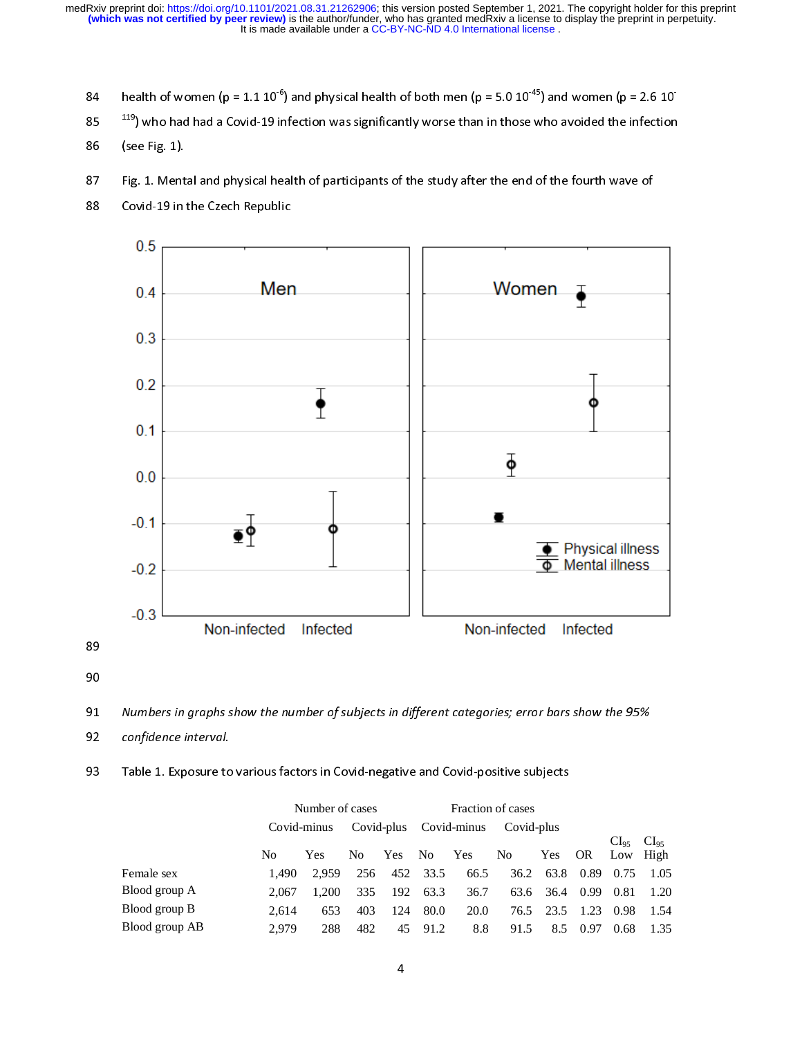- 
- $^{119}$ ) who had had a Covid-19 infection was significantly worse than in those who avoided the infection
- 
- 
- 



90<br>91<br>92<br>93 91<br>92<br>93

- 
- 

| Table 1. Exposure to various factors in Covid-negative and Covid-positive subjects |       |                             |            |                         |                                     |                 |                   |      |            |                                     |                   |
|------------------------------------------------------------------------------------|-------|-----------------------------|------------|-------------------------|-------------------------------------|-----------------|-------------------|------|------------|-------------------------------------|-------------------|
|                                                                                    |       | Number of cases             |            |                         |                                     |                 | Fraction of cases |      |            |                                     |                   |
|                                                                                    |       | Covid-minus                 | Covid-plus |                         | $\operatorname{Covid\text{-}minus}$ |                 | Covid-plus        |      |            |                                     |                   |
|                                                                                    |       | $\rm No$<br>Yes<br>$\rm No$ |            | Yes                     | $\rm No$                            | Yes             | ${\rm No}$        | Yes  | ${\rm OR}$ | CI <sub>95</sub><br>$_{\text{Low}}$ | $CI_{95}$<br>High |
| Female sex                                                                         | 1,490 | 2,959                       | 256        | 452                     | 33.5                                | 66.5            | 36.2              | 63.8 | 0.89       | 0.75                                | 1.05              |
| Blood group A                                                                      | 2,067 | 1,200                       | 335        | 192                     | 63.3                                | 36.7            | 63.6              | 36.4 | 0.99       | 0.81                                | 1.20              |
| Blood group B                                                                      | 2,614 | 653                         | 403        | 124                     | $80.0\,$                            | $20.0\,$        | 76.5              | 23.5 | 1.23       | 0.98                                | 1.54              |
| Blood group AB                                                                     | 2,979 | 288                         | 482        | 45                      | 91.2                                | $\!\!\!\!\!8.8$ | 91.5              | 8.5  | 0.97       | 0.68                                | 1.35              |
|                                                                                    |       |                             |            | $\overline{\mathbf{4}}$ |                                     |                 |                   |      |            |                                     |                   |
|                                                                                    |       |                             |            |                         |                                     |                 |                   |      |            |                                     |                   |
|                                                                                    |       |                             |            |                         |                                     |                 |                   |      |            |                                     |                   |
|                                                                                    |       |                             |            |                         |                                     |                 |                   |      |            |                                     |                   |
|                                                                                    |       |                             |            |                         |                                     |                 |                   |      |            |                                     |                   |
|                                                                                    |       |                             |            |                         |                                     |                 |                   |      |            |                                     |                   |
|                                                                                    |       |                             |            |                         |                                     |                 |                   |      |            |                                     |                   |
|                                                                                    |       |                             |            |                         |                                     |                 |                   |      |            |                                     |                   |
|                                                                                    |       |                             |            |                         |                                     |                 |                   |      |            |                                     |                   |
|                                                                                    |       |                             |            |                         |                                     |                 |                   |      |            |                                     |                   |
|                                                                                    |       |                             |            |                         |                                     |                 |                   |      |            |                                     |                   |
|                                                                                    |       |                             |            |                         |                                     |                 |                   |      |            |                                     |                   |
|                                                                                    |       |                             |            |                         |                                     |                 |                   |      |            |                                     |                   |
|                                                                                    |       |                             |            |                         |                                     |                 |                   |      |            |                                     |                   |
|                                                                                    |       |                             |            |                         |                                     |                 |                   |      |            |                                     |                   |
|                                                                                    |       |                             |            |                         |                                     |                 |                   |      |            |                                     |                   |
|                                                                                    |       |                             |            |                         |                                     |                 |                   |      |            |                                     |                   |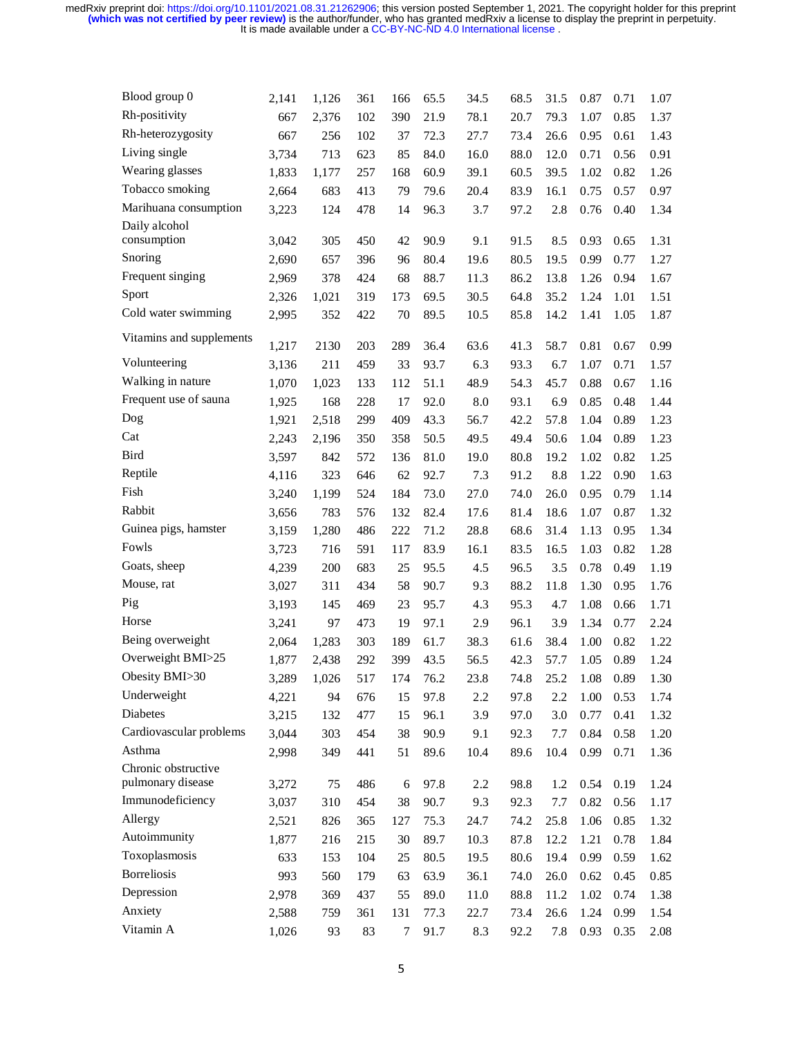| Blood group 0                            | 2,141 | 1,126 | 361 | 166    | 65.5 | 34.5 | 68.5 | 31.5 | 0.87     | 0.71 | 1.07 |
|------------------------------------------|-------|-------|-----|--------|------|------|------|------|----------|------|------|
| Rh-positivity                            | 667   | 2,376 | 102 | 390    | 21.9 | 78.1 | 20.7 | 79.3 | 1.07     | 0.85 | 1.37 |
| Rh-heterozygosity                        | 667   | 256   | 102 | 37     | 72.3 | 27.7 | 73.4 | 26.6 | 0.95     | 0.61 | 1.43 |
| Living single                            | 3,734 | 713   | 623 | 85     | 84.0 | 16.0 | 88.0 | 12.0 | 0.71     | 0.56 | 0.91 |
| Wearing glasses                          | 1,833 | 1,177 | 257 | 168    | 60.9 | 39.1 | 60.5 | 39.5 | 1.02     | 0.82 | 1.26 |
| Tobacco smoking                          | 2,664 | 683   | 413 | 79     | 79.6 | 20.4 | 83.9 | 16.1 | 0.75     | 0.57 | 0.97 |
| Marihuana consumption                    | 3,223 | 124   | 478 | 14     | 96.3 | 3.7  | 97.2 | 2.8  | 0.76     | 0.40 | 1.34 |
| Daily alcohol                            |       |       |     |        |      |      |      |      |          |      |      |
| consumption                              | 3,042 | 305   | 450 | 42     | 90.9 | 9.1  | 91.5 | 8.5  | 0.93     | 0.65 | 1.31 |
| Snoring                                  | 2,690 | 657   | 396 | 96     | 80.4 | 19.6 | 80.5 | 19.5 | 0.99     | 0.77 | 1.27 |
| Frequent singing                         | 2,969 | 378   | 424 | 68     | 88.7 | 11.3 | 86.2 | 13.8 | 1.26     | 0.94 | 1.67 |
| Sport                                    | 2,326 | 1,021 | 319 | 173    | 69.5 | 30.5 | 64.8 | 35.2 | 1.24     | 1.01 | 1.51 |
| Cold water swimming                      | 2,995 | 352   | 422 | 70     | 89.5 | 10.5 | 85.8 | 14.2 | 1.41     | 1.05 | 1.87 |
| Vitamins and supplements                 | 1,217 | 2130  | 203 | 289    | 36.4 | 63.6 | 41.3 | 58.7 | 0.81     | 0.67 | 0.99 |
| Volunteering                             | 3,136 | 211   | 459 | 33     | 93.7 | 6.3  | 93.3 | 6.7  | 1.07     | 0.71 | 1.57 |
| Walking in nature                        | 1,070 | 1,023 | 133 | 112    | 51.1 | 48.9 | 54.3 | 45.7 | 0.88     | 0.67 | 1.16 |
| Frequent use of sauna                    | 1,925 | 168   | 228 | 17     | 92.0 | 8.0  | 93.1 | 6.9  | 0.85     | 0.48 | 1.44 |
| Dog                                      | 1,921 | 2,518 | 299 | 409    | 43.3 | 56.7 | 42.2 | 57.8 | 1.04     | 0.89 | 1.23 |
| Cat                                      | 2,243 | 2,196 | 350 | 358    | 50.5 | 49.5 | 49.4 | 50.6 | 1.04     | 0.89 | 1.23 |
| <b>Bird</b>                              | 3,597 | 842   | 572 | 136    | 81.0 | 19.0 | 80.8 | 19.2 | 1.02     | 0.82 | 1.25 |
| Reptile                                  | 4,116 | 323   | 646 | 62     | 92.7 | 7.3  | 91.2 | 8.8  | 1.22     | 0.90 | 1.63 |
| Fish                                     | 3,240 | 1,199 | 524 | 184    | 73.0 | 27.0 | 74.0 | 26.0 | 0.95     | 0.79 | 1.14 |
| Rabbit                                   | 3,656 | 783   | 576 | 132    | 82.4 | 17.6 | 81.4 | 18.6 | 1.07     | 0.87 | 1.32 |
| Guinea pigs, hamster                     | 3,159 | 1,280 | 486 | 222    | 71.2 | 28.8 | 68.6 | 31.4 | 1.13     | 0.95 | 1.34 |
| Fowls                                    | 3,723 | 716   | 591 | 117    | 83.9 | 16.1 | 83.5 | 16.5 | 1.03     | 0.82 | 1.28 |
| Goats, sheep                             | 4,239 | 200   | 683 | 25     | 95.5 | 4.5  | 96.5 | 3.5  | 0.78     | 0.49 | 1.19 |
| Mouse, rat                               | 3,027 | 311   | 434 | 58     | 90.7 | 9.3  | 88.2 | 11.8 | 1.30     | 0.95 | 1.76 |
| Pig                                      | 3,193 | 145   | 469 | 23     | 95.7 | 4.3  | 95.3 | 4.7  | 1.08     | 0.66 | 1.71 |
| Horse                                    | 3,241 | 97    | 473 | 19     | 97.1 | 2.9  | 96.1 | 3.9  | 1.34     | 0.77 | 2.24 |
| Being overweight                         | 2,064 | 1,283 | 303 | 189    | 61.7 | 38.3 | 61.6 | 38.4 | 1.00     | 0.82 | 1.22 |
| Overweight BMI>25                        | 1,877 | 2,438 | 292 | 399    | 43.5 | 56.5 | 42.3 | 57.7 | 1.05     | 0.89 | 1.24 |
| Obesity BMI>30                           | 3,289 | 1,026 | 517 | 174    | 76.2 | 23.8 | 74.8 | 25.2 | 1.08     | 0.89 | 1.30 |
| Underweight                              | 4,221 | 94    | 676 | 15     | 97.8 | 2.2  | 97.8 | 2.2  | $1.00\,$ | 0.53 | 1.74 |
| Diabetes                                 | 3,215 | 132   | 477 | 15     | 96.1 | 3.9  | 97.0 | 3.0  | 0.77     | 0.41 | 1.32 |
| Cardiovascular problems                  | 3,044 | 303   | 454 | 38     | 90.9 | 9.1  | 92.3 | 7.7  | 0.84     | 0.58 | 1.20 |
| Asthma                                   | 2,998 | 349   | 441 | 51     | 89.6 | 10.4 | 89.6 | 10.4 | 0.99     | 0.71 | 1.36 |
| Chronic obstructive<br>pulmonary disease | 3,272 | 75    | 486 | 6      | 97.8 | 2.2  | 98.8 | 1.2  | 0.54     | 0.19 | 1.24 |
| Immunodeficiency                         | 3,037 | 310   | 454 | 38     | 90.7 | 9.3  | 92.3 | 7.7  | 0.82     | 0.56 | 1.17 |
| Allergy                                  | 2,521 | 826   | 365 | 127    | 75.3 | 24.7 | 74.2 | 25.8 | 1.06     | 0.85 | 1.32 |
| Autoimmunity                             | 1,877 | 216   | 215 | 30     | 89.7 | 10.3 | 87.8 | 12.2 | 1.21     | 0.78 | 1.84 |
| Toxoplasmosis                            | 633   | 153   | 104 | 25     | 80.5 | 19.5 | 80.6 | 19.4 | 0.99     | 0.59 | 1.62 |
| <b>Borreliosis</b>                       | 993   | 560   | 179 | 63     | 63.9 | 36.1 | 74.0 | 26.0 | 0.62     | 0.45 | 0.85 |
| Depression                               | 2,978 | 369   | 437 | 55     | 89.0 | 11.0 | 88.8 | 11.2 | 1.02     | 0.74 | 1.38 |
| Anxiety                                  | 2,588 | 759   | 361 | 131    | 77.3 | 22.7 | 73.4 | 26.6 | 1.24     | 0.99 | 1.54 |
| Vitamin A                                | 1,026 | 93    | 83  | $\tau$ | 91.7 | 8.3  | 92.2 | 7.8  | 0.93     | 0.35 | 2.08 |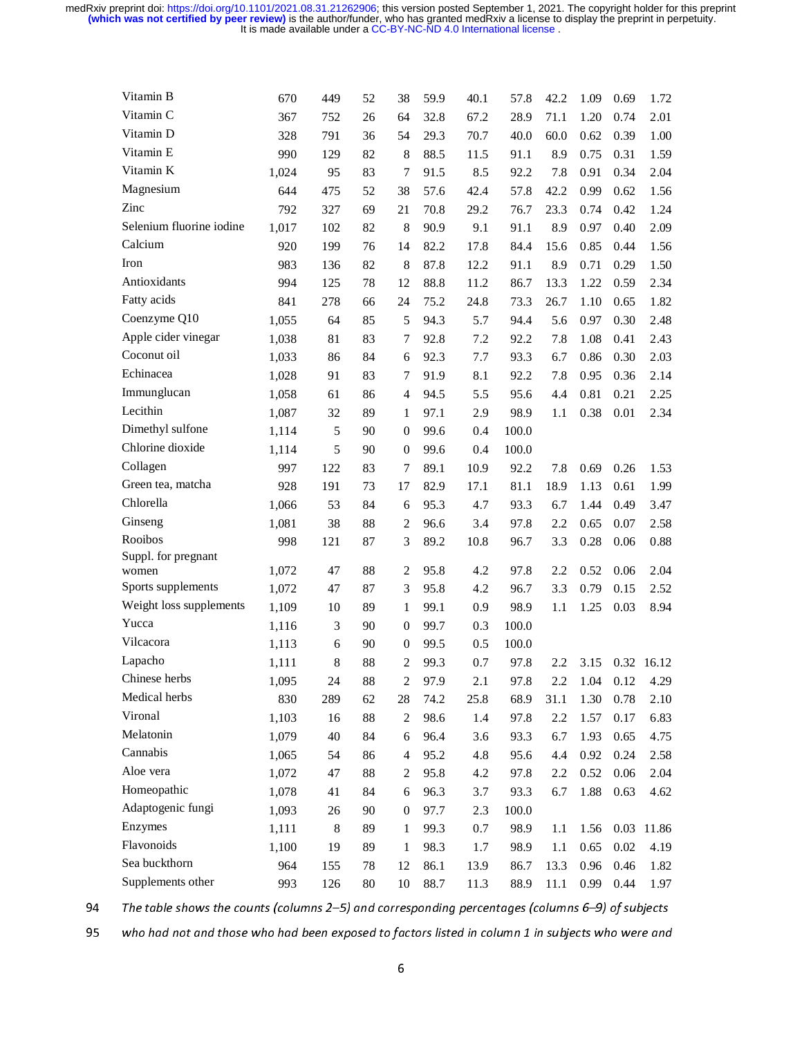| Vitamin B                | 670   | 449   | 52     | 38               | 59.9 | 40.1 | 57.8  | 42.2    | 1.09 | 0.69 | 1.72       |
|--------------------------|-------|-------|--------|------------------|------|------|-------|---------|------|------|------------|
| Vitamin C                | 367   | 752   | 26     | 64               | 32.8 | 67.2 | 28.9  | 71.1    | 1.20 | 0.74 | 2.01       |
| Vitamin D                | 328   | 791   | 36     | 54               | 29.3 | 70.7 | 40.0  | 60.0    | 0.62 | 0.39 | 1.00       |
| Vitamin E                | 990   | 129   | 82     | 8                | 88.5 | 11.5 | 91.1  | 8.9     | 0.75 | 0.31 | 1.59       |
| Vitamin K                | 1,024 | 95    | 83     | 7                | 91.5 | 8.5  | 92.2  | 7.8     | 0.91 | 0.34 | 2.04       |
| Magnesium                | 644   | 475   | 52     | 38               | 57.6 | 42.4 | 57.8  | 42.2    | 0.99 | 0.62 | 1.56       |
| Zinc                     | 792   | 327   | 69     | 21               | 70.8 | 29.2 | 76.7  | 23.3    | 0.74 | 0.42 | 1.24       |
| Selenium fluorine iodine | 1,017 | 102   | 82     | 8                | 90.9 | 9.1  | 91.1  | 8.9     | 0.97 | 0.40 | 2.09       |
| Calcium                  | 920   | 199   | 76     | 14               | 82.2 | 17.8 | 84.4  | 15.6    | 0.85 | 0.44 | 1.56       |
| Iron                     | 983   | 136   | 82     | 8                | 87.8 | 12.2 | 91.1  | 8.9     | 0.71 | 0.29 | 1.50       |
| Antioxidants             | 994   | 125   | 78     | 12               | 88.8 | 11.2 | 86.7  | 13.3    | 1.22 | 0.59 | 2.34       |
| Fatty acids              | 841   | 278   | 66     | 24               | 75.2 | 24.8 | 73.3  | 26.7    | 1.10 | 0.65 | 1.82       |
| Coenzyme Q10             | 1,055 | 64    | 85     | 5                | 94.3 | 5.7  | 94.4  | 5.6     | 0.97 | 0.30 | 2.48       |
| Apple cider vinegar      | 1,038 | 81    | 83     | 7                | 92.8 | 7.2  | 92.2  | 7.8     | 1.08 | 0.41 | 2.43       |
| Coconut oil              | 1,033 | 86    | 84     | 6                | 92.3 | 7.7  | 93.3  | 6.7     | 0.86 | 0.30 | 2.03       |
| Echinacea                | 1,028 | 91    | 83     | 7                | 91.9 | 8.1  | 92.2  | 7.8     | 0.95 | 0.36 | 2.14       |
| Immunglucan              | 1,058 | 61    | 86     | 4                | 94.5 | 5.5  | 95.6  | 4.4     | 0.81 | 0.21 | 2.25       |
| Lecithin                 | 1,087 | 32    | 89     | 1                | 97.1 | 2.9  | 98.9  | 1.1     | 0.38 | 0.01 | 2.34       |
| Dimethyl sulfone         | 1,114 | 5     | 90     | $\boldsymbol{0}$ | 99.6 | 0.4  | 100.0 |         |      |      |            |
| Chlorine dioxide         | 1,114 | 5     | 90     | $\boldsymbol{0}$ | 99.6 | 0.4  | 100.0 |         |      |      |            |
| Collagen                 | 997   | 122   | 83     | 7                | 89.1 | 10.9 | 92.2  | 7.8     | 0.69 | 0.26 | 1.53       |
| Green tea, matcha        | 928   | 191   | 73     | 17               | 82.9 | 17.1 | 81.1  | 18.9    | 1.13 | 0.61 | 1.99       |
| Chlorella                | 1,066 | 53    | 84     | 6                | 95.3 | 4.7  | 93.3  | 6.7     | 1.44 | 0.49 | 3.47       |
| Ginseng                  | 1,081 | 38    | 88     | 2                | 96.6 | 3.4  | 97.8  | 2.2     | 0.65 | 0.07 | 2.58       |
| Rooibos                  | 998   | 121   | 87     | 3                | 89.2 | 10.8 | 96.7  | 3.3     | 0.28 | 0.06 | 0.88       |
| Suppl. for pregnant      |       |       |        |                  |      |      |       |         |      |      |            |
| women                    | 1,072 | 47    | 88     | 2                | 95.8 | 4.2  | 97.8  | 2.2     | 0.52 | 0.06 | 2.04       |
| Sports supplements       | 1,072 | 47    | 87     | 3                | 95.8 | 4.2  | 96.7  | 3.3     | 0.79 | 0.15 | 2.52       |
| Weight loss supplements  | 1,109 | 10    | 89     | 1                | 99.1 | 0.9  | 98.9  | 1.1     | 1.25 | 0.03 | 8.94       |
| Yucca                    | 1,116 | 3     | 90     | $\boldsymbol{0}$ | 99.7 | 0.3  | 100.0 |         |      |      |            |
| Vilcacora                | 1,113 | 6     | 90     | $\overline{0}$   | 99.5 | 0.5  | 100.0 |         |      |      |            |
| Lapacho                  | 1,111 | 8     | 88     | 2                | 99.3 | 0.7  | 97.8  | 2.2     | 3.15 |      | 0.32 16.12 |
| Chinese herbs            | 1,095 | 24    | 88     | $\mathfrak 2$    | 97.9 | 2.1  | 97.8  | $2.2\,$ | 1.04 | 0.12 | 4.29       |
| Medical herbs            | 830   | 289   | 62     | 28               | 74.2 | 25.8 | 68.9  | 31.1    | 1.30 | 0.78 | 2.10       |
| Vironal                  | 1,103 | 16    | 88     | 2                | 98.6 | 1.4  | 97.8  | 2.2     | 1.57 | 0.17 | 6.83       |
| Melatonin                | 1,079 | 40    | 84     | 6                | 96.4 | 3.6  | 93.3  | 6.7     | 1.93 | 0.65 | 4.75       |
| Cannabis                 | 1,065 | 54    | 86     | 4                | 95.2 | 4.8  | 95.6  | 4.4     | 0.92 | 0.24 | 2.58       |
| Aloe vera                | 1,072 | 47    | 88     | $\boldsymbol{2}$ | 95.8 | 4.2  | 97.8  | 2.2     | 0.52 | 0.06 | 2.04       |
| Homeopathic              | 1,078 | 41    | 84     | 6                | 96.3 | 3.7  | 93.3  | 6.7     | 1.88 | 0.63 | 4.62       |
| Adaptogenic fungi        | 1,093 | 26    | 90     | $\mathbf{0}$     | 97.7 | 2.3  | 100.0 |         |      |      |            |
| Enzymes                  | 1,111 | $\,8$ | 89     | 1                | 99.3 | 0.7  | 98.9  | 1.1     | 1.56 | 0.03 | 11.86      |
| Flavonoids               | 1,100 | 19    | 89     | $\mathbf{1}$     | 98.3 | 1.7  | 98.9  | 1.1     | 0.65 | 0.02 | 4.19       |
| Sea buckthorn            | 964   | 155   | 78     | 12               | 86.1 | 13.9 | 86.7  | 13.3    | 0.96 | 0.46 | 1.82       |
| Supplements other        | 993   | 126   | $80\,$ | 10               | 88.7 | 11.3 | 88.9  | 11.1    | 0.99 | 0.44 | 1.97       |

94 The table shows the counts (columns 2–5) and corresponding percentages (columns 6–5) of subjects<br>who had not and those who had been exposed to factors listed in column 1 in subjects who were and<br>6 who had not and those who had been exposed to factors listed in column 1 in subjects who were and  $6$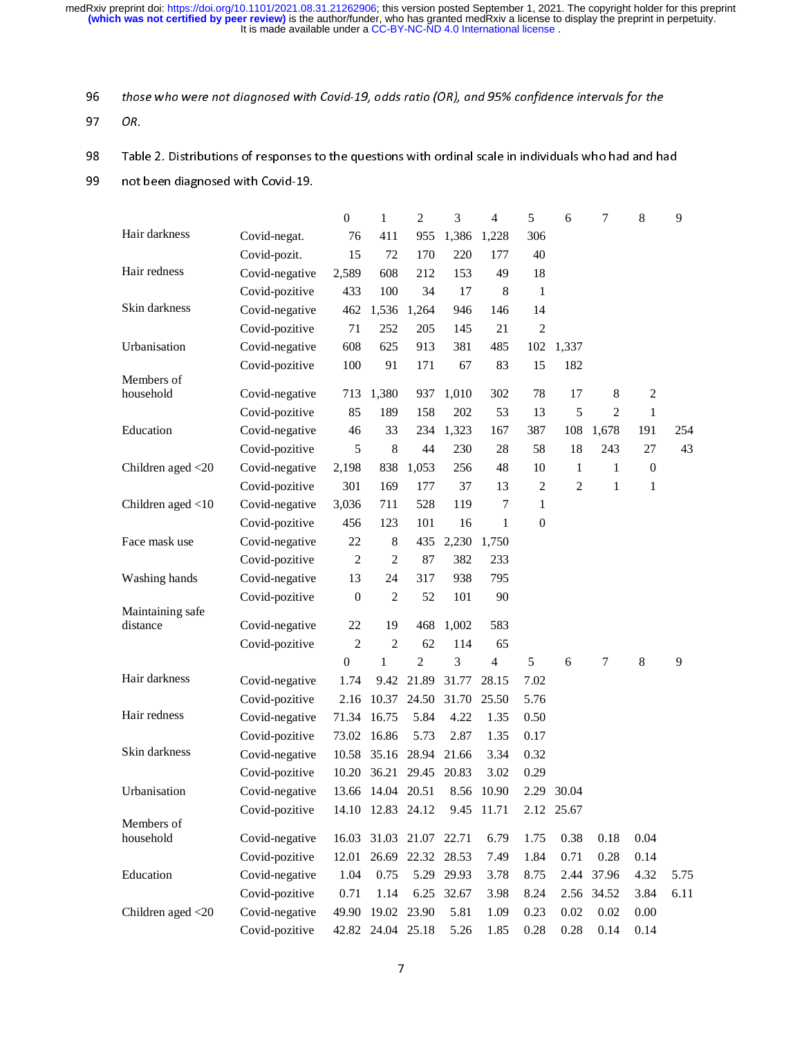| Table 2. Distributions of responses to the questions with ordinal scale in individuals who had and had |                                  |                  |                              |                   |                |              |                  |                |                     |                  |
|--------------------------------------------------------------------------------------------------------|----------------------------------|------------------|------------------------------|-------------------|----------------|--------------|------------------|----------------|---------------------|------------------|
| not been diagnosed with Covid-19.                                                                      |                                  |                  |                              |                   |                |              |                  |                |                     |                  |
|                                                                                                        |                                  | $\boldsymbol{0}$ | $\mathbf{1}$                 | $\overline{2}$    | 3              | 4            | 5                | 6              | $\boldsymbol{7}$    | $\,8\,$          |
| Hair darkness                                                                                          | Covid-negat.                     | 76               | 411                          | 955               | 1,386          | 1,228        | 306              |                |                     |                  |
|                                                                                                        | Covid-pozit.                     | 15               | 72                           | 170               | 220            | 177          | 40               |                |                     |                  |
| Hair redness                                                                                           | Covid-negative                   | 2,589            | 608                          | 212               | 153            | 49           | 18               |                |                     |                  |
|                                                                                                        | Covid-pozitive                   | 433              | 100                          | 34                | 17             | 8            | $\mathbf{1}$     |                |                     |                  |
| Skin darkness                                                                                          | Covid-negative                   | 462              |                              | 1,536 1,264       | 946            | 146          | 14               |                |                     |                  |
|                                                                                                        | Covid-pozitive                   | 71               | 252                          | 205               | 145            | 21           | $\overline{2}$   |                |                     |                  |
| Urbanisation                                                                                           | Covid-negative                   | 608              | 625                          | 913               | 381            | 485          | 102              | 1,337          |                     |                  |
|                                                                                                        | Covid-pozitive                   | 100              | 91                           | 171               | 67             | 83           | 15               | 182            |                     |                  |
| Members of                                                                                             |                                  |                  |                              |                   |                |              | 78               |                |                     |                  |
| household                                                                                              | Covid-negative<br>Covid-pozitive | 713              | 1,380                        | 937<br>158        | 1,010          | 302<br>53    | 13               | 17             | 8<br>$\overline{2}$ | $\sqrt{2}$       |
| Education                                                                                              |                                  | 85               | 189                          |                   | 202            |              |                  | 5              |                     | $\mathbf{1}$     |
|                                                                                                        | Covid-negative                   | 46<br>5          | 33<br>8                      | 234<br>44         | 1,323<br>230   | 167<br>28    | 387<br>58        | 108<br>18      | 1,678<br>243        | 191<br>27        |
| Children aged $<$ 20                                                                                   | Covid-pozitive<br>Covid-negative | 2,198            | 838                          | 1,053             | 256            | 48           | 10               | $\mathbf{1}$   | $\mathbf{1}$        | $\boldsymbol{0}$ |
|                                                                                                        | Covid-pozitive                   | 301              | 169                          | 177               | 37             | 13           | 2                | $\overline{2}$ | $\mathbf{1}$        | $\mathbf{1}$     |
|                                                                                                        | Covid-negative                   | 3,036            | 711                          | 528               | 119            | 7            | $\mathbf{1}$     |                |                     |                  |
| Children aged $<$ 10                                                                                   | Covid-pozitive                   | 456              | 123                          | 101               | 16             | $\mathbf{1}$ | $\boldsymbol{0}$ |                |                     |                  |
|                                                                                                        |                                  |                  |                              |                   |                |              |                  |                |                     |                  |
| Face mask use                                                                                          | Covid-negative                   | 22               | $\,8\,$                      | 435               | 2,230          | 1,750        |                  |                |                     |                  |
|                                                                                                        | Covid-pozitive                   | $\overline{2}$   | $\overline{2}$<br>24         | 87                | 382            | 233          |                  |                |                     |                  |
| Washing hands                                                                                          | Covid-negative                   | 13               |                              | 317               | 938            | 795          |                  |                |                     |                  |
| Maintaining safe                                                                                       | Covid-pozitive                   | $\boldsymbol{0}$ | $\overline{2}$               | 52                | 101            | 90           |                  |                |                     |                  |
| distance                                                                                               | Covid-negative                   | 22               | 19                           | 468               | 1,002          | 583          |                  |                |                     |                  |
|                                                                                                        | Covid-pozitive                   | $\overline{2}$   | $\overline{2}$               | 62                | 114            | 65           |                  |                |                     |                  |
|                                                                                                        |                                  | $\boldsymbol{0}$ | $\mathbf{1}$                 | 2                 | 3              | 4            | 5                | 6              | 7                   | 8                |
| Hair darkness                                                                                          | Covid-negative                   | 1.74             |                              | 9.42 21.89        | 31.77          | 28.15        | 7.02             |                |                     |                  |
|                                                                                                        | Covid-pozitive                   |                  | 2.16 10.37 24.50 31.70 25.50 |                   |                |              | 5.76             |                |                     |                  |
| Hair redness                                                                                           | Covid-negative                   | 71.34            | 16.75                        | 5.84              | 4.22           | 1.35         | 0.50             |                |                     |                  |
|                                                                                                        | Covid-pozitive                   | 73.02            | 16.86                        | 5.73              | 2.87           | 1.35         | 0.17             |                |                     |                  |
| Skin darkness                                                                                          | Covid-negative                   | 10.58            |                              | 35.16 28.94       | 21.66          | 3.34         | 0.32             |                |                     |                  |
|                                                                                                        | Covid-pozitive                   | 10.20            |                              | 36.21 29.45       | 20.83          | 3.02         | 0.29             |                |                     |                  |
| Urbanisation                                                                                           | Covid-negative                   | 13.66            |                              | 14.04 20.51       | 8.56           | 10.90        |                  | 2.29 30.04     |                     |                  |
|                                                                                                        | Covid-pozitive                   | 14.10            |                              | 12.83 24.12       | 9.45           | 11.71        |                  | 2.12 25.67     |                     |                  |
| Members of                                                                                             |                                  |                  |                              |                   |                |              |                  |                |                     |                  |
| household                                                                                              | Covid-negative                   | 16.03            |                              | 31.03 21.07       | 22.71          | 6.79         | 1.75             | 0.38           | 0.18                | 0.04             |
|                                                                                                        | Covid-pozitive                   | 12.01            |                              | 26.69 22.32 28.53 |                | 7.49         | 1.84             | 0.71           | 0.28                | 0.14             |
| Education                                                                                              | Covid-negative<br>Covid-pozitive | 1.04<br>0.71     | 0.75<br>1.14                 | 5.29<br>6.25      | 29.93<br>32.67 | 3.78<br>3.98 | 8.75<br>8.24     | 2.44           | 37.96<br>2.56 34.52 | 4.32<br>3.84     |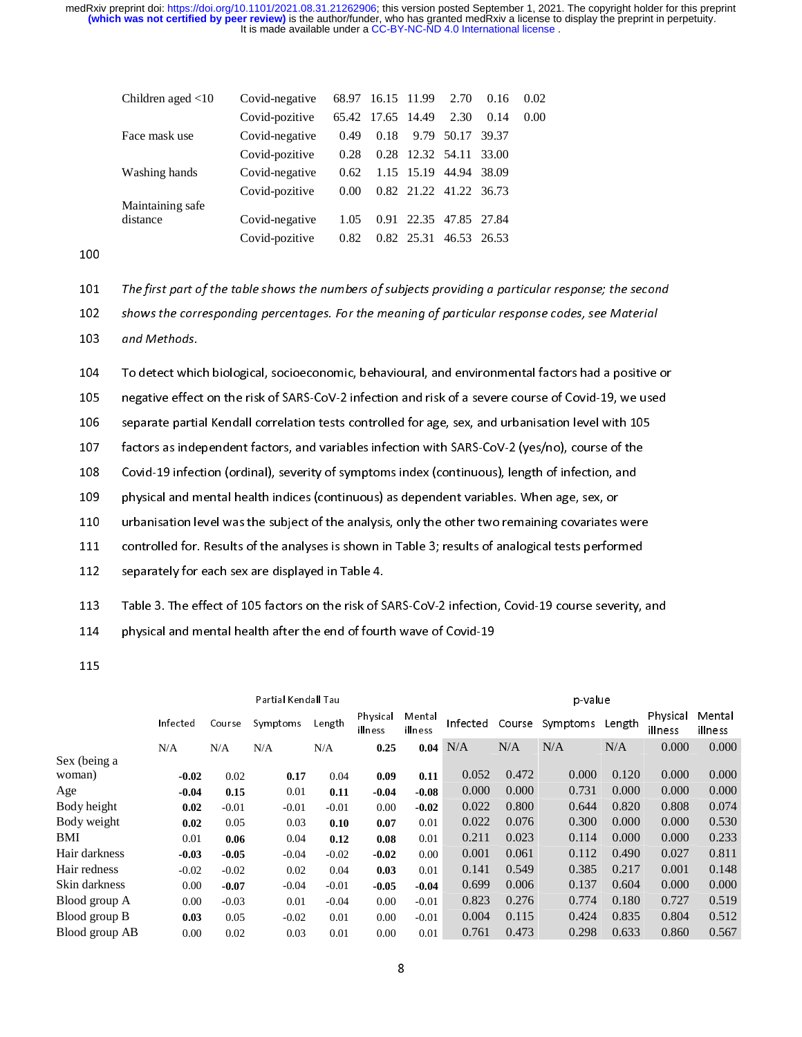| Children aged $<$ 10 | Covid-negative |      |                   | 68.97 16.15 11.99 | 2.70                   | 0.16  | 0.02 |  |
|----------------------|----------------|------|-------------------|-------------------|------------------------|-------|------|--|
|                      | Covid-pozitive |      | 65.42 17.65 14.49 |                   | 2.30                   | 0.14  | 0.00 |  |
| Face mask use        | Covid-negative | 0.49 | 0.18              |                   | 9.79 50.17             | 39.37 |      |  |
|                      | Covid-pozitive | 0.28 |                   |                   | 0.28 12.32 54.11 33.00 |       |      |  |
| Washing hands        | Covid-negative | 0.62 |                   |                   | 1.15 15.19 44.94 38.09 |       |      |  |
|                      | Covid-pozitive | 0.00 |                   |                   | 0.82 21.22 41.22 36.73 |       |      |  |
| Maintaining safe     |                |      |                   |                   |                        |       |      |  |
| distance             | Covid-negative | 1.05 |                   |                   | 0.91 22.35 47.85 27.84 |       |      |  |
|                      | Covid-pozitive | 0.82 |                   | 0.82 25.31        | 46.53 26.53            |       |      |  |

100

| 101                             | The first part of the table shows the numbers of subjects providing a particular response; the second |                  |                     |              |                     |                   |                |                |                                 |                |                     |                   |
|---------------------------------|-------------------------------------------------------------------------------------------------------|------------------|---------------------|--------------|---------------------|-------------------|----------------|----------------|---------------------------------|----------------|---------------------|-------------------|
| 102                             | shows the corresponding percentages. For the meaning of particular response codes, see Material       |                  |                     |              |                     |                   |                |                |                                 |                |                     |                   |
| 103                             | and Methods.                                                                                          |                  |                     |              |                     |                   |                |                |                                 |                |                     |                   |
| 104                             | To detect which biological, socioeconomic, behavioural, and environmental factors had a positive or   |                  |                     |              |                     |                   |                |                |                                 |                |                     |                   |
| 105                             | negative effect on the risk of SARS-CoV-2 infection and risk of a severe course of Covid-19, we used  |                  |                     |              |                     |                   |                |                |                                 |                |                     |                   |
| 106                             | separate partial Kendall correlation tests controlled for age, sex, and urbanisation level with 105   |                  |                     |              |                     |                   |                |                |                                 |                |                     |                   |
| 107                             | factors as independent factors, and variables infection with SARS-CoV-2 (yes/no), course of the       |                  |                     |              |                     |                   |                |                |                                 |                |                     |                   |
| 108                             | Covid-19 infection (ordinal), severity of symptoms index (continuous), length of infection, and       |                  |                     |              |                     |                   |                |                |                                 |                |                     |                   |
| 109                             | physical and mental health indices (continuous) as dependent variables. When age, sex, or             |                  |                     |              |                     |                   |                |                |                                 |                |                     |                   |
|                                 |                                                                                                       |                  |                     |              |                     |                   |                |                |                                 |                |                     |                   |
| 110                             | urbanisation level was the subject of the analysis, only the other two remaining covariates were      |                  |                     |              |                     |                   |                |                |                                 |                |                     |                   |
| 111                             | controlled for. Results of the analyses is shown in Table 3; results of analogical tests performed    |                  |                     |              |                     |                   |                |                |                                 |                |                     |                   |
| 112                             | separately for each sex are displayed in Table 4.                                                     |                  |                     |              |                     |                   |                |                |                                 |                |                     |                   |
| 113                             | Table 3. The effect of 105 factors on the risk of SARS-CoV-2 infection, Covid-19 course severity, and |                  |                     |              |                     |                   |                |                |                                 |                |                     |                   |
| 114                             | physical and mental health after the end of fourth wave of Covid-19                                   |                  |                     |              |                     |                   |                |                |                                 |                |                     |                   |
| 115                             |                                                                                                       |                  |                     |              |                     |                   |                |                |                                 |                |                     |                   |
|                                 |                                                                                                       |                  | Partial Kendall Tau |              |                     |                   |                |                | p value                         |                |                     |                   |
|                                 | Infected                                                                                              | Course           | Symptoms            | Length       | Physical<br>illness | Mental<br>illness |                |                | Infected Course Symptoms Length |                | Physical<br>illness | Mental<br>illness |
|                                 | $\rm N/A$                                                                                             | N/A              | N/A                 | N/A          | 0.25                | 0.04              | N/A            | $\rm N/A$      | N/A                             | $\rm N/A$      | 0.000               | 0.000             |
| Sex (being a<br>woman)          | $-0.02$                                                                                               | 0.02             | 0.17                | 0.04         | 0.09                | 0.11              | 0.052          | 0.472          | 0.000                           | 0.120          | 0.000               | 0.000             |
| Age                             | $-0.04$                                                                                               | 0.15             | 0.01                | 0.11         | $-0.04$             | $-0.08$           | 0.000          | 0.000          | 0.731                           | 0.000          | 0.000               | 0.000             |
| Body height                     | 0.02                                                                                                  | $-0.01$          | $-0.01$             | $-0.01$      | 0.00                | $-0.02$           | 0.022          | 0.800          | 0.644                           | 0.820          | 0.808               | 0.074             |
| Body weight                     | 0.02                                                                                                  | 0.05             | 0.03                | 0.10         | 0.07                | 0.01              | 0.022          | 0.076          | 0.300                           | 0.000          | 0.000               | 0.530             |
| BMI                             | 0.01                                                                                                  | 0.06             | 0.04                | 0.12         | 0.08                | 0.01              | 0.211          | 0.023          | 0.114                           | 0.000          | 0.000               | 0.233             |
| Hair darkness                   | $-0.03$                                                                                               | $-0.05$          | $-0.04$             | $-0.02$      | $-0.02$             | $0.00\,$          | 0.001          | 0.061          | 0.112                           | 0.490          | 0.027               | 0.811             |
| Hair redness                    | $-0.02$                                                                                               | $-0.02$          | 0.02                | 0.04         | 0.03                | 0.01              | 0.141          | 0.549          | 0.385                           | 0.217          | 0.001               | 0.148             |
| Skin darkness                   | $0.00\,$                                                                                              | $-0.07$          | $-0.04$             | $-0.01$      | $-0.05$             | $-0.04$           | 0.699          | 0.006          | 0.137                           | 0.604          | $0.000\,$           | $0.000\,$         |
| Blood group A                   | $0.00\,$                                                                                              | $-0.03$          | 0.01                | $-0.04$      | $0.00\,$            | $-0.01$           | 0.823          | 0.276          | 0.774<br>0.424                  | 0.180          | 0.727               | 0.519             |
| Blood group B<br>Blood group AB | 0.03<br>$0.00\,$                                                                                      | 0.05<br>$0.02\,$ | $-0.02$<br>0.03     | 0.01<br>0.01 | 0.00<br>$0.00\,$    | $-0.01$<br>0.01   | 0.004<br>0.761 | 0.115<br>0.473 | 0.298                           | 0.835<br>0.633 | 0.804<br>0.860      | 0.512<br>0.567    |
|                                 |                                                                                                       |                  |                     |              | $\bf 8$             |                   |                |                |                                 |                |                     |                   |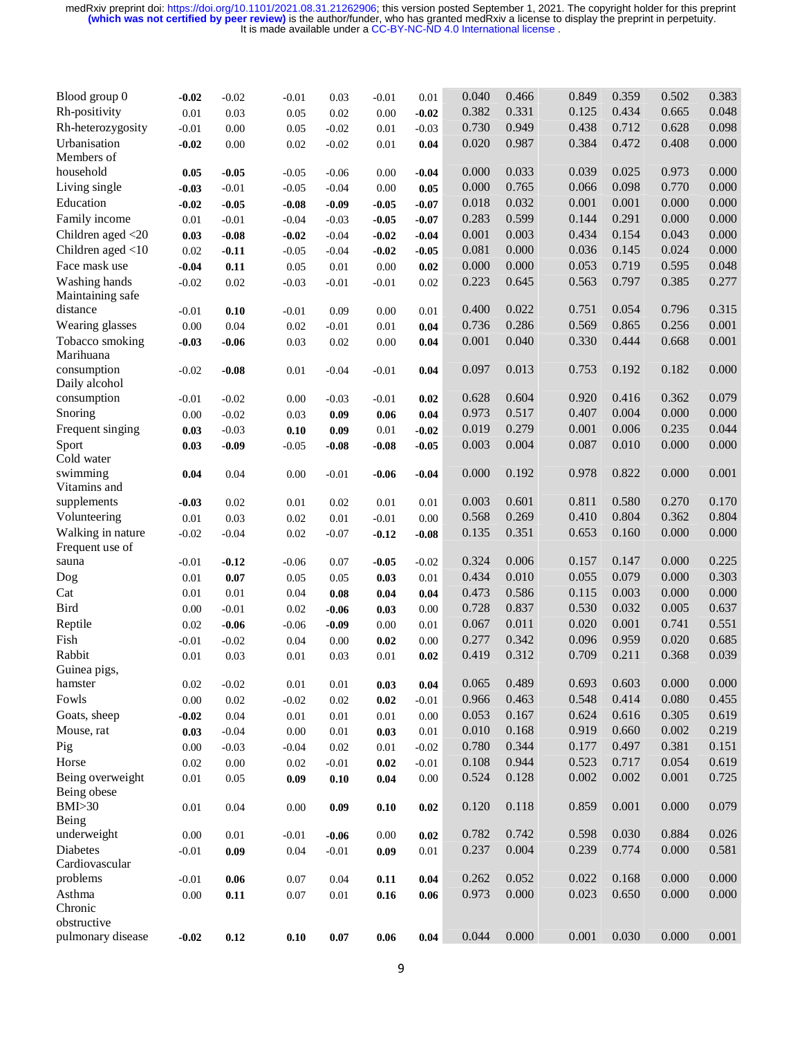| Blood group 0     | $-0.02$  | $-0.02$ | $-0.01$  | 0.03     | $-0.01$  | 0.01     | 0.040 | 0.466 | 0.849 | 0.359 | 0.502 | 0.383 |
|-------------------|----------|---------|----------|----------|----------|----------|-------|-------|-------|-------|-------|-------|
| Rh-positivity     | 0.01     | 0.03    | 0.05     | 0.02     | 0.00     | $-0.02$  | 0.382 | 0.331 | 0.125 | 0.434 | 0.665 | 0.048 |
| Rh-heterozygosity | $-0.01$  | 0.00    | 0.05     | $-0.02$  | 0.01     | $-0.03$  | 0.730 | 0.949 | 0.438 | 0.712 | 0.628 | 0.098 |
| Urbanisation      | $-0.02$  | 0.00    | 0.02     | $-0.02$  | 0.01     | 0.04     | 0.020 | 0.987 | 0.384 | 0.472 | 0.408 | 0.000 |
| Members of        |          |         |          |          |          |          |       |       |       |       |       |       |
| household         | 0.05     | $-0.05$ | $-0.05$  | $-0.06$  | 0.00     | $-0.04$  | 0.000 | 0.033 | 0.039 | 0.025 | 0.973 | 0.000 |
| Living single     | $-0.03$  | $-0.01$ | $-0.05$  | $-0.04$  | 0.00     | 0.05     | 0.000 | 0.765 | 0.066 | 0.098 | 0.770 | 0.000 |
| Education         | $-0.02$  | $-0.05$ | $-0.08$  | $-0.09$  | $-0.05$  | $-0.07$  | 0.018 | 0.032 | 0.001 | 0.001 | 0.000 | 0.000 |
| Family income     | 0.01     | $-0.01$ | $-0.04$  | $-0.03$  | $-0.05$  | $-0.07$  | 0.283 | 0.599 | 0.144 | 0.291 | 0.000 | 0.000 |
| Children aged <20 | 0.03     | $-0.08$ | $-0.02$  | $-0.04$  | $-0.02$  | $-0.04$  | 0.001 | 0.003 | 0.434 | 0.154 | 0.043 | 0.000 |
| Children aged <10 | $0.02\,$ | $-0.11$ | $-0.05$  | $-0.04$  | $-0.02$  | $-0.05$  | 0.081 | 0.000 | 0.036 | 0.145 | 0.024 | 0.000 |
| Face mask use     | $-0.04$  | 0.11    | 0.05     | 0.01     | 0.00     | 0.02     | 0.000 | 0.000 | 0.053 | 0.719 | 0.595 | 0.048 |
| Washing hands     | $-0.02$  | 0.02    | $-0.03$  | $-0.01$  | $-0.01$  | 0.02     | 0.223 | 0.645 | 0.563 | 0.797 | 0.385 | 0.277 |
| Maintaining safe  |          |         |          |          |          |          |       |       |       |       |       |       |
| distance          | $-0.01$  | 0.10    | $-0.01$  | 0.09     | 0.00     | 0.01     | 0.400 | 0.022 | 0.751 | 0.054 | 0.796 | 0.315 |
| Wearing glasses   | 0.00     | 0.04    | 0.02     | $-0.01$  | 0.01     | 0.04     | 0.736 | 0.286 | 0.569 | 0.865 | 0.256 | 0.001 |
| Tobacco smoking   | $-0.03$  | $-0.06$ | 0.03     | 0.02     | 0.00     | 0.04     | 0.001 | 0.040 | 0.330 | 0.444 | 0.668 | 0.001 |
| Marihuana         |          |         |          |          |          |          |       |       |       |       |       |       |
| consumption       | $-0.02$  | $-0.08$ | $0.01\,$ | $-0.04$  | $-0.01$  | 0.04     | 0.097 | 0.013 | 0.753 | 0.192 | 0.182 | 0.000 |
| Daily alcohol     |          |         |          |          |          |          |       |       |       |       |       |       |
| consumption       | $-0.01$  | $-0.02$ | 0.00     | $-0.03$  | $-0.01$  | 0.02     | 0.628 | 0.604 | 0.920 | 0.416 | 0.362 | 0.079 |
| Snoring           | $0.00\,$ | $-0.02$ | 0.03     | 0.09     | 0.06     | 0.04     | 0.973 | 0.517 | 0.407 | 0.004 | 0.000 | 0.000 |
| Frequent singing  | 0.03     | $-0.03$ | 0.10     | 0.09     | $0.01\,$ | $-0.02$  | 0.019 | 0.279 | 0.001 | 0.006 | 0.235 | 0.044 |
| Sport             | 0.03     | $-0.09$ | $-0.05$  | $-0.08$  | $-0.08$  | $-0.05$  | 0.003 | 0.004 | 0.087 | 0.010 | 0.000 | 0.000 |
| Cold water        |          |         |          |          |          |          |       |       |       |       |       |       |
| swimming          | 0.04     | 0.04    | 0.00     | $-0.01$  | $-0.06$  | $-0.04$  | 0.000 | 0.192 | 0.978 | 0.822 | 0.000 | 0.001 |
| Vitamins and      |          |         |          |          |          |          |       |       |       |       |       |       |
| supplements       | $-0.03$  | 0.02    | 0.01     | 0.02     | 0.01     | 0.01     | 0.003 | 0.601 | 0.811 | 0.580 | 0.270 | 0.170 |
| Volunteering      | $0.01\,$ | 0.03    | 0.02     | 0.01     | $-0.01$  | 0.00     | 0.568 | 0.269 | 0.410 | 0.804 | 0.362 | 0.804 |
| Walking in nature | $-0.02$  | $-0.04$ | $0.02\,$ | $-0.07$  | $-0.12$  | $-0.08$  | 0.135 | 0.351 | 0.653 | 0.160 | 0.000 | 0.000 |
| Frequent use of   |          |         |          |          |          |          |       |       |       |       |       |       |
| sauna             | $-0.01$  | $-0.12$ | $-0.06$  | 0.07     | $-0.05$  | $-0.02$  | 0.324 | 0.006 | 0.157 | 0.147 | 0.000 | 0.225 |
| Dog               | 0.01     | 0.07    | 0.05     | 0.05     | 0.03     | 0.01     | 0.434 | 0.010 | 0.055 | 0.079 | 0.000 | 0.303 |
| Cat               | 0.01     | 0.01    | 0.04     | 0.08     | 0.04     | 0.04     | 0.473 | 0.586 | 0.115 | 0.003 | 0.000 | 0.000 |
| Bird              | $0.00\,$ | $-0.01$ | 0.02     | $-0.06$  | 0.03     | 0.00     | 0.728 | 0.837 | 0.530 | 0.032 | 0.005 | 0.637 |
| Reptile           | $0.02\,$ | $-0.06$ | $-0.06$  | $-0.09$  | 0.00     | 0.01     | 0.067 | 0.011 | 0.020 | 0.001 | 0.741 | 0.551 |
| Fish              | $-0.01$  | $-0.02$ | 0.04     | $0.00\,$ | 0.02     | 0.00     | 0.277 | 0.342 | 0.096 | 0.959 | 0.020 | 0.685 |
| Rabbit            | 0.01     | 0.03    | 0.01     | 0.03     | 0.01     | 0.02     | 0.419 | 0.312 | 0.709 | 0.211 | 0.368 | 0.039 |
| Guinea pigs,      |          |         |          |          |          |          |       |       |       |       |       |       |
| hamster           | $0.02\,$ | $-0.02$ | $0.01\,$ | 0.01     | 0.03     | 0.04     | 0.065 | 0.489 | 0.693 | 0.603 | 0.000 | 0.000 |
| Fowls             | $0.00\,$ | 0.02    | $-0.02$  | $0.02\,$ | 0.02     | $-0.01$  | 0.966 | 0.463 | 0.548 | 0.414 | 0.080 | 0.455 |
| Goats, sheep      | $-0.02$  | 0.04    | 0.01     | $0.01\,$ | 0.01     | $0.00\,$ | 0.053 | 0.167 | 0.624 | 0.616 | 0.305 | 0.619 |
| Mouse, rat        | 0.03     | $-0.04$ | 0.00     | 0.01     | 0.03     | 0.01     | 0.010 | 0.168 | 0.919 | 0.660 | 0.002 | 0.219 |
| Pig               | $0.00\,$ | $-0.03$ | $-0.04$  | 0.02     | 0.01     | $-0.02$  | 0.780 | 0.344 | 0.177 | 0.497 | 0.381 | 0.151 |
| Horse             | $0.02\,$ | 0.00    | 0.02     | $-0.01$  | 0.02     | $-0.01$  | 0.108 | 0.944 | 0.523 | 0.717 | 0.054 | 0.619 |
| Being overweight  | $0.01\,$ | 0.05    | 0.09     | 0.10     | 0.04     | $0.00\,$ | 0.524 | 0.128 | 0.002 | 0.002 | 0.001 | 0.725 |
| Being obese       |          |         |          |          |          |          |       |       |       |       |       |       |
| BMI > 30          | 0.01     | 0.04    | 0.00     | 0.09     | 0.10     | 0.02     | 0.120 | 0.118 | 0.859 | 0.001 | 0.000 | 0.079 |
| Being             |          |         |          |          |          |          |       |       |       |       |       |       |
| underweight       | $0.00\,$ | 0.01    | $-0.01$  | $-0.06$  | 0.00     | 0.02     | 0.782 | 0.742 | 0.598 | 0.030 | 0.884 | 0.026 |
| Diabetes          | $-0.01$  | 0.09    | 0.04     | $-0.01$  | 0.09     | 0.01     | 0.237 | 0.004 | 0.239 | 0.774 | 0.000 | 0.581 |
| Cardiovascular    |          |         |          |          |          |          |       |       |       |       |       |       |
| problems          | $-0.01$  | 0.06    | 0.07     | 0.04     | 0.11     | 0.04     | 0.262 | 0.052 | 0.022 | 0.168 | 0.000 | 0.000 |
| Asthma            | $0.00\,$ | 0.11    | $0.07\,$ | 0.01     | 0.16     | 0.06     | 0.973 | 0.000 | 0.023 | 0.650 | 0.000 | 0.000 |
| Chronic           |          |         |          |          |          |          |       |       |       |       |       |       |
| obstructive       |          |         |          |          |          |          |       |       |       |       |       |       |
| pulmonary disease | $-0.02$  | 0.12    | $0.10\,$ | 0.07     | 0.06     | 0.04     | 0.044 | 0.000 | 0.001 | 0.030 | 0.000 | 0.001 |
|                   |          |         |          |          |          |          |       |       |       |       |       |       |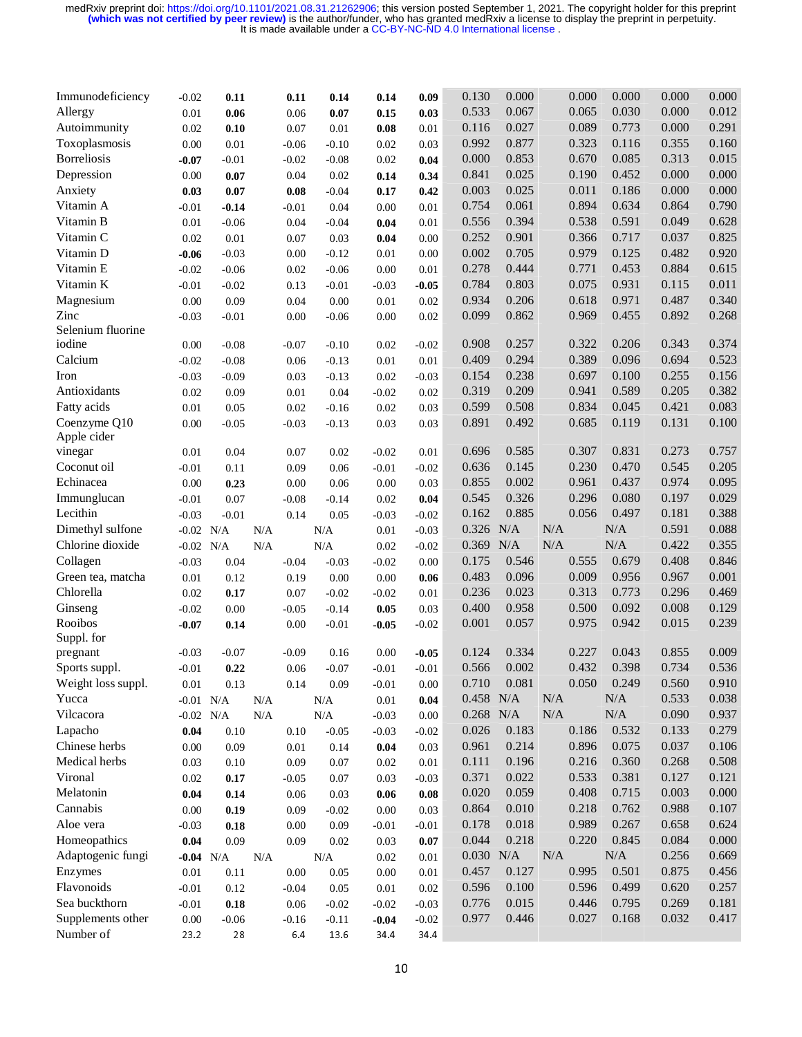| 0.533<br>0.067<br>0.065<br>0.030<br>0.000<br>0.012<br>Allergy<br>0.01<br>0.06<br>0.06<br>0.07<br>0.15<br>0.03<br>0.291<br>0.116<br>0.027<br>0.089<br>0.773<br>0.000<br>Autoimmunity<br>0.02<br>0.01<br>0.10<br>0.07<br>0.08<br>0.01<br>Toxoplasmosis<br>0.992<br>0.877<br>0.323<br>0.116<br>0.355<br>0.160<br>0.00<br>0.01<br>$-0.06$<br>$-0.10$<br>0.02<br>0.03<br>0.000<br>0.853<br>0.670<br>0.085<br>0.313<br>0.015<br><b>Borreliosis</b><br>$-0.07$<br>$-0.01$<br>$-0.02$<br>$-0.08$<br>0.02<br>0.04<br>0.000<br>0.841<br>0.025<br>0.190<br>0.452<br>0.000<br>Depression<br>0.00<br>0.07<br>0.02<br>0.04<br>0.14<br>0.34<br>0.003<br>0.025<br>0.011<br>0.186<br>0.000<br>0.000<br>Anxiety<br>0.07<br>$-0.04$<br>0.03<br>$0.08\,$<br>0.17<br>0.42<br>Vitamin A<br>0.754<br>0.061<br>0.894<br>0.634<br>0.864<br>0.790<br>0.04<br>$-0.01$<br>$-0.14$<br>$-0.01$<br>0.00<br>0.01<br>Vitamin B<br>0.556<br>0.394<br>0.538<br>0.591<br>0.049<br>0.628<br>$0.01\,$<br>$-0.06$<br>$-0.04$<br>0.01<br>0.04<br>0.04<br>0.825<br>Vitamin C<br>0.252<br>0.901<br>0.366<br>0.717<br>0.037<br>0.02<br>0.01<br>0.07<br>0.03<br>0.00<br>0.04<br>0.002<br>0.920<br>Vitamin D<br>0.705<br>0.979<br>0.125<br>0.482<br>$-0.03$<br>0.00<br>$-0.12$<br>0.01<br>0.00<br>$-0.06$<br>0.278<br>0.884<br>Vitamin E<br>0.444<br>0.771<br>0.453<br>0.615<br>$-0.02$<br>$-0.06$<br>0.02<br>$-0.06$<br>0.00<br>0.01<br>Vitamin K<br>0.784<br>0.803<br>0.075<br>0.931<br>0.115<br>0.011<br>$-0.01$<br>$-0.02$<br>0.13<br>$-0.01$<br>$-0.03$<br>$-0.05$<br>0.340<br>0.934<br>0.206<br>0.618<br>0.971<br>0.487<br>Magnesium<br>0.00<br>0.09<br>0.00<br>0.01<br>0.04<br>0.02<br>0.099<br>0.862<br>0.969<br>0.455<br>0.892<br>0.268<br>Zinc<br>$-0.03$<br>$-0.01$<br>0.00<br>$-0.06$<br>0.00<br>0.02<br>Selenium fluorine<br>iodine<br>0.908<br>0.257<br>0.322<br>0.206<br>0.343<br>0.374<br>$0.00\,$<br>$-0.08$<br>$-0.07$<br>$-0.10$<br>0.02<br>$-0.02$<br>Calcium<br>0.409<br>0.294<br>0.389<br>0.096<br>0.694<br>0.523<br>$-0.02$<br>$-0.08$<br>0.06<br>$-0.13$<br>0.01<br>0.01<br>0.154<br>0.238<br>0.697<br>0.100<br>0.255<br>0.156<br>Iron<br>$-0.03$<br>$-0.09$<br>0.03<br>$-0.13$<br>0.02<br>$-0.03$<br>0.319<br>0.205<br>0.382<br>Antioxidants<br>0.209<br>0.941<br>0.589<br>$0.02\,$<br>0.04<br>0.09<br>$0.01\,$<br>$-0.02$<br>0.02<br>0.834<br>0.045<br>0.421<br>0.083<br>0.599<br>0.508<br>Fatty acids<br>$0.01\,$<br>0.05<br>0.02<br>$-0.16$<br>0.02<br>0.03<br>0.131<br>Coenzyme Q10<br>0.891<br>0.492<br>0.685<br>0.119<br>0.100<br>$0.00\,$<br>$-0.05$<br>$-0.03$<br>$-0.13$<br>0.03<br>0.03<br>Apple cider<br>0.757<br>0.696<br>0.585<br>0.307<br>0.831<br>0.273<br>vinegar<br>0.04<br>0.02<br>0.01<br>0.07<br>$-0.02$<br>0.01<br>0.545<br>0.205<br>Coconut oil<br>0.636<br>0.145<br>0.230<br>0.470<br>$-0.01$<br>0.11<br>0.06<br>0.09<br>$-0.01$<br>$-0.02$<br>Echinacea<br>0.002<br>0.974<br>0.095<br>0.855<br>0.961<br>0.437<br>0.00<br>0.06<br>0.23<br>0.00<br>0.00<br>0.03<br>0.296<br>0.197<br>0.029<br>0.545<br>0.326<br>0.080<br>Immunglucan<br>$-0.01$<br>0.07<br>$-0.08$<br>$-0.14$<br>0.02<br>0.04<br>Lecithin<br>0.885<br>0.056<br>0.181<br>0.388<br>0.162<br>0.497<br>$-0.03$<br>$-0.01$<br>0.14<br>0.05<br>$-0.03$<br>$-0.02$<br>N/A<br>N/A<br>N/A<br>0.591<br>0.088<br>Dimethyl sulfone<br>0.326<br>$-0.02$ N/A<br>$\rm N/A$<br>$\rm N/A$<br>0.01<br>$-0.03$<br>N/A<br>N/A<br>0.422<br>0.355<br>Chlorine dioxide<br>0.369<br>N/A<br>N/A<br>$-0.02$ N/A<br>$\rm N/A$<br>0.02<br>$-0.02$<br>0.408<br>0.846<br>Collagen<br>0.175<br>0.546<br>0.555<br>0.679<br>$-0.03$<br>$-0.03$<br>0.04<br>$-0.04$<br>$-0.02$<br>0.00<br>0.483<br>0.009<br>0.001<br>Green tea, matcha<br>0.096<br>0.956<br>0.967<br>$0.01\,$<br>$0.00\,$<br>0.12<br>0.19<br>0.00<br>0.06<br>0.023<br>0.773<br>0.469<br>Chlorella<br>0.236<br>0.313<br>0.296<br>0.02<br>$-0.02$<br>0.17<br>0.07<br>$-0.02$<br>0.01<br>0.400<br>0.958<br>0.092<br>0.008<br>0.129<br>0.500<br>Ginseng<br>$-0.02$<br>0.00<br>0.03<br>$-0.05$<br>$-0.14$<br>0.05<br>Rooibos<br>0.001<br>0.942<br>0.239<br>0.057<br>0.975<br>0.015<br>$-0.07$<br>0.14<br>$-0.01$<br>$0.00\,$<br>$-0.05$<br>$-0.02$<br>Suppl. for<br>0.009<br>0.124<br>0.334<br>0.227<br>0.043<br>0.855<br>$-0.07$<br>pregnant<br>$-0.09$<br>0.16<br>0.00<br>$-0.03$<br>$-0.05$<br>0.432<br>0.566<br>0.002<br>0.398<br>0.734<br>0.536<br>Sports suppl.<br>$-0.01$<br>0.06<br>$-0.07$<br>$-0.01$<br>0.22<br>$-0.01$<br>0.081<br>0.050<br>0.249<br>0.560<br>0.910<br>Weight loss suppl.<br>0.710<br>0.13<br>0.01<br>0.14<br>0.09<br>$-0.01$<br>0.00<br>0.458<br>N/A<br>N/A<br>$\rm N/A$<br>0.533<br>0.038<br>Yucca<br>$0.01\,$<br>$-0.01$ N/A<br>$\rm N/A$<br>0.04<br>N/A<br>$0.268$ N/A<br>N/A<br>$\rm N/A$<br>0.090<br>Vilcacora<br>0.937<br>$\rm N/A$<br>$-0.02$ N/A<br>N/A<br>$-0.03$<br>0.00<br>0.026<br>0.183<br>0.532<br>0.279<br>Lapacho<br>0.186<br>0.133<br>0.04<br>0.10<br>0.10<br>$-0.05$<br>$-0.03$<br>$-0.02$<br>0.961<br>0.075<br>0.037<br>0.106<br>Chinese herbs<br>0.214<br>0.896<br>$0.00\,$<br>0.09<br>$0.01\,$<br>0.14<br>0.04<br>0.03<br>Medical herbs<br>0.111<br>0.196<br>0.360<br>0.508<br>0.216<br>0.268<br>0.03<br>0.07<br>0.10<br>0.09<br>0.02<br>0.01<br>Vironal<br>0.371<br>0.022<br>0.381<br>0.127<br>0.121<br>0.533<br>$0.02\,$<br>0.07<br>0.03<br>$-0.05$<br>$-0.03$<br>0.17<br>0.020<br>0.715<br>0.003<br>0.000<br>Melatonin<br>0.059<br>0.408<br>0.03<br>0.04<br>0.14<br>0.06<br>0.06<br>0.08<br>Cannabis<br>0.864<br>0.010<br>0.218<br>0.762<br>0.988<br>0.107<br>$0.00\,$<br>0.19<br>0.09<br>$-0.02$<br>0.00<br>0.03<br>0.989<br>0.267<br>0.658<br>0.624<br>Aloe vera<br>0.178<br>0.018<br>0.09<br>$-0.03$<br>0.18<br>0.00<br>$-0.01$<br>$-0.01$<br>0.044<br>0.218<br>0.220<br>0.845<br>0.084<br>0.000<br>Homeopathics<br>0.04<br>0.09<br>0.09<br>0.02<br>0.03<br>0.07<br>0.030<br>N/A<br>$\rm N/A$<br>0.256<br>Adaptogenic fungi<br>N/A<br>0.669<br>N/A<br>0.02<br>$-0.04$ N/A<br>N/A<br>0.01<br>0.457<br>0.127<br>0.995<br>0.501<br>0.875<br>Enzymes<br>0.456<br>0.01<br>$0.00\,$<br>0.11<br>0.00<br>0.05<br>0.01<br>Flavonoids<br>0.596<br>0.100<br>0.596<br>0.499<br>0.620<br>0.257<br>$-0.01$<br>0.05<br>0.01<br>0.12<br>$-0.04$<br>0.02<br>Sea buckthorn<br>0.776<br>0.015<br>0.795<br>0.269<br>0.181<br>0.446<br>$-0.01$<br>0.18<br>0.06<br>$-0.02$<br>$-0.02$<br>$-0.03$<br>0.977<br>0.032<br>Supplements other<br>0.446<br>0.027<br>0.168<br>0.417<br>$0.00\,$<br>$-0.06$<br>$-0.16$<br>$-0.11$<br>$-0.04$<br>$-0.02$<br>Number of<br>23.2<br>28<br>6.4<br>34.4<br>13.6<br>34.4 | Immunodeficiency | $-0.02$ | 0.11 | 0.11 | 0.14 | 0.14 | 0.09 | 0.130 | 0.000 | 0.000 | 0.000 | 0.000 | 0.000 |
|-------------------------------------------------------------------------------------------------------------------------------------------------------------------------------------------------------------------------------------------------------------------------------------------------------------------------------------------------------------------------------------------------------------------------------------------------------------------------------------------------------------------------------------------------------------------------------------------------------------------------------------------------------------------------------------------------------------------------------------------------------------------------------------------------------------------------------------------------------------------------------------------------------------------------------------------------------------------------------------------------------------------------------------------------------------------------------------------------------------------------------------------------------------------------------------------------------------------------------------------------------------------------------------------------------------------------------------------------------------------------------------------------------------------------------------------------------------------------------------------------------------------------------------------------------------------------------------------------------------------------------------------------------------------------------------------------------------------------------------------------------------------------------------------------------------------------------------------------------------------------------------------------------------------------------------------------------------------------------------------------------------------------------------------------------------------------------------------------------------------------------------------------------------------------------------------------------------------------------------------------------------------------------------------------------------------------------------------------------------------------------------------------------------------------------------------------------------------------------------------------------------------------------------------------------------------------------------------------------------------------------------------------------------------------------------------------------------------------------------------------------------------------------------------------------------------------------------------------------------------------------------------------------------------------------------------------------------------------------------------------------------------------------------------------------------------------------------------------------------------------------------------------------------------------------------------------------------------------------------------------------------------------------------------------------------------------------------------------------------------------------------------------------------------------------------------------------------------------------------------------------------------------------------------------------------------------------------------------------------------------------------------------------------------------------------------------------------------------------------------------------------------------------------------------------------------------------------------------------------------------------------------------------------------------------------------------------------------------------------------------------------------------------------------------------------------------------------------------------------------------------------------------------------------------------------------------------------------------------------------------------------------------------------------------------------------------------------------------------------------------------------------------------------------------------------------------------------------------------------------------------------------------------------------------------------------------------------------------------------------------------------------------------------------------------------------------------------------------------------------------------------------------------------------------------------------------------------------------------------------------------------------------------------------------------------------------------------------------------------------------------------------------------------------------------------------------------------------------------------------------------------------------------------------------------------------------------------------------------------------------------------------------------------------------------------------------------------------------------------------------------------------------------------------------------------------------------------------------------------------------------------------------------------------------------------------------------------------------------------------------------------------------------------------------------------------------------------------------------------------------------------------------------------------------------------------------------------------------------------------------------------------------------------------------------------------------------------------------------------------------------------------------------------------------------------------------------------------------------------------------------------------------------------------------------------------------------------------------------------------------------------------------------------------------------------------------------------------------------------------------------------------------------------------------------------------------------------------------------------------------------------------------------------|------------------|---------|------|------|------|------|------|-------|-------|-------|-------|-------|-------|
|                                                                                                                                                                                                                                                                                                                                                                                                                                                                                                                                                                                                                                                                                                                                                                                                                                                                                                                                                                                                                                                                                                                                                                                                                                                                                                                                                                                                                                                                                                                                                                                                                                                                                                                                                                                                                                                                                                                                                                                                                                                                                                                                                                                                                                                                                                                                                                                                                                                                                                                                                                                                                                                                                                                                                                                                                                                                                                                                                                                                                                                                                                                                                                                                                                                                                                                                                                                                                                                                                                                                                                                                                                                                                                                                                                                                                                                                                                                                                                                                                                                                                                                                                                                                                                                                                                                                                                                                                                                                                                                                                                                                                                                                                                                                                                                                                                                                                                                                                                                                                                                                                                                                                                                                                                                                                                                                                                                                                                                                                                                                                                                                                                                                                                                                                                                                                                                                                                                                                                                                                                                                                                                                                                                                                                                                                                                                                                                                                                                                                                                                     |                  |         |      |      |      |      |      |       |       |       |       |       |       |
|                                                                                                                                                                                                                                                                                                                                                                                                                                                                                                                                                                                                                                                                                                                                                                                                                                                                                                                                                                                                                                                                                                                                                                                                                                                                                                                                                                                                                                                                                                                                                                                                                                                                                                                                                                                                                                                                                                                                                                                                                                                                                                                                                                                                                                                                                                                                                                                                                                                                                                                                                                                                                                                                                                                                                                                                                                                                                                                                                                                                                                                                                                                                                                                                                                                                                                                                                                                                                                                                                                                                                                                                                                                                                                                                                                                                                                                                                                                                                                                                                                                                                                                                                                                                                                                                                                                                                                                                                                                                                                                                                                                                                                                                                                                                                                                                                                                                                                                                                                                                                                                                                                                                                                                                                                                                                                                                                                                                                                                                                                                                                                                                                                                                                                                                                                                                                                                                                                                                                                                                                                                                                                                                                                                                                                                                                                                                                                                                                                                                                                                                     |                  |         |      |      |      |      |      |       |       |       |       |       |       |
|                                                                                                                                                                                                                                                                                                                                                                                                                                                                                                                                                                                                                                                                                                                                                                                                                                                                                                                                                                                                                                                                                                                                                                                                                                                                                                                                                                                                                                                                                                                                                                                                                                                                                                                                                                                                                                                                                                                                                                                                                                                                                                                                                                                                                                                                                                                                                                                                                                                                                                                                                                                                                                                                                                                                                                                                                                                                                                                                                                                                                                                                                                                                                                                                                                                                                                                                                                                                                                                                                                                                                                                                                                                                                                                                                                                                                                                                                                                                                                                                                                                                                                                                                                                                                                                                                                                                                                                                                                                                                                                                                                                                                                                                                                                                                                                                                                                                                                                                                                                                                                                                                                                                                                                                                                                                                                                                                                                                                                                                                                                                                                                                                                                                                                                                                                                                                                                                                                                                                                                                                                                                                                                                                                                                                                                                                                                                                                                                                                                                                                                                     |                  |         |      |      |      |      |      |       |       |       |       |       |       |
|                                                                                                                                                                                                                                                                                                                                                                                                                                                                                                                                                                                                                                                                                                                                                                                                                                                                                                                                                                                                                                                                                                                                                                                                                                                                                                                                                                                                                                                                                                                                                                                                                                                                                                                                                                                                                                                                                                                                                                                                                                                                                                                                                                                                                                                                                                                                                                                                                                                                                                                                                                                                                                                                                                                                                                                                                                                                                                                                                                                                                                                                                                                                                                                                                                                                                                                                                                                                                                                                                                                                                                                                                                                                                                                                                                                                                                                                                                                                                                                                                                                                                                                                                                                                                                                                                                                                                                                                                                                                                                                                                                                                                                                                                                                                                                                                                                                                                                                                                                                                                                                                                                                                                                                                                                                                                                                                                                                                                                                                                                                                                                                                                                                                                                                                                                                                                                                                                                                                                                                                                                                                                                                                                                                                                                                                                                                                                                                                                                                                                                                                     |                  |         |      |      |      |      |      |       |       |       |       |       |       |
|                                                                                                                                                                                                                                                                                                                                                                                                                                                                                                                                                                                                                                                                                                                                                                                                                                                                                                                                                                                                                                                                                                                                                                                                                                                                                                                                                                                                                                                                                                                                                                                                                                                                                                                                                                                                                                                                                                                                                                                                                                                                                                                                                                                                                                                                                                                                                                                                                                                                                                                                                                                                                                                                                                                                                                                                                                                                                                                                                                                                                                                                                                                                                                                                                                                                                                                                                                                                                                                                                                                                                                                                                                                                                                                                                                                                                                                                                                                                                                                                                                                                                                                                                                                                                                                                                                                                                                                                                                                                                                                                                                                                                                                                                                                                                                                                                                                                                                                                                                                                                                                                                                                                                                                                                                                                                                                                                                                                                                                                                                                                                                                                                                                                                                                                                                                                                                                                                                                                                                                                                                                                                                                                                                                                                                                                                                                                                                                                                                                                                                                                     |                  |         |      |      |      |      |      |       |       |       |       |       |       |
|                                                                                                                                                                                                                                                                                                                                                                                                                                                                                                                                                                                                                                                                                                                                                                                                                                                                                                                                                                                                                                                                                                                                                                                                                                                                                                                                                                                                                                                                                                                                                                                                                                                                                                                                                                                                                                                                                                                                                                                                                                                                                                                                                                                                                                                                                                                                                                                                                                                                                                                                                                                                                                                                                                                                                                                                                                                                                                                                                                                                                                                                                                                                                                                                                                                                                                                                                                                                                                                                                                                                                                                                                                                                                                                                                                                                                                                                                                                                                                                                                                                                                                                                                                                                                                                                                                                                                                                                                                                                                                                                                                                                                                                                                                                                                                                                                                                                                                                                                                                                                                                                                                                                                                                                                                                                                                                                                                                                                                                                                                                                                                                                                                                                                                                                                                                                                                                                                                                                                                                                                                                                                                                                                                                                                                                                                                                                                                                                                                                                                                                                     |                  |         |      |      |      |      |      |       |       |       |       |       |       |
|                                                                                                                                                                                                                                                                                                                                                                                                                                                                                                                                                                                                                                                                                                                                                                                                                                                                                                                                                                                                                                                                                                                                                                                                                                                                                                                                                                                                                                                                                                                                                                                                                                                                                                                                                                                                                                                                                                                                                                                                                                                                                                                                                                                                                                                                                                                                                                                                                                                                                                                                                                                                                                                                                                                                                                                                                                                                                                                                                                                                                                                                                                                                                                                                                                                                                                                                                                                                                                                                                                                                                                                                                                                                                                                                                                                                                                                                                                                                                                                                                                                                                                                                                                                                                                                                                                                                                                                                                                                                                                                                                                                                                                                                                                                                                                                                                                                                                                                                                                                                                                                                                                                                                                                                                                                                                                                                                                                                                                                                                                                                                                                                                                                                                                                                                                                                                                                                                                                                                                                                                                                                                                                                                                                                                                                                                                                                                                                                                                                                                                                                     |                  |         |      |      |      |      |      |       |       |       |       |       |       |
|                                                                                                                                                                                                                                                                                                                                                                                                                                                                                                                                                                                                                                                                                                                                                                                                                                                                                                                                                                                                                                                                                                                                                                                                                                                                                                                                                                                                                                                                                                                                                                                                                                                                                                                                                                                                                                                                                                                                                                                                                                                                                                                                                                                                                                                                                                                                                                                                                                                                                                                                                                                                                                                                                                                                                                                                                                                                                                                                                                                                                                                                                                                                                                                                                                                                                                                                                                                                                                                                                                                                                                                                                                                                                                                                                                                                                                                                                                                                                                                                                                                                                                                                                                                                                                                                                                                                                                                                                                                                                                                                                                                                                                                                                                                                                                                                                                                                                                                                                                                                                                                                                                                                                                                                                                                                                                                                                                                                                                                                                                                                                                                                                                                                                                                                                                                                                                                                                                                                                                                                                                                                                                                                                                                                                                                                                                                                                                                                                                                                                                                                     |                  |         |      |      |      |      |      |       |       |       |       |       |       |
|                                                                                                                                                                                                                                                                                                                                                                                                                                                                                                                                                                                                                                                                                                                                                                                                                                                                                                                                                                                                                                                                                                                                                                                                                                                                                                                                                                                                                                                                                                                                                                                                                                                                                                                                                                                                                                                                                                                                                                                                                                                                                                                                                                                                                                                                                                                                                                                                                                                                                                                                                                                                                                                                                                                                                                                                                                                                                                                                                                                                                                                                                                                                                                                                                                                                                                                                                                                                                                                                                                                                                                                                                                                                                                                                                                                                                                                                                                                                                                                                                                                                                                                                                                                                                                                                                                                                                                                                                                                                                                                                                                                                                                                                                                                                                                                                                                                                                                                                                                                                                                                                                                                                                                                                                                                                                                                                                                                                                                                                                                                                                                                                                                                                                                                                                                                                                                                                                                                                                                                                                                                                                                                                                                                                                                                                                                                                                                                                                                                                                                                                     |                  |         |      |      |      |      |      |       |       |       |       |       |       |
|                                                                                                                                                                                                                                                                                                                                                                                                                                                                                                                                                                                                                                                                                                                                                                                                                                                                                                                                                                                                                                                                                                                                                                                                                                                                                                                                                                                                                                                                                                                                                                                                                                                                                                                                                                                                                                                                                                                                                                                                                                                                                                                                                                                                                                                                                                                                                                                                                                                                                                                                                                                                                                                                                                                                                                                                                                                                                                                                                                                                                                                                                                                                                                                                                                                                                                                                                                                                                                                                                                                                                                                                                                                                                                                                                                                                                                                                                                                                                                                                                                                                                                                                                                                                                                                                                                                                                                                                                                                                                                                                                                                                                                                                                                                                                                                                                                                                                                                                                                                                                                                                                                                                                                                                                                                                                                                                                                                                                                                                                                                                                                                                                                                                                                                                                                                                                                                                                                                                                                                                                                                                                                                                                                                                                                                                                                                                                                                                                                                                                                                                     |                  |         |      |      |      |      |      |       |       |       |       |       |       |
|                                                                                                                                                                                                                                                                                                                                                                                                                                                                                                                                                                                                                                                                                                                                                                                                                                                                                                                                                                                                                                                                                                                                                                                                                                                                                                                                                                                                                                                                                                                                                                                                                                                                                                                                                                                                                                                                                                                                                                                                                                                                                                                                                                                                                                                                                                                                                                                                                                                                                                                                                                                                                                                                                                                                                                                                                                                                                                                                                                                                                                                                                                                                                                                                                                                                                                                                                                                                                                                                                                                                                                                                                                                                                                                                                                                                                                                                                                                                                                                                                                                                                                                                                                                                                                                                                                                                                                                                                                                                                                                                                                                                                                                                                                                                                                                                                                                                                                                                                                                                                                                                                                                                                                                                                                                                                                                                                                                                                                                                                                                                                                                                                                                                                                                                                                                                                                                                                                                                                                                                                                                                                                                                                                                                                                                                                                                                                                                                                                                                                                                                     |                  |         |      |      |      |      |      |       |       |       |       |       |       |
|                                                                                                                                                                                                                                                                                                                                                                                                                                                                                                                                                                                                                                                                                                                                                                                                                                                                                                                                                                                                                                                                                                                                                                                                                                                                                                                                                                                                                                                                                                                                                                                                                                                                                                                                                                                                                                                                                                                                                                                                                                                                                                                                                                                                                                                                                                                                                                                                                                                                                                                                                                                                                                                                                                                                                                                                                                                                                                                                                                                                                                                                                                                                                                                                                                                                                                                                                                                                                                                                                                                                                                                                                                                                                                                                                                                                                                                                                                                                                                                                                                                                                                                                                                                                                                                                                                                                                                                                                                                                                                                                                                                                                                                                                                                                                                                                                                                                                                                                                                                                                                                                                                                                                                                                                                                                                                                                                                                                                                                                                                                                                                                                                                                                                                                                                                                                                                                                                                                                                                                                                                                                                                                                                                                                                                                                                                                                                                                                                                                                                                                                     |                  |         |      |      |      |      |      |       |       |       |       |       |       |
|                                                                                                                                                                                                                                                                                                                                                                                                                                                                                                                                                                                                                                                                                                                                                                                                                                                                                                                                                                                                                                                                                                                                                                                                                                                                                                                                                                                                                                                                                                                                                                                                                                                                                                                                                                                                                                                                                                                                                                                                                                                                                                                                                                                                                                                                                                                                                                                                                                                                                                                                                                                                                                                                                                                                                                                                                                                                                                                                                                                                                                                                                                                                                                                                                                                                                                                                                                                                                                                                                                                                                                                                                                                                                                                                                                                                                                                                                                                                                                                                                                                                                                                                                                                                                                                                                                                                                                                                                                                                                                                                                                                                                                                                                                                                                                                                                                                                                                                                                                                                                                                                                                                                                                                                                                                                                                                                                                                                                                                                                                                                                                                                                                                                                                                                                                                                                                                                                                                                                                                                                                                                                                                                                                                                                                                                                                                                                                                                                                                                                                                                     |                  |         |      |      |      |      |      |       |       |       |       |       |       |
|                                                                                                                                                                                                                                                                                                                                                                                                                                                                                                                                                                                                                                                                                                                                                                                                                                                                                                                                                                                                                                                                                                                                                                                                                                                                                                                                                                                                                                                                                                                                                                                                                                                                                                                                                                                                                                                                                                                                                                                                                                                                                                                                                                                                                                                                                                                                                                                                                                                                                                                                                                                                                                                                                                                                                                                                                                                                                                                                                                                                                                                                                                                                                                                                                                                                                                                                                                                                                                                                                                                                                                                                                                                                                                                                                                                                                                                                                                                                                                                                                                                                                                                                                                                                                                                                                                                                                                                                                                                                                                                                                                                                                                                                                                                                                                                                                                                                                                                                                                                                                                                                                                                                                                                                                                                                                                                                                                                                                                                                                                                                                                                                                                                                                                                                                                                                                                                                                                                                                                                                                                                                                                                                                                                                                                                                                                                                                                                                                                                                                                                                     |                  |         |      |      |      |      |      |       |       |       |       |       |       |
|                                                                                                                                                                                                                                                                                                                                                                                                                                                                                                                                                                                                                                                                                                                                                                                                                                                                                                                                                                                                                                                                                                                                                                                                                                                                                                                                                                                                                                                                                                                                                                                                                                                                                                                                                                                                                                                                                                                                                                                                                                                                                                                                                                                                                                                                                                                                                                                                                                                                                                                                                                                                                                                                                                                                                                                                                                                                                                                                                                                                                                                                                                                                                                                                                                                                                                                                                                                                                                                                                                                                                                                                                                                                                                                                                                                                                                                                                                                                                                                                                                                                                                                                                                                                                                                                                                                                                                                                                                                                                                                                                                                                                                                                                                                                                                                                                                                                                                                                                                                                                                                                                                                                                                                                                                                                                                                                                                                                                                                                                                                                                                                                                                                                                                                                                                                                                                                                                                                                                                                                                                                                                                                                                                                                                                                                                                                                                                                                                                                                                                                                     |                  |         |      |      |      |      |      |       |       |       |       |       |       |
|                                                                                                                                                                                                                                                                                                                                                                                                                                                                                                                                                                                                                                                                                                                                                                                                                                                                                                                                                                                                                                                                                                                                                                                                                                                                                                                                                                                                                                                                                                                                                                                                                                                                                                                                                                                                                                                                                                                                                                                                                                                                                                                                                                                                                                                                                                                                                                                                                                                                                                                                                                                                                                                                                                                                                                                                                                                                                                                                                                                                                                                                                                                                                                                                                                                                                                                                                                                                                                                                                                                                                                                                                                                                                                                                                                                                                                                                                                                                                                                                                                                                                                                                                                                                                                                                                                                                                                                                                                                                                                                                                                                                                                                                                                                                                                                                                                                                                                                                                                                                                                                                                                                                                                                                                                                                                                                                                                                                                                                                                                                                                                                                                                                                                                                                                                                                                                                                                                                                                                                                                                                                                                                                                                                                                                                                                                                                                                                                                                                                                                                                     |                  |         |      |      |      |      |      |       |       |       |       |       |       |
|                                                                                                                                                                                                                                                                                                                                                                                                                                                                                                                                                                                                                                                                                                                                                                                                                                                                                                                                                                                                                                                                                                                                                                                                                                                                                                                                                                                                                                                                                                                                                                                                                                                                                                                                                                                                                                                                                                                                                                                                                                                                                                                                                                                                                                                                                                                                                                                                                                                                                                                                                                                                                                                                                                                                                                                                                                                                                                                                                                                                                                                                                                                                                                                                                                                                                                                                                                                                                                                                                                                                                                                                                                                                                                                                                                                                                                                                                                                                                                                                                                                                                                                                                                                                                                                                                                                                                                                                                                                                                                                                                                                                                                                                                                                                                                                                                                                                                                                                                                                                                                                                                                                                                                                                                                                                                                                                                                                                                                                                                                                                                                                                                                                                                                                                                                                                                                                                                                                                                                                                                                                                                                                                                                                                                                                                                                                                                                                                                                                                                                                                     |                  |         |      |      |      |      |      |       |       |       |       |       |       |
|                                                                                                                                                                                                                                                                                                                                                                                                                                                                                                                                                                                                                                                                                                                                                                                                                                                                                                                                                                                                                                                                                                                                                                                                                                                                                                                                                                                                                                                                                                                                                                                                                                                                                                                                                                                                                                                                                                                                                                                                                                                                                                                                                                                                                                                                                                                                                                                                                                                                                                                                                                                                                                                                                                                                                                                                                                                                                                                                                                                                                                                                                                                                                                                                                                                                                                                                                                                                                                                                                                                                                                                                                                                                                                                                                                                                                                                                                                                                                                                                                                                                                                                                                                                                                                                                                                                                                                                                                                                                                                                                                                                                                                                                                                                                                                                                                                                                                                                                                                                                                                                                                                                                                                                                                                                                                                                                                                                                                                                                                                                                                                                                                                                                                                                                                                                                                                                                                                                                                                                                                                                                                                                                                                                                                                                                                                                                                                                                                                                                                                                                     |                  |         |      |      |      |      |      |       |       |       |       |       |       |
|                                                                                                                                                                                                                                                                                                                                                                                                                                                                                                                                                                                                                                                                                                                                                                                                                                                                                                                                                                                                                                                                                                                                                                                                                                                                                                                                                                                                                                                                                                                                                                                                                                                                                                                                                                                                                                                                                                                                                                                                                                                                                                                                                                                                                                                                                                                                                                                                                                                                                                                                                                                                                                                                                                                                                                                                                                                                                                                                                                                                                                                                                                                                                                                                                                                                                                                                                                                                                                                                                                                                                                                                                                                                                                                                                                                                                                                                                                                                                                                                                                                                                                                                                                                                                                                                                                                                                                                                                                                                                                                                                                                                                                                                                                                                                                                                                                                                                                                                                                                                                                                                                                                                                                                                                                                                                                                                                                                                                                                                                                                                                                                                                                                                                                                                                                                                                                                                                                                                                                                                                                                                                                                                                                                                                                                                                                                                                                                                                                                                                                                                     |                  |         |      |      |      |      |      |       |       |       |       |       |       |
|                                                                                                                                                                                                                                                                                                                                                                                                                                                                                                                                                                                                                                                                                                                                                                                                                                                                                                                                                                                                                                                                                                                                                                                                                                                                                                                                                                                                                                                                                                                                                                                                                                                                                                                                                                                                                                                                                                                                                                                                                                                                                                                                                                                                                                                                                                                                                                                                                                                                                                                                                                                                                                                                                                                                                                                                                                                                                                                                                                                                                                                                                                                                                                                                                                                                                                                                                                                                                                                                                                                                                                                                                                                                                                                                                                                                                                                                                                                                                                                                                                                                                                                                                                                                                                                                                                                                                                                                                                                                                                                                                                                                                                                                                                                                                                                                                                                                                                                                                                                                                                                                                                                                                                                                                                                                                                                                                                                                                                                                                                                                                                                                                                                                                                                                                                                                                                                                                                                                                                                                                                                                                                                                                                                                                                                                                                                                                                                                                                                                                                                                     |                  |         |      |      |      |      |      |       |       |       |       |       |       |
|                                                                                                                                                                                                                                                                                                                                                                                                                                                                                                                                                                                                                                                                                                                                                                                                                                                                                                                                                                                                                                                                                                                                                                                                                                                                                                                                                                                                                                                                                                                                                                                                                                                                                                                                                                                                                                                                                                                                                                                                                                                                                                                                                                                                                                                                                                                                                                                                                                                                                                                                                                                                                                                                                                                                                                                                                                                                                                                                                                                                                                                                                                                                                                                                                                                                                                                                                                                                                                                                                                                                                                                                                                                                                                                                                                                                                                                                                                                                                                                                                                                                                                                                                                                                                                                                                                                                                                                                                                                                                                                                                                                                                                                                                                                                                                                                                                                                                                                                                                                                                                                                                                                                                                                                                                                                                                                                                                                                                                                                                                                                                                                                                                                                                                                                                                                                                                                                                                                                                                                                                                                                                                                                                                                                                                                                                                                                                                                                                                                                                                                                     |                  |         |      |      |      |      |      |       |       |       |       |       |       |
|                                                                                                                                                                                                                                                                                                                                                                                                                                                                                                                                                                                                                                                                                                                                                                                                                                                                                                                                                                                                                                                                                                                                                                                                                                                                                                                                                                                                                                                                                                                                                                                                                                                                                                                                                                                                                                                                                                                                                                                                                                                                                                                                                                                                                                                                                                                                                                                                                                                                                                                                                                                                                                                                                                                                                                                                                                                                                                                                                                                                                                                                                                                                                                                                                                                                                                                                                                                                                                                                                                                                                                                                                                                                                                                                                                                                                                                                                                                                                                                                                                                                                                                                                                                                                                                                                                                                                                                                                                                                                                                                                                                                                                                                                                                                                                                                                                                                                                                                                                                                                                                                                                                                                                                                                                                                                                                                                                                                                                                                                                                                                                                                                                                                                                                                                                                                                                                                                                                                                                                                                                                                                                                                                                                                                                                                                                                                                                                                                                                                                                                                     |                  |         |      |      |      |      |      |       |       |       |       |       |       |
|                                                                                                                                                                                                                                                                                                                                                                                                                                                                                                                                                                                                                                                                                                                                                                                                                                                                                                                                                                                                                                                                                                                                                                                                                                                                                                                                                                                                                                                                                                                                                                                                                                                                                                                                                                                                                                                                                                                                                                                                                                                                                                                                                                                                                                                                                                                                                                                                                                                                                                                                                                                                                                                                                                                                                                                                                                                                                                                                                                                                                                                                                                                                                                                                                                                                                                                                                                                                                                                                                                                                                                                                                                                                                                                                                                                                                                                                                                                                                                                                                                                                                                                                                                                                                                                                                                                                                                                                                                                                                                                                                                                                                                                                                                                                                                                                                                                                                                                                                                                                                                                                                                                                                                                                                                                                                                                                                                                                                                                                                                                                                                                                                                                                                                                                                                                                                                                                                                                                                                                                                                                                                                                                                                                                                                                                                                                                                                                                                                                                                                                                     |                  |         |      |      |      |      |      |       |       |       |       |       |       |
|                                                                                                                                                                                                                                                                                                                                                                                                                                                                                                                                                                                                                                                                                                                                                                                                                                                                                                                                                                                                                                                                                                                                                                                                                                                                                                                                                                                                                                                                                                                                                                                                                                                                                                                                                                                                                                                                                                                                                                                                                                                                                                                                                                                                                                                                                                                                                                                                                                                                                                                                                                                                                                                                                                                                                                                                                                                                                                                                                                                                                                                                                                                                                                                                                                                                                                                                                                                                                                                                                                                                                                                                                                                                                                                                                                                                                                                                                                                                                                                                                                                                                                                                                                                                                                                                                                                                                                                                                                                                                                                                                                                                                                                                                                                                                                                                                                                                                                                                                                                                                                                                                                                                                                                                                                                                                                                                                                                                                                                                                                                                                                                                                                                                                                                                                                                                                                                                                                                                                                                                                                                                                                                                                                                                                                                                                                                                                                                                                                                                                                                                     |                  |         |      |      |      |      |      |       |       |       |       |       |       |
|                                                                                                                                                                                                                                                                                                                                                                                                                                                                                                                                                                                                                                                                                                                                                                                                                                                                                                                                                                                                                                                                                                                                                                                                                                                                                                                                                                                                                                                                                                                                                                                                                                                                                                                                                                                                                                                                                                                                                                                                                                                                                                                                                                                                                                                                                                                                                                                                                                                                                                                                                                                                                                                                                                                                                                                                                                                                                                                                                                                                                                                                                                                                                                                                                                                                                                                                                                                                                                                                                                                                                                                                                                                                                                                                                                                                                                                                                                                                                                                                                                                                                                                                                                                                                                                                                                                                                                                                                                                                                                                                                                                                                                                                                                                                                                                                                                                                                                                                                                                                                                                                                                                                                                                                                                                                                                                                                                                                                                                                                                                                                                                                                                                                                                                                                                                                                                                                                                                                                                                                                                                                                                                                                                                                                                                                                                                                                                                                                                                                                                                                     |                  |         |      |      |      |      |      |       |       |       |       |       |       |
|                                                                                                                                                                                                                                                                                                                                                                                                                                                                                                                                                                                                                                                                                                                                                                                                                                                                                                                                                                                                                                                                                                                                                                                                                                                                                                                                                                                                                                                                                                                                                                                                                                                                                                                                                                                                                                                                                                                                                                                                                                                                                                                                                                                                                                                                                                                                                                                                                                                                                                                                                                                                                                                                                                                                                                                                                                                                                                                                                                                                                                                                                                                                                                                                                                                                                                                                                                                                                                                                                                                                                                                                                                                                                                                                                                                                                                                                                                                                                                                                                                                                                                                                                                                                                                                                                                                                                                                                                                                                                                                                                                                                                                                                                                                                                                                                                                                                                                                                                                                                                                                                                                                                                                                                                                                                                                                                                                                                                                                                                                                                                                                                                                                                                                                                                                                                                                                                                                                                                                                                                                                                                                                                                                                                                                                                                                                                                                                                                                                                                                                                     |                  |         |      |      |      |      |      |       |       |       |       |       |       |
|                                                                                                                                                                                                                                                                                                                                                                                                                                                                                                                                                                                                                                                                                                                                                                                                                                                                                                                                                                                                                                                                                                                                                                                                                                                                                                                                                                                                                                                                                                                                                                                                                                                                                                                                                                                                                                                                                                                                                                                                                                                                                                                                                                                                                                                                                                                                                                                                                                                                                                                                                                                                                                                                                                                                                                                                                                                                                                                                                                                                                                                                                                                                                                                                                                                                                                                                                                                                                                                                                                                                                                                                                                                                                                                                                                                                                                                                                                                                                                                                                                                                                                                                                                                                                                                                                                                                                                                                                                                                                                                                                                                                                                                                                                                                                                                                                                                                                                                                                                                                                                                                                                                                                                                                                                                                                                                                                                                                                                                                                                                                                                                                                                                                                                                                                                                                                                                                                                                                                                                                                                                                                                                                                                                                                                                                                                                                                                                                                                                                                                                                     |                  |         |      |      |      |      |      |       |       |       |       |       |       |
|                                                                                                                                                                                                                                                                                                                                                                                                                                                                                                                                                                                                                                                                                                                                                                                                                                                                                                                                                                                                                                                                                                                                                                                                                                                                                                                                                                                                                                                                                                                                                                                                                                                                                                                                                                                                                                                                                                                                                                                                                                                                                                                                                                                                                                                                                                                                                                                                                                                                                                                                                                                                                                                                                                                                                                                                                                                                                                                                                                                                                                                                                                                                                                                                                                                                                                                                                                                                                                                                                                                                                                                                                                                                                                                                                                                                                                                                                                                                                                                                                                                                                                                                                                                                                                                                                                                                                                                                                                                                                                                                                                                                                                                                                                                                                                                                                                                                                                                                                                                                                                                                                                                                                                                                                                                                                                                                                                                                                                                                                                                                                                                                                                                                                                                                                                                                                                                                                                                                                                                                                                                                                                                                                                                                                                                                                                                                                                                                                                                                                                                                     |                  |         |      |      |      |      |      |       |       |       |       |       |       |
|                                                                                                                                                                                                                                                                                                                                                                                                                                                                                                                                                                                                                                                                                                                                                                                                                                                                                                                                                                                                                                                                                                                                                                                                                                                                                                                                                                                                                                                                                                                                                                                                                                                                                                                                                                                                                                                                                                                                                                                                                                                                                                                                                                                                                                                                                                                                                                                                                                                                                                                                                                                                                                                                                                                                                                                                                                                                                                                                                                                                                                                                                                                                                                                                                                                                                                                                                                                                                                                                                                                                                                                                                                                                                                                                                                                                                                                                                                                                                                                                                                                                                                                                                                                                                                                                                                                                                                                                                                                                                                                                                                                                                                                                                                                                                                                                                                                                                                                                                                                                                                                                                                                                                                                                                                                                                                                                                                                                                                                                                                                                                                                                                                                                                                                                                                                                                                                                                                                                                                                                                                                                                                                                                                                                                                                                                                                                                                                                                                                                                                                                     |                  |         |      |      |      |      |      |       |       |       |       |       |       |
|                                                                                                                                                                                                                                                                                                                                                                                                                                                                                                                                                                                                                                                                                                                                                                                                                                                                                                                                                                                                                                                                                                                                                                                                                                                                                                                                                                                                                                                                                                                                                                                                                                                                                                                                                                                                                                                                                                                                                                                                                                                                                                                                                                                                                                                                                                                                                                                                                                                                                                                                                                                                                                                                                                                                                                                                                                                                                                                                                                                                                                                                                                                                                                                                                                                                                                                                                                                                                                                                                                                                                                                                                                                                                                                                                                                                                                                                                                                                                                                                                                                                                                                                                                                                                                                                                                                                                                                                                                                                                                                                                                                                                                                                                                                                                                                                                                                                                                                                                                                                                                                                                                                                                                                                                                                                                                                                                                                                                                                                                                                                                                                                                                                                                                                                                                                                                                                                                                                                                                                                                                                                                                                                                                                                                                                                                                                                                                                                                                                                                                                                     |                  |         |      |      |      |      |      |       |       |       |       |       |       |
|                                                                                                                                                                                                                                                                                                                                                                                                                                                                                                                                                                                                                                                                                                                                                                                                                                                                                                                                                                                                                                                                                                                                                                                                                                                                                                                                                                                                                                                                                                                                                                                                                                                                                                                                                                                                                                                                                                                                                                                                                                                                                                                                                                                                                                                                                                                                                                                                                                                                                                                                                                                                                                                                                                                                                                                                                                                                                                                                                                                                                                                                                                                                                                                                                                                                                                                                                                                                                                                                                                                                                                                                                                                                                                                                                                                                                                                                                                                                                                                                                                                                                                                                                                                                                                                                                                                                                                                                                                                                                                                                                                                                                                                                                                                                                                                                                                                                                                                                                                                                                                                                                                                                                                                                                                                                                                                                                                                                                                                                                                                                                                                                                                                                                                                                                                                                                                                                                                                                                                                                                                                                                                                                                                                                                                                                                                                                                                                                                                                                                                                                     |                  |         |      |      |      |      |      |       |       |       |       |       |       |
|                                                                                                                                                                                                                                                                                                                                                                                                                                                                                                                                                                                                                                                                                                                                                                                                                                                                                                                                                                                                                                                                                                                                                                                                                                                                                                                                                                                                                                                                                                                                                                                                                                                                                                                                                                                                                                                                                                                                                                                                                                                                                                                                                                                                                                                                                                                                                                                                                                                                                                                                                                                                                                                                                                                                                                                                                                                                                                                                                                                                                                                                                                                                                                                                                                                                                                                                                                                                                                                                                                                                                                                                                                                                                                                                                                                                                                                                                                                                                                                                                                                                                                                                                                                                                                                                                                                                                                                                                                                                                                                                                                                                                                                                                                                                                                                                                                                                                                                                                                                                                                                                                                                                                                                                                                                                                                                                                                                                                                                                                                                                                                                                                                                                                                                                                                                                                                                                                                                                                                                                                                                                                                                                                                                                                                                                                                                                                                                                                                                                                                                                     |                  |         |      |      |      |      |      |       |       |       |       |       |       |
|                                                                                                                                                                                                                                                                                                                                                                                                                                                                                                                                                                                                                                                                                                                                                                                                                                                                                                                                                                                                                                                                                                                                                                                                                                                                                                                                                                                                                                                                                                                                                                                                                                                                                                                                                                                                                                                                                                                                                                                                                                                                                                                                                                                                                                                                                                                                                                                                                                                                                                                                                                                                                                                                                                                                                                                                                                                                                                                                                                                                                                                                                                                                                                                                                                                                                                                                                                                                                                                                                                                                                                                                                                                                                                                                                                                                                                                                                                                                                                                                                                                                                                                                                                                                                                                                                                                                                                                                                                                                                                                                                                                                                                                                                                                                                                                                                                                                                                                                                                                                                                                                                                                                                                                                                                                                                                                                                                                                                                                                                                                                                                                                                                                                                                                                                                                                                                                                                                                                                                                                                                                                                                                                                                                                                                                                                                                                                                                                                                                                                                                                     |                  |         |      |      |      |      |      |       |       |       |       |       |       |
|                                                                                                                                                                                                                                                                                                                                                                                                                                                                                                                                                                                                                                                                                                                                                                                                                                                                                                                                                                                                                                                                                                                                                                                                                                                                                                                                                                                                                                                                                                                                                                                                                                                                                                                                                                                                                                                                                                                                                                                                                                                                                                                                                                                                                                                                                                                                                                                                                                                                                                                                                                                                                                                                                                                                                                                                                                                                                                                                                                                                                                                                                                                                                                                                                                                                                                                                                                                                                                                                                                                                                                                                                                                                                                                                                                                                                                                                                                                                                                                                                                                                                                                                                                                                                                                                                                                                                                                                                                                                                                                                                                                                                                                                                                                                                                                                                                                                                                                                                                                                                                                                                                                                                                                                                                                                                                                                                                                                                                                                                                                                                                                                                                                                                                                                                                                                                                                                                                                                                                                                                                                                                                                                                                                                                                                                                                                                                                                                                                                                                                                                     |                  |         |      |      |      |      |      |       |       |       |       |       |       |
|                                                                                                                                                                                                                                                                                                                                                                                                                                                                                                                                                                                                                                                                                                                                                                                                                                                                                                                                                                                                                                                                                                                                                                                                                                                                                                                                                                                                                                                                                                                                                                                                                                                                                                                                                                                                                                                                                                                                                                                                                                                                                                                                                                                                                                                                                                                                                                                                                                                                                                                                                                                                                                                                                                                                                                                                                                                                                                                                                                                                                                                                                                                                                                                                                                                                                                                                                                                                                                                                                                                                                                                                                                                                                                                                                                                                                                                                                                                                                                                                                                                                                                                                                                                                                                                                                                                                                                                                                                                                                                                                                                                                                                                                                                                                                                                                                                                                                                                                                                                                                                                                                                                                                                                                                                                                                                                                                                                                                                                                                                                                                                                                                                                                                                                                                                                                                                                                                                                                                                                                                                                                                                                                                                                                                                                                                                                                                                                                                                                                                                                                     |                  |         |      |      |      |      |      |       |       |       |       |       |       |
|                                                                                                                                                                                                                                                                                                                                                                                                                                                                                                                                                                                                                                                                                                                                                                                                                                                                                                                                                                                                                                                                                                                                                                                                                                                                                                                                                                                                                                                                                                                                                                                                                                                                                                                                                                                                                                                                                                                                                                                                                                                                                                                                                                                                                                                                                                                                                                                                                                                                                                                                                                                                                                                                                                                                                                                                                                                                                                                                                                                                                                                                                                                                                                                                                                                                                                                                                                                                                                                                                                                                                                                                                                                                                                                                                                                                                                                                                                                                                                                                                                                                                                                                                                                                                                                                                                                                                                                                                                                                                                                                                                                                                                                                                                                                                                                                                                                                                                                                                                                                                                                                                                                                                                                                                                                                                                                                                                                                                                                                                                                                                                                                                                                                                                                                                                                                                                                                                                                                                                                                                                                                                                                                                                                                                                                                                                                                                                                                                                                                                                                                     |                  |         |      |      |      |      |      |       |       |       |       |       |       |
|                                                                                                                                                                                                                                                                                                                                                                                                                                                                                                                                                                                                                                                                                                                                                                                                                                                                                                                                                                                                                                                                                                                                                                                                                                                                                                                                                                                                                                                                                                                                                                                                                                                                                                                                                                                                                                                                                                                                                                                                                                                                                                                                                                                                                                                                                                                                                                                                                                                                                                                                                                                                                                                                                                                                                                                                                                                                                                                                                                                                                                                                                                                                                                                                                                                                                                                                                                                                                                                                                                                                                                                                                                                                                                                                                                                                                                                                                                                                                                                                                                                                                                                                                                                                                                                                                                                                                                                                                                                                                                                                                                                                                                                                                                                                                                                                                                                                                                                                                                                                                                                                                                                                                                                                                                                                                                                                                                                                                                                                                                                                                                                                                                                                                                                                                                                                                                                                                                                                                                                                                                                                                                                                                                                                                                                                                                                                                                                                                                                                                                                                     |                  |         |      |      |      |      |      |       |       |       |       |       |       |
|                                                                                                                                                                                                                                                                                                                                                                                                                                                                                                                                                                                                                                                                                                                                                                                                                                                                                                                                                                                                                                                                                                                                                                                                                                                                                                                                                                                                                                                                                                                                                                                                                                                                                                                                                                                                                                                                                                                                                                                                                                                                                                                                                                                                                                                                                                                                                                                                                                                                                                                                                                                                                                                                                                                                                                                                                                                                                                                                                                                                                                                                                                                                                                                                                                                                                                                                                                                                                                                                                                                                                                                                                                                                                                                                                                                                                                                                                                                                                                                                                                                                                                                                                                                                                                                                                                                                                                                                                                                                                                                                                                                                                                                                                                                                                                                                                                                                                                                                                                                                                                                                                                                                                                                                                                                                                                                                                                                                                                                                                                                                                                                                                                                                                                                                                                                                                                                                                                                                                                                                                                                                                                                                                                                                                                                                                                                                                                                                                                                                                                                                     |                  |         |      |      |      |      |      |       |       |       |       |       |       |
|                                                                                                                                                                                                                                                                                                                                                                                                                                                                                                                                                                                                                                                                                                                                                                                                                                                                                                                                                                                                                                                                                                                                                                                                                                                                                                                                                                                                                                                                                                                                                                                                                                                                                                                                                                                                                                                                                                                                                                                                                                                                                                                                                                                                                                                                                                                                                                                                                                                                                                                                                                                                                                                                                                                                                                                                                                                                                                                                                                                                                                                                                                                                                                                                                                                                                                                                                                                                                                                                                                                                                                                                                                                                                                                                                                                                                                                                                                                                                                                                                                                                                                                                                                                                                                                                                                                                                                                                                                                                                                                                                                                                                                                                                                                                                                                                                                                                                                                                                                                                                                                                                                                                                                                                                                                                                                                                                                                                                                                                                                                                                                                                                                                                                                                                                                                                                                                                                                                                                                                                                                                                                                                                                                                                                                                                                                                                                                                                                                                                                                                                     |                  |         |      |      |      |      |      |       |       |       |       |       |       |
|                                                                                                                                                                                                                                                                                                                                                                                                                                                                                                                                                                                                                                                                                                                                                                                                                                                                                                                                                                                                                                                                                                                                                                                                                                                                                                                                                                                                                                                                                                                                                                                                                                                                                                                                                                                                                                                                                                                                                                                                                                                                                                                                                                                                                                                                                                                                                                                                                                                                                                                                                                                                                                                                                                                                                                                                                                                                                                                                                                                                                                                                                                                                                                                                                                                                                                                                                                                                                                                                                                                                                                                                                                                                                                                                                                                                                                                                                                                                                                                                                                                                                                                                                                                                                                                                                                                                                                                                                                                                                                                                                                                                                                                                                                                                                                                                                                                                                                                                                                                                                                                                                                                                                                                                                                                                                                                                                                                                                                                                                                                                                                                                                                                                                                                                                                                                                                                                                                                                                                                                                                                                                                                                                                                                                                                                                                                                                                                                                                                                                                                                     |                  |         |      |      |      |      |      |       |       |       |       |       |       |
|                                                                                                                                                                                                                                                                                                                                                                                                                                                                                                                                                                                                                                                                                                                                                                                                                                                                                                                                                                                                                                                                                                                                                                                                                                                                                                                                                                                                                                                                                                                                                                                                                                                                                                                                                                                                                                                                                                                                                                                                                                                                                                                                                                                                                                                                                                                                                                                                                                                                                                                                                                                                                                                                                                                                                                                                                                                                                                                                                                                                                                                                                                                                                                                                                                                                                                                                                                                                                                                                                                                                                                                                                                                                                                                                                                                                                                                                                                                                                                                                                                                                                                                                                                                                                                                                                                                                                                                                                                                                                                                                                                                                                                                                                                                                                                                                                                                                                                                                                                                                                                                                                                                                                                                                                                                                                                                                                                                                                                                                                                                                                                                                                                                                                                                                                                                                                                                                                                                                                                                                                                                                                                                                                                                                                                                                                                                                                                                                                                                                                                                                     |                  |         |      |      |      |      |      |       |       |       |       |       |       |
|                                                                                                                                                                                                                                                                                                                                                                                                                                                                                                                                                                                                                                                                                                                                                                                                                                                                                                                                                                                                                                                                                                                                                                                                                                                                                                                                                                                                                                                                                                                                                                                                                                                                                                                                                                                                                                                                                                                                                                                                                                                                                                                                                                                                                                                                                                                                                                                                                                                                                                                                                                                                                                                                                                                                                                                                                                                                                                                                                                                                                                                                                                                                                                                                                                                                                                                                                                                                                                                                                                                                                                                                                                                                                                                                                                                                                                                                                                                                                                                                                                                                                                                                                                                                                                                                                                                                                                                                                                                                                                                                                                                                                                                                                                                                                                                                                                                                                                                                                                                                                                                                                                                                                                                                                                                                                                                                                                                                                                                                                                                                                                                                                                                                                                                                                                                                                                                                                                                                                                                                                                                                                                                                                                                                                                                                                                                                                                                                                                                                                                                                     |                  |         |      |      |      |      |      |       |       |       |       |       |       |
|                                                                                                                                                                                                                                                                                                                                                                                                                                                                                                                                                                                                                                                                                                                                                                                                                                                                                                                                                                                                                                                                                                                                                                                                                                                                                                                                                                                                                                                                                                                                                                                                                                                                                                                                                                                                                                                                                                                                                                                                                                                                                                                                                                                                                                                                                                                                                                                                                                                                                                                                                                                                                                                                                                                                                                                                                                                                                                                                                                                                                                                                                                                                                                                                                                                                                                                                                                                                                                                                                                                                                                                                                                                                                                                                                                                                                                                                                                                                                                                                                                                                                                                                                                                                                                                                                                                                                                                                                                                                                                                                                                                                                                                                                                                                                                                                                                                                                                                                                                                                                                                                                                                                                                                                                                                                                                                                                                                                                                                                                                                                                                                                                                                                                                                                                                                                                                                                                                                                                                                                                                                                                                                                                                                                                                                                                                                                                                                                                                                                                                                                     |                  |         |      |      |      |      |      |       |       |       |       |       |       |
|                                                                                                                                                                                                                                                                                                                                                                                                                                                                                                                                                                                                                                                                                                                                                                                                                                                                                                                                                                                                                                                                                                                                                                                                                                                                                                                                                                                                                                                                                                                                                                                                                                                                                                                                                                                                                                                                                                                                                                                                                                                                                                                                                                                                                                                                                                                                                                                                                                                                                                                                                                                                                                                                                                                                                                                                                                                                                                                                                                                                                                                                                                                                                                                                                                                                                                                                                                                                                                                                                                                                                                                                                                                                                                                                                                                                                                                                                                                                                                                                                                                                                                                                                                                                                                                                                                                                                                                                                                                                                                                                                                                                                                                                                                                                                                                                                                                                                                                                                                                                                                                                                                                                                                                                                                                                                                                                                                                                                                                                                                                                                                                                                                                                                                                                                                                                                                                                                                                                                                                                                                                                                                                                                                                                                                                                                                                                                                                                                                                                                                                                     |                  |         |      |      |      |      |      |       |       |       |       |       |       |
|                                                                                                                                                                                                                                                                                                                                                                                                                                                                                                                                                                                                                                                                                                                                                                                                                                                                                                                                                                                                                                                                                                                                                                                                                                                                                                                                                                                                                                                                                                                                                                                                                                                                                                                                                                                                                                                                                                                                                                                                                                                                                                                                                                                                                                                                                                                                                                                                                                                                                                                                                                                                                                                                                                                                                                                                                                                                                                                                                                                                                                                                                                                                                                                                                                                                                                                                                                                                                                                                                                                                                                                                                                                                                                                                                                                                                                                                                                                                                                                                                                                                                                                                                                                                                                                                                                                                                                                                                                                                                                                                                                                                                                                                                                                                                                                                                                                                                                                                                                                                                                                                                                                                                                                                                                                                                                                                                                                                                                                                                                                                                                                                                                                                                                                                                                                                                                                                                                                                                                                                                                                                                                                                                                                                                                                                                                                                                                                                                                                                                                                                     |                  |         |      |      |      |      |      |       |       |       |       |       |       |
|                                                                                                                                                                                                                                                                                                                                                                                                                                                                                                                                                                                                                                                                                                                                                                                                                                                                                                                                                                                                                                                                                                                                                                                                                                                                                                                                                                                                                                                                                                                                                                                                                                                                                                                                                                                                                                                                                                                                                                                                                                                                                                                                                                                                                                                                                                                                                                                                                                                                                                                                                                                                                                                                                                                                                                                                                                                                                                                                                                                                                                                                                                                                                                                                                                                                                                                                                                                                                                                                                                                                                                                                                                                                                                                                                                                                                                                                                                                                                                                                                                                                                                                                                                                                                                                                                                                                                                                                                                                                                                                                                                                                                                                                                                                                                                                                                                                                                                                                                                                                                                                                                                                                                                                                                                                                                                                                                                                                                                                                                                                                                                                                                                                                                                                                                                                                                                                                                                                                                                                                                                                                                                                                                                                                                                                                                                                                                                                                                                                                                                                                     |                  |         |      |      |      |      |      |       |       |       |       |       |       |
|                                                                                                                                                                                                                                                                                                                                                                                                                                                                                                                                                                                                                                                                                                                                                                                                                                                                                                                                                                                                                                                                                                                                                                                                                                                                                                                                                                                                                                                                                                                                                                                                                                                                                                                                                                                                                                                                                                                                                                                                                                                                                                                                                                                                                                                                                                                                                                                                                                                                                                                                                                                                                                                                                                                                                                                                                                                                                                                                                                                                                                                                                                                                                                                                                                                                                                                                                                                                                                                                                                                                                                                                                                                                                                                                                                                                                                                                                                                                                                                                                                                                                                                                                                                                                                                                                                                                                                                                                                                                                                                                                                                                                                                                                                                                                                                                                                                                                                                                                                                                                                                                                                                                                                                                                                                                                                                                                                                                                                                                                                                                                                                                                                                                                                                                                                                                                                                                                                                                                                                                                                                                                                                                                                                                                                                                                                                                                                                                                                                                                                                                     |                  |         |      |      |      |      |      |       |       |       |       |       |       |
|                                                                                                                                                                                                                                                                                                                                                                                                                                                                                                                                                                                                                                                                                                                                                                                                                                                                                                                                                                                                                                                                                                                                                                                                                                                                                                                                                                                                                                                                                                                                                                                                                                                                                                                                                                                                                                                                                                                                                                                                                                                                                                                                                                                                                                                                                                                                                                                                                                                                                                                                                                                                                                                                                                                                                                                                                                                                                                                                                                                                                                                                                                                                                                                                                                                                                                                                                                                                                                                                                                                                                                                                                                                                                                                                                                                                                                                                                                                                                                                                                                                                                                                                                                                                                                                                                                                                                                                                                                                                                                                                                                                                                                                                                                                                                                                                                                                                                                                                                                                                                                                                                                                                                                                                                                                                                                                                                                                                                                                                                                                                                                                                                                                                                                                                                                                                                                                                                                                                                                                                                                                                                                                                                                                                                                                                                                                                                                                                                                                                                                                                     |                  |         |      |      |      |      |      |       |       |       |       |       |       |
|                                                                                                                                                                                                                                                                                                                                                                                                                                                                                                                                                                                                                                                                                                                                                                                                                                                                                                                                                                                                                                                                                                                                                                                                                                                                                                                                                                                                                                                                                                                                                                                                                                                                                                                                                                                                                                                                                                                                                                                                                                                                                                                                                                                                                                                                                                                                                                                                                                                                                                                                                                                                                                                                                                                                                                                                                                                                                                                                                                                                                                                                                                                                                                                                                                                                                                                                                                                                                                                                                                                                                                                                                                                                                                                                                                                                                                                                                                                                                                                                                                                                                                                                                                                                                                                                                                                                                                                                                                                                                                                                                                                                                                                                                                                                                                                                                                                                                                                                                                                                                                                                                                                                                                                                                                                                                                                                                                                                                                                                                                                                                                                                                                                                                                                                                                                                                                                                                                                                                                                                                                                                                                                                                                                                                                                                                                                                                                                                                                                                                                                                     |                  |         |      |      |      |      |      |       |       |       |       |       |       |
|                                                                                                                                                                                                                                                                                                                                                                                                                                                                                                                                                                                                                                                                                                                                                                                                                                                                                                                                                                                                                                                                                                                                                                                                                                                                                                                                                                                                                                                                                                                                                                                                                                                                                                                                                                                                                                                                                                                                                                                                                                                                                                                                                                                                                                                                                                                                                                                                                                                                                                                                                                                                                                                                                                                                                                                                                                                                                                                                                                                                                                                                                                                                                                                                                                                                                                                                                                                                                                                                                                                                                                                                                                                                                                                                                                                                                                                                                                                                                                                                                                                                                                                                                                                                                                                                                                                                                                                                                                                                                                                                                                                                                                                                                                                                                                                                                                                                                                                                                                                                                                                                                                                                                                                                                                                                                                                                                                                                                                                                                                                                                                                                                                                                                                                                                                                                                                                                                                                                                                                                                                                                                                                                                                                                                                                                                                                                                                                                                                                                                                                                     |                  |         |      |      |      |      |      |       |       |       |       |       |       |
|                                                                                                                                                                                                                                                                                                                                                                                                                                                                                                                                                                                                                                                                                                                                                                                                                                                                                                                                                                                                                                                                                                                                                                                                                                                                                                                                                                                                                                                                                                                                                                                                                                                                                                                                                                                                                                                                                                                                                                                                                                                                                                                                                                                                                                                                                                                                                                                                                                                                                                                                                                                                                                                                                                                                                                                                                                                                                                                                                                                                                                                                                                                                                                                                                                                                                                                                                                                                                                                                                                                                                                                                                                                                                                                                                                                                                                                                                                                                                                                                                                                                                                                                                                                                                                                                                                                                                                                                                                                                                                                                                                                                                                                                                                                                                                                                                                                                                                                                                                                                                                                                                                                                                                                                                                                                                                                                                                                                                                                                                                                                                                                                                                                                                                                                                                                                                                                                                                                                                                                                                                                                                                                                                                                                                                                                                                                                                                                                                                                                                                                                     |                  |         |      |      |      |      |      |       |       |       |       |       |       |
|                                                                                                                                                                                                                                                                                                                                                                                                                                                                                                                                                                                                                                                                                                                                                                                                                                                                                                                                                                                                                                                                                                                                                                                                                                                                                                                                                                                                                                                                                                                                                                                                                                                                                                                                                                                                                                                                                                                                                                                                                                                                                                                                                                                                                                                                                                                                                                                                                                                                                                                                                                                                                                                                                                                                                                                                                                                                                                                                                                                                                                                                                                                                                                                                                                                                                                                                                                                                                                                                                                                                                                                                                                                                                                                                                                                                                                                                                                                                                                                                                                                                                                                                                                                                                                                                                                                                                                                                                                                                                                                                                                                                                                                                                                                                                                                                                                                                                                                                                                                                                                                                                                                                                                                                                                                                                                                                                                                                                                                                                                                                                                                                                                                                                                                                                                                                                                                                                                                                                                                                                                                                                                                                                                                                                                                                                                                                                                                                                                                                                                                                     |                  |         |      |      |      |      |      |       |       |       |       |       |       |
|                                                                                                                                                                                                                                                                                                                                                                                                                                                                                                                                                                                                                                                                                                                                                                                                                                                                                                                                                                                                                                                                                                                                                                                                                                                                                                                                                                                                                                                                                                                                                                                                                                                                                                                                                                                                                                                                                                                                                                                                                                                                                                                                                                                                                                                                                                                                                                                                                                                                                                                                                                                                                                                                                                                                                                                                                                                                                                                                                                                                                                                                                                                                                                                                                                                                                                                                                                                                                                                                                                                                                                                                                                                                                                                                                                                                                                                                                                                                                                                                                                                                                                                                                                                                                                                                                                                                                                                                                                                                                                                                                                                                                                                                                                                                                                                                                                                                                                                                                                                                                                                                                                                                                                                                                                                                                                                                                                                                                                                                                                                                                                                                                                                                                                                                                                                                                                                                                                                                                                                                                                                                                                                                                                                                                                                                                                                                                                                                                                                                                                                                     |                  |         |      |      |      |      |      |       |       |       |       |       |       |
|                                                                                                                                                                                                                                                                                                                                                                                                                                                                                                                                                                                                                                                                                                                                                                                                                                                                                                                                                                                                                                                                                                                                                                                                                                                                                                                                                                                                                                                                                                                                                                                                                                                                                                                                                                                                                                                                                                                                                                                                                                                                                                                                                                                                                                                                                                                                                                                                                                                                                                                                                                                                                                                                                                                                                                                                                                                                                                                                                                                                                                                                                                                                                                                                                                                                                                                                                                                                                                                                                                                                                                                                                                                                                                                                                                                                                                                                                                                                                                                                                                                                                                                                                                                                                                                                                                                                                                                                                                                                                                                                                                                                                                                                                                                                                                                                                                                                                                                                                                                                                                                                                                                                                                                                                                                                                                                                                                                                                                                                                                                                                                                                                                                                                                                                                                                                                                                                                                                                                                                                                                                                                                                                                                                                                                                                                                                                                                                                                                                                                                                                     |                  |         |      |      |      |      |      |       |       |       |       |       |       |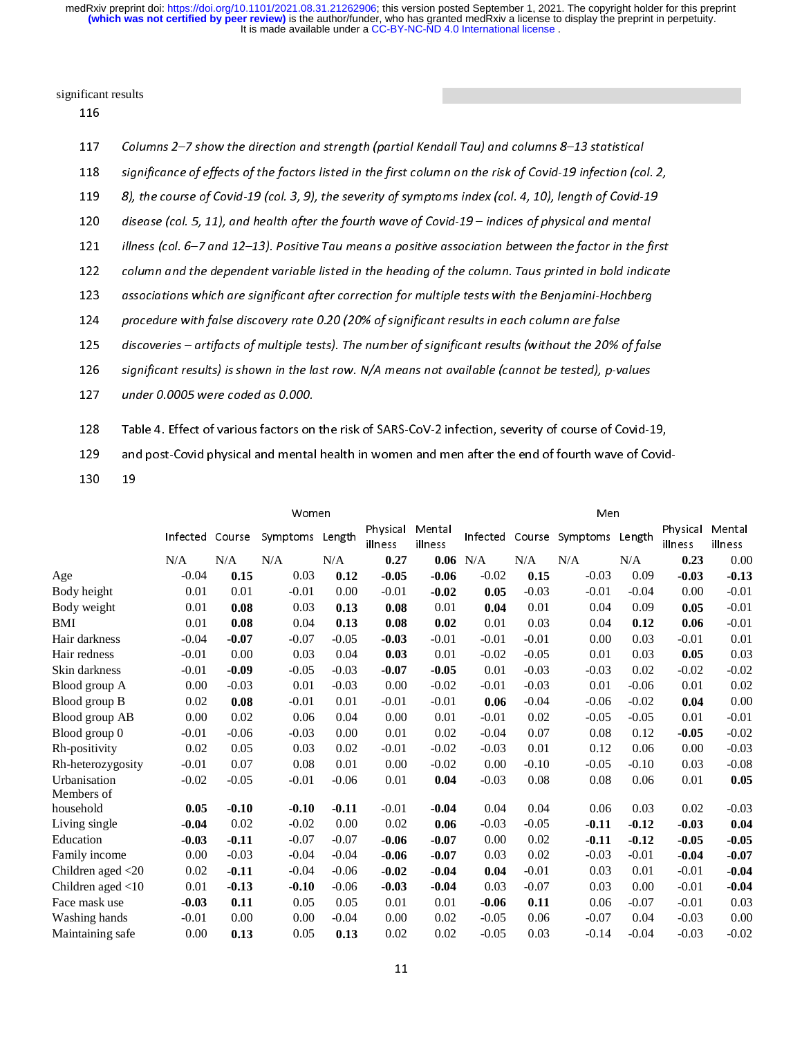significant results

| 117 | Columns 2–7 show the direction and strength (partial Kendall Tau) and columns 8–13 statistical               |
|-----|--------------------------------------------------------------------------------------------------------------|
| 118 | significance of effects of the factors listed in the first column on the risk of Covid-19 infection (col. 2, |
| 119 | 8), the course of Covid-19 (col. 3, 9), the severity of symptoms index (col. 4, 10), length of Covid-19      |
| 120 | disease (col. 5, 11), and health after the fourth wave of Covid-19 – indices of physical and mental          |
| 121 | illness (col. $6-7$ and 12-13). Positive Tau means a positive association between the factor in the first    |
| 122 | column and the dependent variable listed in the heading of the column. Taus printed in bold indicate         |
| 123 | associations which are significant after correction for multiple tests with the Benjamini-Hochberg           |
| 124 | procedure with false discovery rate 0.20 (20% of significant results in each column are false                |
| 125 | discoveries - artifacts of multiple tests). The number of significant results (without the 20% of false      |
| 126 | significant results) is shown in the last row. N/A means not available (cannot be tested), p-values          |
| 127 | under 0.0005 were coded as 0.000.                                                                            |
| 128 | Table 4. Effect of various factors on the risk of SARS-CoV-2 infection, severity of course of Covid-19,      |
|     |                                                                                                              |
| 129 | and post-Covid physical and mental health in women and men after the end of fourth wave of Covid-            |
| 130 | 19                                                                                                           |
|     |                                                                                                              |

| 129               |    |                 |         | and post-Covid physical and mental health in women and men after the end of fourth wave of Covid- |         |                     |                   |            |         |                          |         |                     |                   |  |  |
|-------------------|----|-----------------|---------|---------------------------------------------------------------------------------------------------|---------|---------------------|-------------------|------------|---------|--------------------------|---------|---------------------|-------------------|--|--|
| 130               | 19 |                 |         |                                                                                                   |         |                     |                   |            |         |                          |         |                     |                   |  |  |
|                   |    |                 |         |                                                                                                   |         |                     |                   |            |         |                          |         |                     |                   |  |  |
|                   |    |                 |         | Women                                                                                             |         |                     | Men               |            |         |                          |         |                     |                   |  |  |
|                   |    | Infected Course |         | Symptoms                                                                                          | Length  | Physical<br>illness | Mental<br>illness |            |         | Infected Course Symptoms | Length  | Physical<br>illness | Mental<br>illness |  |  |
|                   |    | N/A             | N/A     | N/A                                                                                               | N/A     | 0.27                |                   | $0.06$ N/A | N/A     | N/A                      | N/A     | 0.23                | 0.00              |  |  |
| Age               |    | $-0.04$         | 0.15    | 0.03                                                                                              | 0.12    | $-0.05$             | $-0.06$           | $-0.02$    | 0.15    | $-0.03$                  | 0.09    | $-0.03$             | $-0.13$           |  |  |
| Body height       |    | 0.01            | 0.01    | $-0.01$                                                                                           | 0.00    | $-0.01$             | $-0.02$           | 0.05       | $-0.03$ | $-0.01$                  | $-0.04$ | 0.00                | $-0.01$           |  |  |
| Body weight       |    | 0.01            | 0.08    | 0.03                                                                                              | 0.13    | 0.08                | 0.01              | 0.04       | 0.01    | 0.04                     | 0.09    | 0.05                | $-0.01$           |  |  |
| <b>BMI</b>        |    | 0.01            | 0.08    | 0.04                                                                                              | 0.13    | 0.08                | 0.02              | 0.01       | 0.03    | 0.04                     | 0.12    | 0.06                | $-0.01$           |  |  |
| Hair darkness     |    | $-0.04$         | $-0.07$ | $-0.07$                                                                                           | $-0.05$ | $-0.03$             | $-0.01$           | $-0.01$    | $-0.01$ | 0.00                     | 0.03    | $-0.01$             | 0.01              |  |  |
| Hair redness      |    | $-0.01$         | 0.00    | 0.03                                                                                              | 0.04    | 0.03                | 0.01              | $-0.02$    | $-0.05$ | 0.01                     | 0.03    | 0.05                | 0.03              |  |  |
| Skin darkness     |    | $-0.01$         | $-0.09$ | $-0.05$                                                                                           | $-0.03$ | $-0.07$             | $-0.05$           | 0.01       | $-0.03$ | $-0.03$                  | 0.02    | $-0.02$             | $-0.02$           |  |  |
| Blood group A     |    | 0.00            | $-0.03$ | 0.01                                                                                              | $-0.03$ | 0.00                | $-0.02$           | $-0.01$    | $-0.03$ | 0.01                     | $-0.06$ | 0.01                | 0.02              |  |  |
| Blood group B     |    | 0.02            | 0.08    | $-0.01$                                                                                           | 0.01    | $-0.01$             | $-0.01$           | 0.06       | $-0.04$ | $-0.06$                  | $-0.02$ | 0.04                | 0.00              |  |  |
| Blood group AB    |    | 0.00            | 0.02    | 0.06                                                                                              | 0.04    | 0.00                | 0.01              | $-0.01$    | 0.02    | $-0.05$                  | $-0.05$ | 0.01                | $-0.01$           |  |  |
| Blood group 0     |    | $-0.01$         | $-0.06$ | $-0.03$                                                                                           | 0.00    | 0.01                | 0.02              | $-0.04$    | 0.07    | 0.08                     | 0.12    | $-0.05$             | $-0.02$           |  |  |
| Rh-positivity     |    | 0.02            | 0.05    | 0.03                                                                                              | 0.02    | $-0.01$             | $-0.02$           | $-0.03$    | 0.01    | 0.12                     | 0.06    | 0.00                | $-0.03$           |  |  |
| Rh-heterozygosity |    | $-0.01$         | 0.07    | 0.08                                                                                              | 0.01    | 0.00                | $-0.02$           | 0.00       | $-0.10$ | $-0.05$                  | $-0.10$ | 0.03                | $-0.08$           |  |  |
| Urbanisation      |    | $-0.02$         | $-0.05$ | $-0.01$                                                                                           | $-0.06$ | 0.01                | 0.04              | $-0.03$    | 0.08    | 0.08                     | 0.06    | 0.01                | 0.05              |  |  |
| Members of        |    |                 |         |                                                                                                   |         |                     |                   |            |         |                          |         |                     |                   |  |  |
| household         |    | 0.05            | $-0.10$ | $-0.10$                                                                                           | $-0.11$ | $-0.01$             | $-0.04$           | 0.04       | 0.04    | 0.06                     | 0.03    | 0.02                | $-0.03$           |  |  |
| Living single     |    | $-0.04$         | 0.02    | $-0.02$                                                                                           | 0.00    | 0.02                | 0.06              | $-0.03$    | $-0.05$ | $-0.11$                  | $-0.12$ | $-0.03$             | 0.04              |  |  |
| Education         |    | $-0.03$         | $-0.11$ | $-0.07$                                                                                           | $-0.07$ | $-0.06$             | $-0.07$           | 0.00       | 0.02    | $-0.11$                  | $-0.12$ | $-0.05$             | $-0.05$           |  |  |
| Family income     |    | 0.00            | $-0.03$ | $-0.04$                                                                                           | $-0.04$ | $-0.06$             | $-0.07$           | 0.03       | 0.02    | $-0.03$                  | $-0.01$ | $-0.04$             | $-0.07$           |  |  |
| Children aged <20 |    | 0.02            | $-0.11$ | $-0.04$                                                                                           | $-0.06$ | $-0.02$             | $-0.04$           | 0.04       | $-0.01$ | 0.03                     | 0.01    | $-0.01$             | $-0.04$           |  |  |
| Children aged <10 |    | 0.01            | $-0.13$ | $-0.10$                                                                                           | $-0.06$ | $-0.03$             | $-0.04$           | 0.03       | $-0.07$ | 0.03                     | 0.00    | $-0.01$             | $-0.04$           |  |  |
| Face mask use     |    | $-0.03$         | 0.11    | 0.05                                                                                              | 0.05    | 0.01                | 0.01              | $-0.06$    | 0.11    | 0.06                     | $-0.07$ | $-0.01$             | 0.03              |  |  |
| Washing hands     |    | $-0.01$         | 0.00    | 0.00                                                                                              | $-0.04$ | 0.00                | 0.02              | $-0.05$    | 0.06    | $-0.07$                  | 0.04    | $-0.03$             | 0.00              |  |  |
| Maintaining safe  |    | 0.00            | 0.13    | 0.05                                                                                              | 0.13    | 0.02                | 0.02              | $-0.05$    | 0.03    | $-0.14$                  | $-0.04$ | $-0.03$             | $-0.02$           |  |  |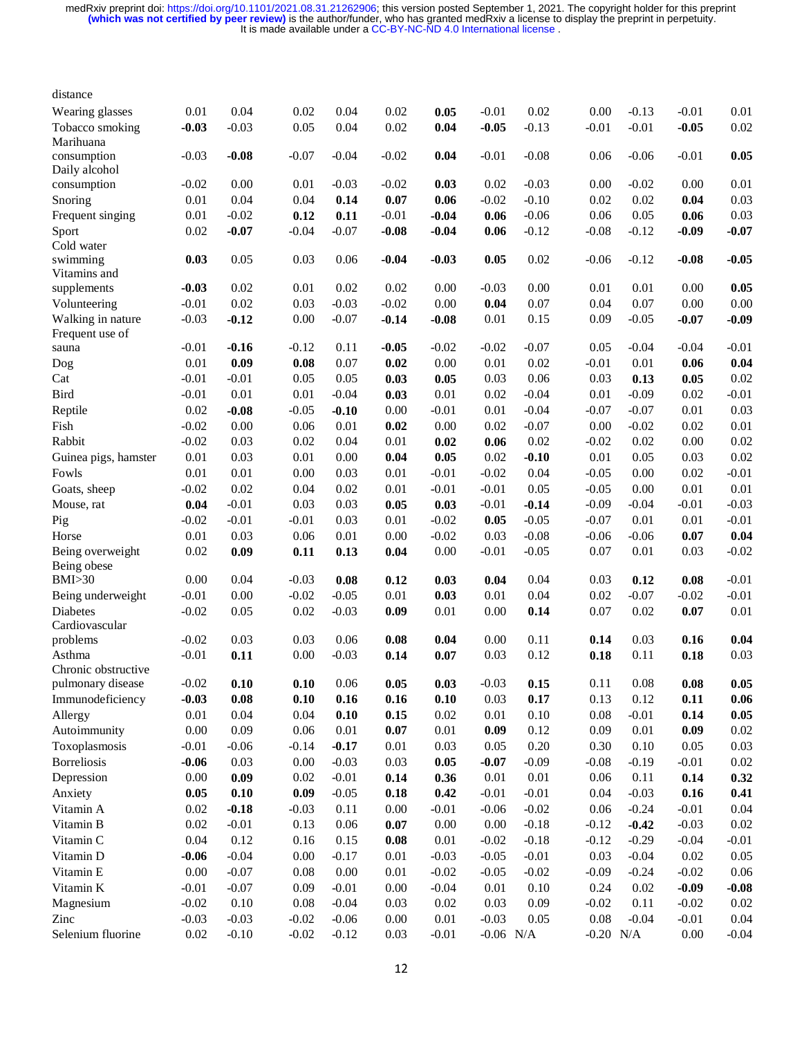| distance                             |          |         |          |         |         |          |             |         |             |         |          |          |
|--------------------------------------|----------|---------|----------|---------|---------|----------|-------------|---------|-------------|---------|----------|----------|
| Wearing glasses                      | 0.01     | 0.04    | 0.02     | 0.04    | 0.02    | 0.05     | $-0.01$     | 0.02    | 0.00        | $-0.13$ | $-0.01$  | 0.01     |
| Tobacco smoking                      | $-0.03$  | $-0.03$ | 0.05     | 0.04    | 0.02    | 0.04     | $-0.05$     | $-0.13$ | $-0.01$     | $-0.01$ | $-0.05$  | 0.02     |
| Marihuana                            |          |         |          |         |         |          |             |         |             |         |          |          |
| consumption                          | $-0.03$  | $-0.08$ | $-0.07$  | $-0.04$ | $-0.02$ | 0.04     | $-0.01$     | $-0.08$ | 0.06        | $-0.06$ | $-0.01$  | 0.05     |
| Daily alcohol                        |          |         |          |         |         |          |             |         |             |         |          |          |
| consumption                          | $-0.02$  | 0.00    | 0.01     | $-0.03$ | $-0.02$ | 0.03     | 0.02        | $-0.03$ | 0.00        | $-0.02$ | 0.00     | 0.01     |
| Snoring                              | 0.01     | 0.04    | 0.04     | 0.14    | 0.07    | 0.06     | $-0.02$     | $-0.10$ | 0.02        | 0.02    | 0.04     | 0.03     |
| Frequent singing                     | 0.01     | $-0.02$ | 0.12     | 0.11    | $-0.01$ | $-0.04$  | 0.06        | $-0.06$ | 0.06        | 0.05    | 0.06     | 0.03     |
| Sport                                | 0.02     | $-0.07$ | $-0.04$  | $-0.07$ | $-0.08$ | $-0.04$  | 0.06        | $-0.12$ | $-0.08$     | $-0.12$ | $-0.09$  | $-0.07$  |
| Cold water                           |          |         |          |         |         |          |             |         |             |         |          |          |
| swimming                             | 0.03     | 0.05    | 0.03     | 0.06    | $-0.04$ | $-0.03$  | 0.05        | 0.02    | $-0.06$     | $-0.12$ | $-0.08$  | $-0.05$  |
| Vitamins and                         |          |         |          |         |         |          |             |         |             |         |          |          |
| supplements                          | $-0.03$  | 0.02    | 0.01     | 0.02    | 0.02    | 0.00     | $-0.03$     | 0.00    | 0.01        | 0.01    | 0.00     | 0.05     |
| Volunteering                         | $-0.01$  | 0.02    | 0.03     | $-0.03$ | $-0.02$ | 0.00     | 0.04        | 0.07    | 0.04        | 0.07    | 0.00     | 0.00     |
| Walking in nature<br>Frequent use of | $-0.03$  | $-0.12$ | 0.00     | $-0.07$ | $-0.14$ | $-0.08$  | 0.01        | 0.15    | 0.09        | $-0.05$ | $-0.07$  | $-0.09$  |
| sauna                                | $-0.01$  | $-0.16$ | $-0.12$  | 0.11    | $-0.05$ | $-0.02$  | $-0.02$     | $-0.07$ | 0.05        | $-0.04$ | $-0.04$  | $-0.01$  |
| Dog                                  | $0.01\,$ | 0.09    | 0.08     | 0.07    | 0.02    | 0.00     | 0.01        | 0.02    | $-0.01$     | 0.01    | 0.06     | 0.04     |
| Cat                                  | $-0.01$  | $-0.01$ | 0.05     | 0.05    | 0.03    | 0.05     | 0.03        | 0.06    | 0.03        | 0.13    | 0.05     | 0.02     |
| <b>Bird</b>                          | $-0.01$  | 0.01    | 0.01     | $-0.04$ | 0.03    | 0.01     | 0.02        | $-0.04$ | 0.01        | $-0.09$ | 0.02     | $-0.01$  |
| Reptile                              | 0.02     | $-0.08$ | $-0.05$  | $-0.10$ | 0.00    | $-0.01$  | $0.01\,$    | $-0.04$ | $-0.07$     | $-0.07$ | 0.01     | 0.03     |
| Fish                                 | $-0.02$  | 0.00    | 0.06     | 0.01    | 0.02    | 0.00     | 0.02        | $-0.07$ | 0.00        | $-0.02$ | 0.02     | 0.01     |
| Rabbit                               | $-0.02$  | 0.03    | 0.02     | 0.04    | 0.01    | 0.02     | 0.06        | 0.02    | $-0.02$     | 0.02    | 0.00     | 0.02     |
| Guinea pigs, hamster                 | 0.01     | 0.03    | 0.01     | 0.00    | 0.04    | 0.05     | 0.02        | $-0.10$ | 0.01        | 0.05    | 0.03     | 0.02     |
| Fowls                                | $0.01\,$ | 0.01    | 0.00     | 0.03    | 0.01    | $-0.01$  | $-0.02$     | 0.04    | $-0.05$     | 0.00    | 0.02     | $-0.01$  |
| Goats, sheep                         | $-0.02$  | 0.02    | 0.04     | 0.02    | 0.01    | $-0.01$  | $-0.01$     | 0.05    | $-0.05$     | 0.00    | $0.01\,$ | 0.01     |
| Mouse, rat                           | 0.04     | $-0.01$ | 0.03     | 0.03    | 0.05    | 0.03     | $-0.01$     | $-0.14$ | $-0.09$     | $-0.04$ | $-0.01$  | $-0.03$  |
| Pig                                  | $-0.02$  | $-0.01$ | $-0.01$  | 0.03    | 0.01    | $-0.02$  | 0.05        | $-0.05$ | $-0.07$     | 0.01    | 0.01     | $-0.01$  |
| Horse                                | 0.01     | 0.03    | 0.06     | 0.01    | 0.00    | $-0.02$  | 0.03        | $-0.08$ | $-0.06$     | $-0.06$ | 0.07     | 0.04     |
| Being overweight                     | 0.02     | 0.09    | 0.11     | 0.13    | 0.04    | 0.00     | $-0.01$     | $-0.05$ | 0.07        | 0.01    | 0.03     | $-0.02$  |
| Being obese                          |          |         |          |         |         |          |             |         |             |         |          | $-0.01$  |
| BMI > 30                             | 0.00     | 0.04    | $-0.03$  | 0.08    | 0.12    | 0.03     | 0.04        | 0.04    | 0.03        | 0.12    | 0.08     |          |
| Being underweight                    | $-0.01$  | 0.00    | $-0.02$  | $-0.05$ | 0.01    | 0.03     | 0.01        | 0.04    | 0.02        | $-0.07$ | $-0.02$  | $-0.01$  |
| <b>Diabetes</b>                      | $-0.02$  | 0.05    | 0.02     | $-0.03$ | 0.09    | 0.01     | 0.00        | 0.14    | 0.07        | 0.02    | 0.07     | 0.01     |
| Cardiovascular<br>problems           | $-0.02$  | 0.03    | 0.03     | 0.06    | 0.08    | 0.04     | 0.00        | 0.11    | 0.14        | 0.03    | 0.16     | 0.04     |
| Asthma                               | $-0.01$  |         | 0.00     | $-0.03$ |         | 0.07     | 0.03        | 0.12    |             | 0.11    |          | 0.03     |
| Chronic obstructive                  |          | 0.11    |          |         | 0.14    |          |             |         | 0.18        |         | 0.18     |          |
| pulmonary disease                    | $-0.02$  | 0.10    | $0.10\,$ | 0.06    | 0.05    | 0.03     | $-0.03$     | 0.15    | 0.11        | 0.08    | 0.08     | $0.05\,$ |
| Immunodeficiency                     | $-0.03$  | 0.08    | 0.10     | 0.16    | 0.16    | 0.10     | 0.03        | 0.17    | 0.13        | 0.12    | 0.11     | 0.06     |
| Allergy                              | $0.01\,$ | 0.04    | 0.04     | 0.10    | 0.15    | 0.02     | 0.01        | 0.10    | 0.08        | $-0.01$ | 0.14     | 0.05     |
| Autoimmunity                         | 0.00     | 0.09    | 0.06     | 0.01    | 0.07    | 0.01     | 0.09        | 0.12    | 0.09        | 0.01    | 0.09     | 0.02     |
| Toxoplasmosis                        | $-0.01$  | $-0.06$ | $-0.14$  | $-0.17$ | 0.01    | 0.03     | 0.05        | 0.20    | 0.30        | 0.10    | 0.05     | 0.03     |
| <b>Borreliosis</b>                   | $-0.06$  | 0.03    | 0.00     | $-0.03$ | 0.03    | 0.05     | $-0.07$     | $-0.09$ | $-0.08$     | $-0.19$ | $-0.01$  | 0.02     |
| Depression                           | $0.00\,$ | 0.09    | 0.02     | $-0.01$ | 0.14    | 0.36     | 0.01        | 0.01    | 0.06        | 0.11    | 0.14     | 0.32     |
| Anxiety                              |          | 0.10    |          | $-0.05$ |         | 0.42     | $-0.01$     | $-0.01$ | 0.04        | $-0.03$ | 0.16     |          |
| Vitamin A                            | 0.05     |         | 0.09     |         | 0.18    |          |             | $-0.02$ |             |         |          | 0.41     |
|                                      | $0.02\,$ | $-0.18$ | $-0.03$  | 0.11    | 0.00    | $-0.01$  | $-0.06$     |         | 0.06        | $-0.24$ | $-0.01$  | 0.04     |
| Vitamin B                            | 0.02     | $-0.01$ | 0.13     | 0.06    | 0.07    | 0.00     | 0.00        | $-0.18$ | $-0.12$     | $-0.42$ | $-0.03$  | 0.02     |
| Vitamin C                            | 0.04     | 0.12    | 0.16     | 0.15    | 0.08    | 0.01     | $-0.02$     | $-0.18$ | $-0.12$     | $-0.29$ | $-0.04$  | $-0.01$  |
| Vitamin D                            | $-0.06$  | $-0.04$ | 0.00     | $-0.17$ | 0.01    | $-0.03$  | $-0.05$     | $-0.01$ | 0.03        | $-0.04$ | $0.02\,$ | 0.05     |
| Vitamin E                            | 0.00     | $-0.07$ | 0.08     | 0.00    | 0.01    | $-0.02$  | $-0.05$     | $-0.02$ | $-0.09$     | $-0.24$ | $-0.02$  | 0.06     |
| Vitamin K                            | $-0.01$  | $-0.07$ | 0.09     | $-0.01$ | 0.00    | $-0.04$  | 0.01        | 0.10    | 0.24        | 0.02    | $-0.09$  | $-0.08$  |
| Magnesium                            | $-0.02$  | 0.10    | 0.08     | $-0.04$ | 0.03    | 0.02     | 0.03        | 0.09    | $-0.02$     | 0.11    | $-0.02$  | 0.02     |
| Zinc                                 | $-0.03$  | $-0.03$ | $-0.02$  | $-0.06$ | 0.00    | $0.01\,$ | $-0.03$     | 0.05    | 0.08        | $-0.04$ | $-0.01$  | 0.04     |
| Selenium fluorine                    | $0.02\,$ | $-0.10$ | $-0.02$  | $-0.12$ | 0.03    | $-0.01$  | $-0.06$ N/A |         | $-0.20$ N/A |         | 0.00     | $-0.04$  |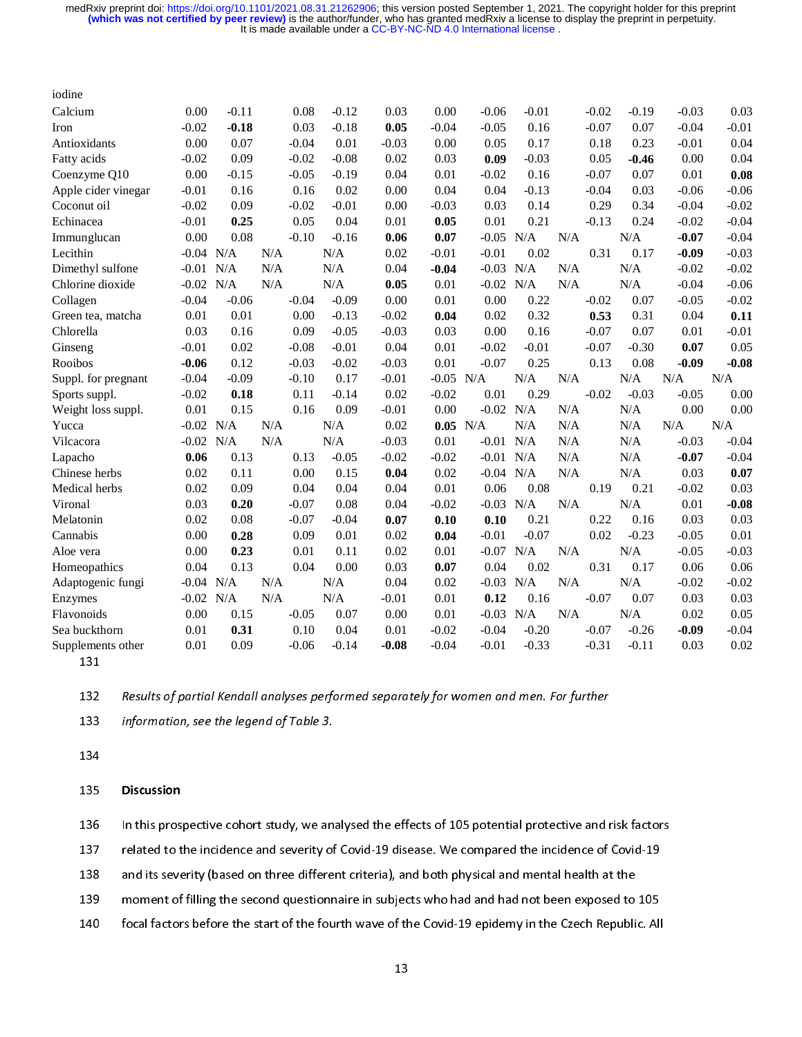| iodine              |             |         |         |         |         |            |             |         |     |         |         |         |         |
|---------------------|-------------|---------|---------|---------|---------|------------|-------------|---------|-----|---------|---------|---------|---------|
| Calcium             | 0.00        | $-0.11$ | 0.08    | $-0.12$ | 0.03    | 0.00       | $-0.06$     | $-0.01$ |     | $-0.02$ | $-0.19$ | $-0.03$ | 0.03    |
| Iron                | $-0.02$     | $-0.18$ | 0.03    | $-0.18$ | 0.05    | $-0.04$    | $-0.05$     | 0.16    |     | $-0.07$ | 0.07    | $-0.04$ | $-0.01$ |
| Antioxidants        | 0.00        | 0.07    | $-0.04$ | 0.01    | $-0.03$ | 0.00       | 0.05        | 0.17    |     | 0.18    | 0.23    | $-0.01$ | 0.04    |
| Fatty acids         | $-0.02$     | 0.09    | $-0.02$ | $-0.08$ | 0.02    | 0.03       | 0.09        | $-0.03$ |     | 0.05    | $-0.46$ | 0.00    | 0.04    |
| Coenzyme Q10        | 0.00        | $-0.15$ | $-0.05$ | $-0.19$ | 0.04    | 0.01       | $-0.02$     | 0.16    |     | $-0.07$ | 0.07    | 0.01    | 0.08    |
| Apple cider vinegar | $-0.01$     | 0.16    | 0.16    | 0.02    | 0.00    | 0.04       | 0.04        | $-0.13$ |     | $-0.04$ | 0.03    | $-0.06$ | $-0.06$ |
| Coconut oil         | $-0.02$     | 0.09    | $-0.02$ | $-0.01$ | 0.00    | $-0.03$    | 0.03        | 0.14    |     | 0.29    | 0.34    | $-0.04$ | $-0.02$ |
| Echinacea           | $-0.01$     | 0.25    | 0.05    | 0.04    | 0.01    | 0.05       | 0.01        | 0.21    |     | $-0.13$ | 0.24    | $-0.02$ | $-0.04$ |
| Immunglucan         | 0.00        | 0.08    | $-0.10$ | $-0.16$ | 0.06    | 0.07       | $-0.05$     | N/A     | N/A |         | N/A     | $-0.07$ | $-0.04$ |
| Lecithin            | $-0.04$     | N/A     | N/A     | N/A     | 0.02    | $-0.01$    | $-0.01$     | 0.02    |     | 0.31    | 0.17    | $-0.09$ | $-0.03$ |
| Dimethyl sulfone    | $-0.01$     | N/A     | N/A     | N/A     | 0.04    | $-0.04$    | $-0.03$     | N/A     | N/A |         | N/A     | $-0.02$ | $-0.02$ |
| Chlorine dioxide    | $-0.02$     | N/A     | N/A     | N/A     | 0.05    | 0.01       | $-0.02$     | N/A     | N/A |         | N/A     | $-0.04$ | $-0.06$ |
| Collagen            | $-0.04$     | $-0.06$ | $-0.04$ | $-0.09$ | 0.00    | 0.01       | 0.00        | 0.22    |     | $-0.02$ | 0.07    | $-0.05$ | $-0.02$ |
| Green tea, matcha   | 0.01        | 0.01    | 0.00    | $-0.13$ | $-0.02$ | 0.04       | 0.02        | 0.32    |     | 0.53    | 0.31    | 0.04    | 0.11    |
| Chlorella           | 0.03        | 0.16    | 0.09    | $-0.05$ | $-0.03$ | 0.03       | 0.00        | 0.16    |     | $-0.07$ | 0.07    | 0.01    | $-0.01$ |
| Ginseng             | $-0.01$     | 0.02    | $-0.08$ | $-0.01$ | 0.04    | 0.01       | $-0.02$     | $-0.01$ |     | $-0.07$ | $-0.30$ | 0.07    | 0.05    |
| Rooibos             | $-0.06$     | 0.12    | $-0.03$ | $-0.02$ | $-0.03$ | 0.01       | $-0.07$     | 0.25    |     | 0.13    | 0.08    | $-0.09$ | $-0.08$ |
| Suppl. for pregnant | $-0.04$     | $-0.09$ | $-0.10$ | 0.17    | $-0.01$ | $-0.05$    | N/A         | N/A     | N/A |         | N/A     | N/A     | N/A     |
| Sports suppl.       | $-0.02$     | 0.18    | 0.11    | $-0.14$ | 0.02    | $-0.02$    | 0.01        | 0.29    |     | $-0.02$ | $-0.03$ | $-0.05$ | 0.00    |
| Weight loss suppl.  | 0.01        | 0.15    | 0.16    | 0.09    | $-0.01$ | 0.00       | $-0.02$ N/A |         | N/A |         | N/A     | 0.00    | 0.00    |
| Yucca               | $-0.02$     | N/A     | N/A     | N/A     | 0.02    | $0.05$ N/A |             | N/A     | N/A |         | N/A     | N/A     | N/A     |
| Vilcacora           | $-0.02$     | N/A     | N/A     | N/A     | $-0.03$ | 0.01       | $-0.01$     | N/A     | N/A |         | N/A     | $-0.03$ | $-0.04$ |
| Lapacho             | 0.06        | 0.13    | 0.13    | $-0.05$ | $-0.02$ | $-0.02$    | $-0.01$     | N/A     | N/A |         | N/A     | $-0.07$ | $-0.04$ |
| Chinese herbs       | 0.02        | 0.11    | 0.00    | 0.15    | 0.04    | 0.02       | $-0.04$     | N/A     | N/A |         | N/A     | 0.03    | 0.07    |
| Medical herbs       | 0.02        | 0.09    | 0.04    | 0.04    | 0.04    | 0.01       | 0.06        | 0.08    |     | 0.19    | 0.21    | $-0.02$ | 0.03    |
| Vironal             | 0.03        | 0.20    | $-0.07$ | 0.08    | 0.04    | $-0.02$    | $-0.03$ N/A |         | N/A |         | N/A     | 0.01    | $-0.08$ |
| Melatonin           | 0.02        | 0.08    | $-0.07$ | $-0.04$ | 0.07    | 0.10       | 0.10        | 0.21    |     | 0.22    | 0.16    | 0.03    | 0.03    |
| Cannabis            | 0.00        | 0.28    | 0.09    | 0.01    | 0.02    | 0.04       | $-0.01$     | $-0.07$ |     | 0.02    | $-0.23$ | $-0.05$ | 0.01    |
| Aloe vera           | 0.00        | 0.23    | 0.01    | 0.11    | 0.02    | 0.01       | $-0.07$     | N/A     | N/A |         | N/A     | $-0.05$ | $-0.03$ |
| Homeopathics        | 0.04        | 0.13    | 0.04    | 0.00    | 0.03    | 0.07       | 0.04        | 0.02    |     | 0.31    | 0.17    | 0.06    | 0.06    |
| Adaptogenic fungi   | $-0.04$ N/A |         | N/A     | N/A     | 0.04    | 0.02       | $-0.03$ N/A |         | N/A |         | N/A     | $-0.02$ | $-0.02$ |
| Enzymes             | $-0.02$     | N/A     | N/A     | N/A     | $-0.01$ | 0.01       | 0.12        | 0.16    |     | $-0.07$ | 0.07    | 0.03    | 0.03    |
| Flavonoids          |             |         |         |         |         |            |             |         |     |         |         |         |         |
|                     | 0.00        | 0.15    | $-0.05$ | 0.07    | 0.00    | 0.01       | $-0.03$     | N/A     | N/A |         | N/A     | 0.02    | 0.05    |
| Sea buckthorn       | 0.01        | 0.31    | 0.10    | 0.04    | 0.01    | $-0.02$    | $-0.04$     | $-0.20$ |     | $-0.07$ | $-0.26$ | $-0.09$ | $-0.04$ |

131<br>132<br>133<br>134

132 Results of partial Kendall analyses performed separately for women and men. For further<br>133 Information, see the legend of Table 3.<br>134 Discussion

information, see the legend of Table 3.<br>134<br>Discussion<br>136 In this prospective cohort study, we analysed the effects of 105 potential protective and risk factors 135<br>136<br>137<br>138 135 **Discussion**<br>136 In this pros<br>137 related to t<br>138 and its seve<br>139 moment of

139 moment of filling the second questionnaire in subjects who had and had not been exposed to<br>140 focal factors before the start of the fourth wave of the Covid-19 epidemy in the Czech Republi<br>13

137 In the incidence and severity of Covid-19 disease. We compared the incidence of Covid-19<br>138 In this severity (based on three different criteria), and both physical and mental health at the<br>139 In the moment of filling 138 and its severity (based on three different criteria), and both physical and mental health at the<br>139 moment of filling the second questionnaire in subjects who had and had not been exposed to 105<br>140 focal factors befo 149 focal factors before the start of the fourth wave of the Covid-19 epidemy in the Czech Republic. All<br>13  $13$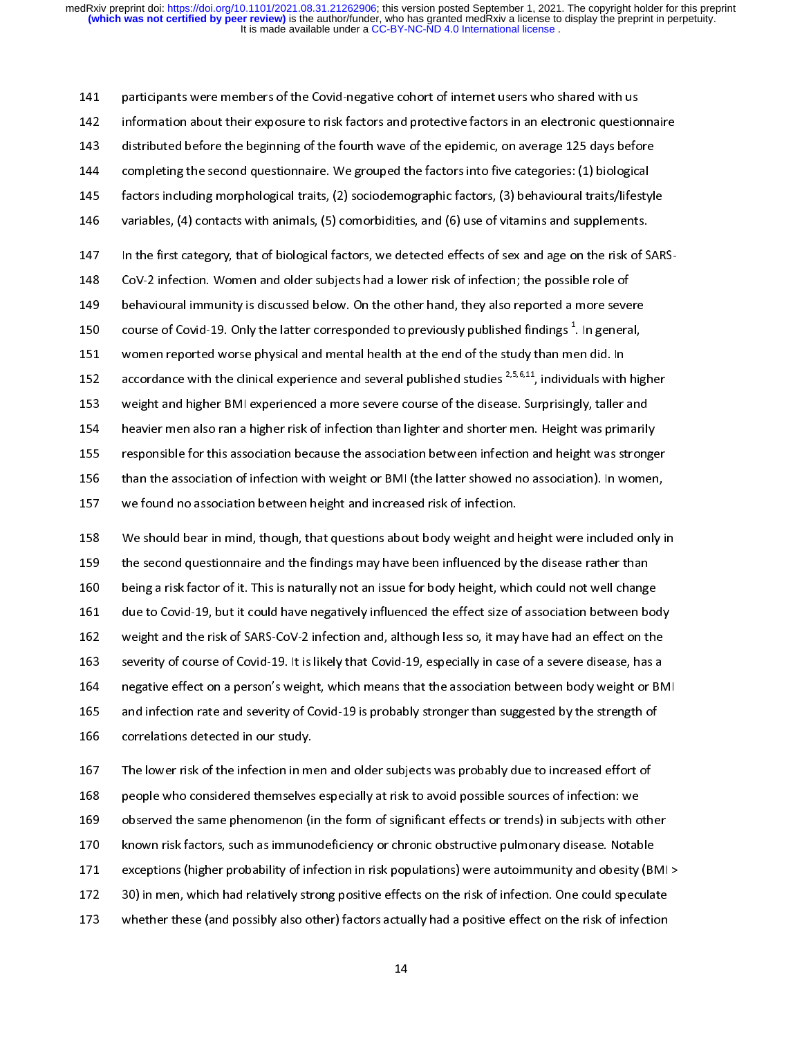142 information about their exposure to risk factors and protective factors in an electronic questio<br>143 distributed before the beginning of the fourth wave of the epidemic, on average 125 days before<br>144 completing the se 143 distributed before the beginning of the fourth wave of the epidemic, on average 125 days before<br>144 completing the second questionnaire. We grouped the factors into five categories: (1) biological<br>145 factors including 144 completing the second questionnaire. We grouped the factors into five categories: (1) biological<br>145 factors including morphological traits, (2) sociodemographic factors, (3) behavioural traits/lifestyl<br>146 variables, 145 factors including morphological traits, (2) sociodemographic factors, (3) behavioural traits/lifesty<br>146 variables, (4) contacts with animals, (5) comorbidities, and (6) use of vitamins and supplements.<br>147 In the firs 145 factors including morphological traits, (2) sociodemographic factors, (3) behavioural traits/lifestyle<br>146 variables, (4) contacts with animals, (5) comorbidities, and (6) use of vitamins and supplements.<br>147 In the fi 150 course of Covid-19. Only the latter corresponded to previously published findings  $^1$ . In general, 151 women reported worse physical and mental health at the end of the study than men did. In 152 accordance with the clinical experience and several published studies  $2.5.6.11$ , individuals with higher 150 course of Covid-19. Only the latter corresponded to previously published findings<sup>1</sup>. In general,<br>151 women reported worse physical and mental health at the end of the study than men did. In<br>152 accordance with the cli course of Covid-19. Only the latter corresponded to previously published findings <sup>-</sup>. In general,<br>151 . women reported worse physical and mental health at the end of the study than men did. In<br>152 . accordance with the cl accordance with the clinical experience and several published studies <sup>2,5,6,11</sup>, individuals with<br>153 weight and higher BMI experienced a more severe course of the disease. Surprisingly, taller<br>154 heavier men also ran a accordance with the clinical experience and several published studies <sup>2,3,5</sup>,11, individuals with higher<br>153 weight and higher BMI experienced a more severe course of the disease. Surprisingly, taller and<br>154 heavier men 154 heavier men also ran a higher risk of infection than lighter and shorter men. Height was primarily<br>155 responsible for this association because the association between infection and height was strong<br>156 than the assoc 155 responsible for this association because the association between infection and height was stronge<br>156 than the association of infection with weight or BMI (the latter showed no association). In women<br>157 we found no as 156 than the association of infection with weight or BMI (the latter showed no association). In women,<br>157 we found no association between height and increased risk of infection.<br>158 We should bear in mind, though, that qu

we found no association between height and increased risk of infection.<br>158 We should bear in mind, though, that questions about body weight and height were included only i<br>159 the second questionnaire and the findings may 158 We should bear in mind, though, that questions about body weight and l<br>159 the second questionnaire and the findings may have been influenced by<br>160 being a risk factor of it. This is naturally not an issue for body he 158 We should bear in mind, though, that questions about body weight and height were included only in<br>159 the second questionnaire and the findings may have been influenced by the disease rather than<br>160 being a risk facto 160 being a risk factor of it. This is naturally not an issue for body height, which could not well change<br>161 due to Covid-19, but it could have negatively influenced the effect size of association between been weight and 161 due to Covid-19, but it could have negatively influenced the effect size of association between bod<br>162 weight and the risk of SARS-CoV-2 infection and, although less so, it may have had an effect on the<br>163 severity o 162 weight and the risk of SARS-CoV-2 infection and, although less so, it may have had an effect on the<br>163 severity of course of Covid-19. It is likely that Covid-19, especially in case of a severe disease, has a<br>164 nega 163 severity of course of Covid-19. It is likely that Covid-19, especially in case of a severe disease, has a<br>164 negative effect on a person's weight, which means that the association between body weight or BN<br>165 and inf 164 negative effect on a person's weight, which means that the association between body weight or BN<br>165 and infection rate and severity of Covid-19 is probably stronger than suggested by the strength of<br>166 correlations d 165 and infection rate and severity of Covid-19 is probably stronger than suggested by the strength of<br>166 correlations detected in our study.<br>167 The lower risk of the infection in men and older subjects was probably due

166 correlations detected in our study.<br>167 The lower risk of the infection in men and older subjects was probably due to increased effort of<br>168 people who considered themselves especially at risk to avoid possible source 167 The lower risk of the infection in metals.<br>168 people who considered themselves<br>169 observed the same phenomenon (i<br>170 known risk factors, such as immuno 168 people who considered themselves especially at risk to avoid possible sources of infection: we<br>169 observed the same phenomenon (in the form of significant effects or trends) in subjects with oth<br>170 known risk factors 169 beerved the same phenomenon (in the form of significant effects or trends) in subjects with o<br>170 known risk factors, such as immunodeficiency or chronic obstructive pulmonary disease. Notak<br>171 exceptions (higher prob 170 known risk factors, such as immunodeficiency or chronic obstructive pulmonary disease. Notable<br>171 exceptions (higher probability of infection in risk populations) were autoimmunity and obesity (BMI<br>172 30) in men, whi 171 exerptions (higher probability of infection in risk populations) were autoimmunity and obesity (BP<br>172 30) in men, which had relatively strong positive effects on the risk of infection. One could specular<br>173 whether t 172 30) in men, which had relatively strong positive effects on the risk of infection. One could speculate<br>173 whether these (and possibly also other) factors actually had a positive effect on the risk of infection<br>14 whether these (and possibly also other) factors actually had a positive effect on the risk of infection.<br>14  $14$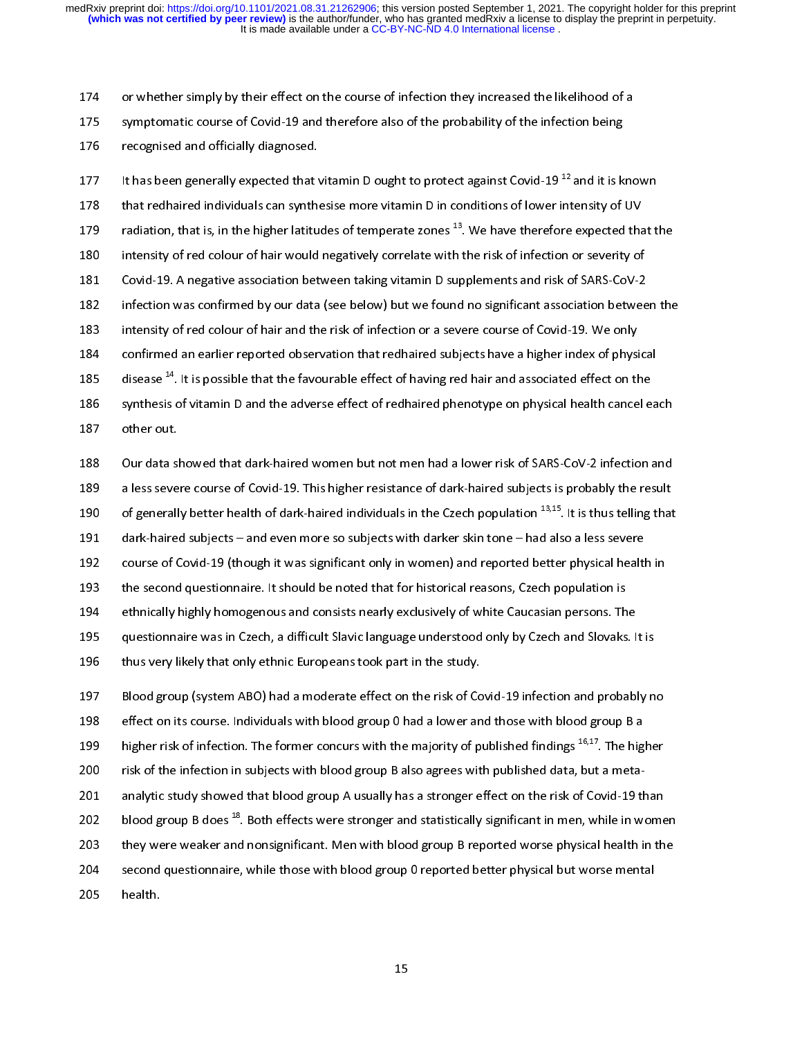175 symptomatic course of Covid-19 and therefore also of the probability of the infection being<br>176 recognised and officially diagnosed.<br>177 It has been generally expected that vitamin D ought to protect against Covid-19<sup>1</sup>

176 recognised and officially diagnosed.<br>177 it has been generally expected that vitamin D ought to protect against Covid-19<sup>12</sup> and it is k<br>178 that redhaired individuals can synthesise more vitamin D in conditions of low 177 It has been generally expected that<br>178 that redhaired individuals can synthe<br>179 radiation, that is, in the higher latitu<br>180 intensity of red colour of hair would 177 It has been generally expected that vitamin D ought to protect against Covid-19 <sup>22</sup> and it is known<br>178 that redhaired individuals can synthesise more vitamin D in conditions of lower intensity of UV<br>179 radiation, th 179 radiation, that is, in the higher latitudes of temperate zones <sup>13</sup>. We have therefore expected that<br>180 intensity of red colour of hair would negatively correlate with the risk of infection or severity of<br>181 Covid-19 179 radiation, that is, in the higher latitudes of temperate zones <sup>25</sup>. We have therefore expected that the<br>180 intensity of red colour of hair would negatively correlate with the risk of infection or severity of<br>181 Covi 180 intensity of red colour of hair would negatively correlate with the risk of infection or severity of<br>181 Covid-19. A negative association between taking vitamin D supplements and risk of SARS-CoV-2<br>182 infection was co 182 infection was confirmed by our data (see below) but we found no significant association betwee<br>183 intensity of red colour of hair and the risk of infection or a severe course of Covid-19. We only<br>184 confirmed an earl 183 intensity of red colour of hair and the risk of infection or a severe course of Covid-19. We only<br>184 confirmed an earlier reported observation that redhaired subjects have a higher index of physical<br>185 disease <sup>14</sup>. 184 confirmed an earlier reported observation that redhaired subjects have a higher index of physical states of the risk of synthesis of vitamin D and the adverse effect of redhaired phenotype on physical health cance othe 185 disease <sup>14</sup>. It is possible that the favourable effect of having red hair and associated effect on the<br>186 synthesis of vitamin D and the adverse effect of redhaired phenotype on physical health cancel ea<br>187 our data disease <sup>14</sup>. It is possible that the favourable effect of having red hair and associated effect on the<br>186 synthesis of vitamin D and the adverse effect of redhaired phenotype on physical health cancel each<br>187 other out.

187 other out.<br>186 synthesis of vitamin D and the adverse encomplementary prediction phenotype on physical health cancel 201<br>189 settlem and a less severe course of Covid-19. This higher resistance of dark-haired subjects 188 Our data sh<br>188 Our data sh<br>189 a less seve<br>190 of generall<br>191 dark-haire 189 a less severe course of Covid-19. This higher resistance of dark-haired subjects is probably the result<br>190 of generally better health of dark-haired individuals in the Czech population <sup>13,15</sup>. It is thus telling that 190 of generally better health of dark-haired individuals in the Czech population <sup>13,15</sup>. It is thus telling that<br>191 dark-haired subjects – and even more so subjects with darker skin tone – had also a less severe<br>192 cou of generally better health of dark-haired individuals in the Czech population <sup>19,15</sup>. It is thus telling that<br>191 dark-haired subjects – and even more so subjects with darker skin tone – had also a less severe<br>192 course 191 dark-haired subjects – and even more so subjects with darker skin tone – had also a less severe<br>192 course of Covid-19 (though it was significant only in women) and reported better physical health in<br>193 the second que 192 course of Covid-19 (though it was significant only in the though it was significant only the second questionnaire. It should be noted that for historical reasons, Czech population is<br>194 ethnically highly homogenous an 194 ethnically highly homogenous and consists nearly exclusively of white Caucasian persons. The second questionnaire was in Czech, a difficult Slavic language understood only by Czech and Slovaks<br>196 thus very likely that

196 thus very likely that only ethnic Europeans took part in the study.<br>197 Blood group (system ABO) had a moderate effect on the risk of Covid-19 infection and probably no<br>198 effect on its course. Individuals with blood 196 thus very likely that only ethnic Europeans took part in the study.<br>197 Blood group (system ABO) had a moderate effect on the risk of Covid-19 infection and probably n<br>198 effect on its course. Individuals with blood g 197 Blood group (system ABO) had a moderate effect on the risk of Co<br>198 effect on its course. Individuals with blood group 0 had a lower an<br>199 higher risk of infection. The former concurs with the majority of p<br>190 risk 198 effect on its course. Individuals with blood group 0 had a lower and those with blood group B a<br>199 higher risk of infection. The former concurs with the majority of published findings <sup>16,17</sup>. The higher<br>190 risk of t 199 higher risk of infection. The former concurs with the majority of published findings <sup>16,17</sup>. The hig<br>190 risk of the infection in subjects with blood group B also agrees with published data, but a meta-<br>191 analytic s higher risk of infection. The former concurs with the majority of published findings <sup>2014</sup>. The higher<br>200 risk of the infection in subjects with blood group B also agrees with published data, but a meta-<br>201 analytic stu 200 risk of the international subsequence with blood group b reported better privated but worse ment 202 blood group B does <sup>18</sup>. Both effects were stronger and statistically significant in men, while in wome<br>203 they were weaker and nonsignificant. Men with blood group B reported worse physical health in th<br>204 second qu blood group B does <sup>18</sup>. Both effects were stronger and statistically significant in men, while in women<br>203 they were weaker and nonsignificant. Men with blood group B reported worse physical health in the<br>204 second ques 204 second questionnaire, while those with blood group 0 reported better physical but worse mental<br>205 health.  $205$  health.<br> $15$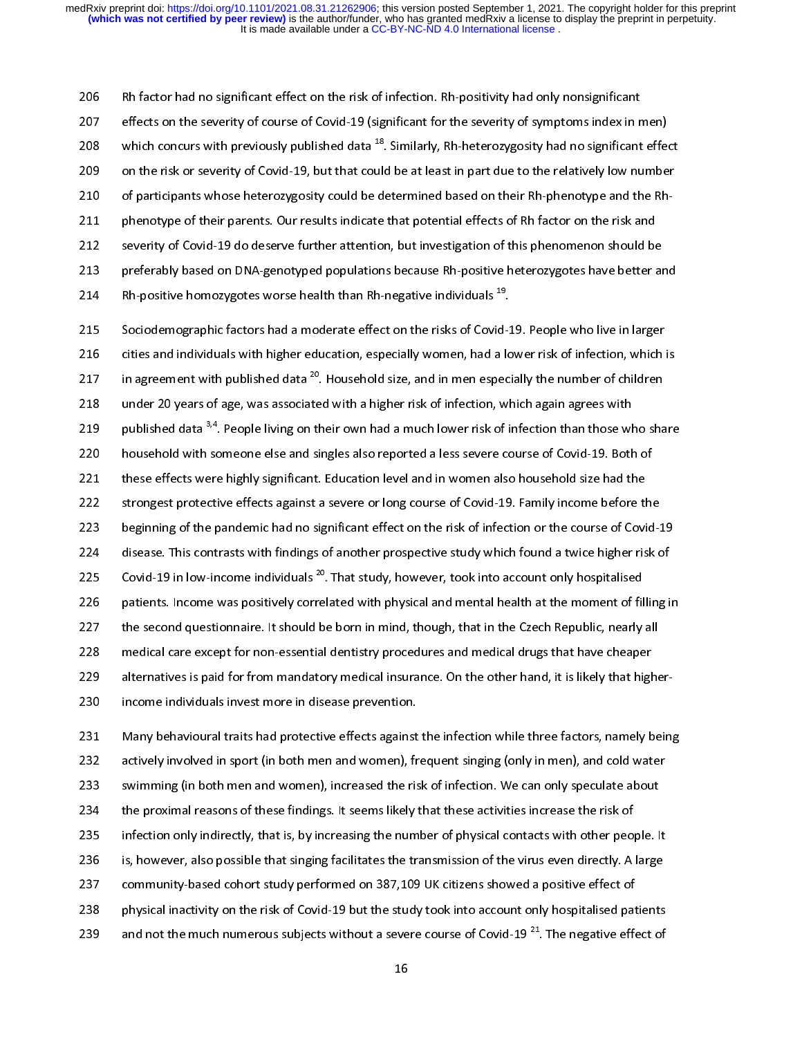207 effects on the severity of course of Covid-19 (significant for the severity of symptoms index in r<br>208 which concurs with previously published data <sup>18</sup>. Similarly, Rh-heterozygosity had no significant<br>209 on the risk 208 which concurs with previously published data <sup>18</sup>. Similarly, Rh-heterozygosity had no significant effects on the risk or severity of Covid-19, but that could be at least in part due to the relatively low numbe<br>210 of 208 which concurs with previously published data <sup>20</sup>. Similarly, Rh-heterozygosity had no significant effect<br>209 on the risk or severity of Covid-19, but that could be at least in part due to the relatively low number<br>210 210 of participants whose heterozygosity could be determined based on their Rh-phenotype and the Rh-<br>211 phenotype of their parents. Our results indicate that potential effects of Rh factor on the risk and<br>212 severity of 214 Bh-positive homozygotes worse health than Rh-negative individuals  $^{19}$ . 211 phenotype of their parents. Our results indicate that potential effects of Rh factor on the risk and<br>212 severity of Covid-19 do deserve further attention, but investigation of this phenomenon should be<br>213 preferably 213 preferably based on DNA-genotyped populations because Rh-positive heterozygotes have better are.<br>214 Rh-positive homozygotes worse health than Rh-negative individuals <sup>19</sup>.<br>215 Sociodemographic factors had a moderate e

214 Rh-positive homozygotes worse health than Rh-negative individuals <sup>19</sup>.<br>215 Sociodemographic factors had a moderate effect on the risks of Covid-19. People who live in larger<br>216 cities and individuals with higher educ Rh-positive homozygotes worse health than Rh-negative individuals <sup>25</sup>.<br>215 . Sociodemographic factors had a moderate effect on the risks of Covid-1<br>216 . cities and individuals with higher education, especially women, had 216 cities and individuals with higher education, especially women, had a lower risk of infection, which i<br>217 in agreement with published data <sup>20</sup>. Household size, and in men especially the number of children<br>218 under 2 217 in agreement with published data <sup>20</sup>. Household size, and in men especially the number of children<br>218 under 20 years of age, was associated with a higher risk of infection, which again agrees with<br>219 published data 217 in agreement with published data <sup>20</sup>. Household size, and in men especially the number of children<br>218 under 20 years of age, was associated with a higher risk of infection, which again agrees with<br>219 published data 219 published data <sup>3,4</sup>. People living on their own had a much lower risk of infection than those which a hose with a hose with a hose with a higher risk of infection than those with a household with someone else and sing published data <sup>3,4</sup>. People living on their own had a much lower risk of infection than those who share<br>220 . household with someone else and singles also reported a less severe course of Covid-19. Both of<br>221 these effec 221 these effects were highly significant. Education level and in women also household size had the<br>222 strongest protective effects against a severe or long course of Covid-19. Family income before the<br>223 beginning of th 222 strongest protective effects against a severe or long course of Covid-19. Family income before the<br>223 beginning of the pandemic had no significant effect on the risk of infection or the course of Covi<br>224 disease. Thi 223 beginning of the pandemic had no significant effect on the risk of infection or the course of Covid-2<br>224 disease. This contrasts with findings of another prospective study which found a twice higher risk covid-19 in l 224 disease. This contrasts with findings of another prospective study which found a twice higher risk of<br>225 Covid-19 in low-income individuals <sup>20</sup>. That study, however, took into account only hospitalised<br>226 patients. 225 Covid-19 in low-income individuals <sup>20</sup>. That study, however, took into account only hospitalised<br>226 patients. Income was positively correlated with physical and mental health at the moment of filling i<br>227 the second 225 Covid-19 in low-income individuals <sup>20</sup>. That study, however, took into account only hospitalised<br>226 patients. Income was positively correlated with physical and mental health at the moment of fil<br>227 the second quest 227 the second questionnaire. It should be born in mind, though, that in the Czech Republic, nearly all<br>228 medical care except for non-essential dentistry procedures and medical drugs that have cheaper<br>229 alternatives is 228 medical care except for non-essential dentistry procedures and medical drugs that have cheaper<br>229 alternatives is paid for from mandatory medical insurance. On the other hand, it is likely that higher<br>230 income indiv

alternatives is paid for from mandatory medical insurance. On the other hand, it is likely that higher-<br>230 income individuals invest more in disease prevention.<br>231 Many behavioural traits had protective effects against t 233 alternatives in both men and women), increased the risk of infection. We can only speculate about 231 Many behavioural traits had protective effects against<br>232 income actively involved in sport (in both men and women), fr<br>233 in swimming (in both men and women), increased the ris<br>234 the proximal reasons of these find 232 actively involved in sport (in both men and women), frequent singing (only in men), and cold water<br>233 swimming (in both men and women), increased the risk of infection. We can only speculate about<br>234 the proximal rea 233 swimming (in both men and women), increased the risk of infection. We can only speculate about<br>234 the proximal reasons of these findings. It seems likely that these activities increase the risk of<br>235 infection only i 234 the proximal reasons of these findings. It seems likely that these activities increase the risk of<br>235 infection only indirectly, that is, by increasing the number of physical contacts with other people. It<br>236 is, how 235 infection only indirectly, that is, by increasing the number of physical contacts with other peop<br>236 is, however, also possible that singing facilitates the transmission of the virus even directly. A<br>237 community-bas 236 is, however, also possible that singing facilitates the transmission of the virus even directly. A large<br>237 community-based cohort study performed on 387,109 UK citizens showed a positive effect of<br>238 physical inact 237 community-based cohort study performed on 387,109 UK citizens showed a positive effect of<br>238 physical inactivity on the risk of Covid-19 but the study took into account only hospitalised patients<br>239 and not the much 238 physical inactivity on the risk of Covid-19 but the study took into account only hospitalised pat<br>239 and not the much numerous subjects without a severe course of Covid-19<sup>21</sup>. The negative effect of the much numerous 239 and not the much numerous subjects without a severe course of Covid-19 <sup>21</sup>. The negative effect of  $16$ and not the much numerous subjects without a severe course of Covid-19 <sup>21</sup>. The negative effect of 239 and not the much numerous subjects without a severe course of Covid-19 <sup>21</sup>. The negative effect of 239 and not the mu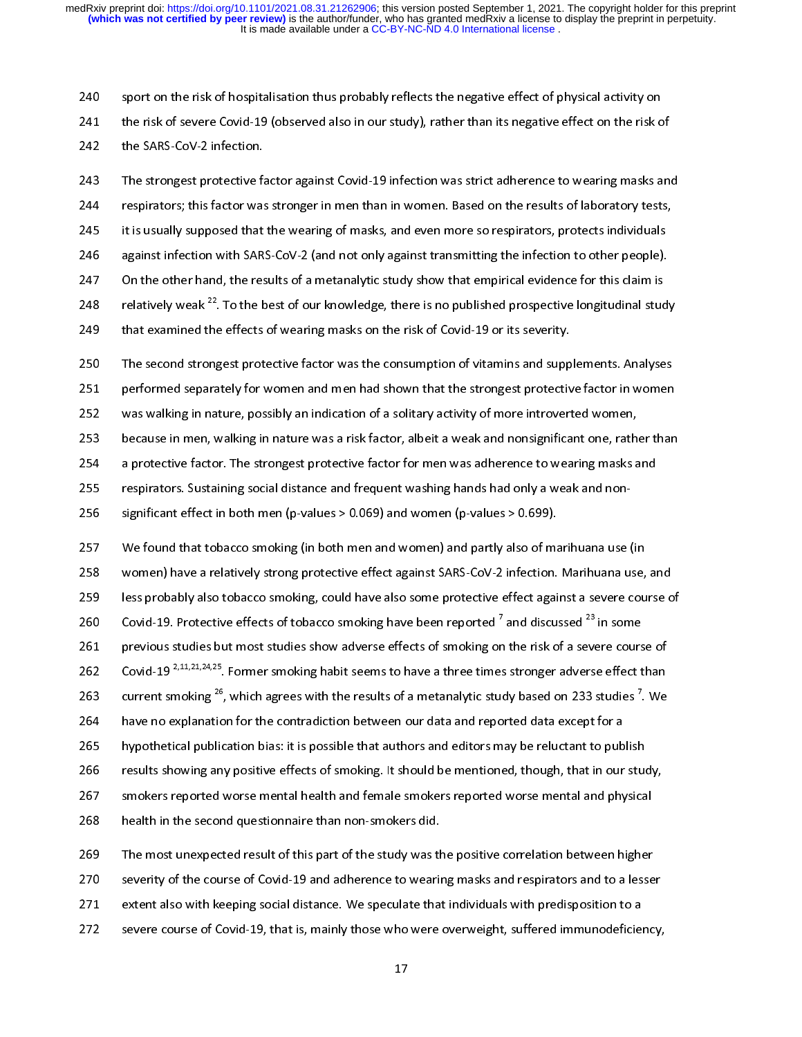240 sport on the risk of hospitalisation thus probably reflects the negative effect of physical activity on<br>241 the risk of severe Covid-19 (observed also in our study), rather than its negative effect on the risk of<br>242 t

243 The strongest protective factor against Covid-19 infection was strict adherence to wearing masks and<br>244 Tespirators; this factor was stronger in men than in women. Based on the results of laboratory tests,<br>245 This us 242 The strongest protective fa<br>244 Frespirators; this factor was<br>245 Fit is usually supposed that<br>246 Fragainst infection with SAR 246 — against infection with SARS-CoV-2 (and not only against transmitting the infection to other people).<br>247 — On the other hand, the results of a metanalytic study show that empirical evidence for this claim is 245 it is usually supposed that the wearing of masks, and even more so respirators, protects individuals against infection with SARS-CoV-2 (and not only against transmitting the infection to other people).<br>247 On the other 246 against infection with SARS-CoV-2 (and not only against transmitting the infection to other people).<br>247 on the other hand, the results of a metanalytic study show that empirical evidence for this claim is<br>248 relative 247 On the other hand, the results of a metanalytic study show that empirical evidence for this claim is<br>248 relatively weak <sup>22</sup>. To the best of our knowledge, there is no published prospective longitudinal study<br>250 The 248 relatively weak <sup>22</sup>. To the best of our knowledge, there is no published prospective longitudinal student<br>249 that examined the effects of wearing masks on the risk of Covid-19 or its severity.<br>250 The second stronges relatively weak <sup>22</sup>. To the best of our knowledge, there is no published prospective longitudinal study<br>249 that examined the effects of wearing masks on the risk of Covid-19 or its severity.<br>250 The second strongest prot

250 The second strongest protective factor was the consumption of vitamins and supp<br>251 performed separately for women and men had shown that the strongest protective<br>252 was walking in nature, possibly an indication of a

251 performed separately for women and men had shown that the strongest protective factor in women<br>252 was walking in nature, possibly an indication of a solitary activity of more introverted women,<br>253 because in men, wal performed separately for women and men had shown that the strongest protective factor in women<br>252 was walking in nature, possibly an indication of a solitary activity of more introverted women,<br>253 because in men, walking

253 because in men, walking in nature was a risk factor, albeit a weak and nonsignificant one, rather a protective factor. The strongest protective factor for men was adherence to wearing masks a respirators. Sustaining so 254 a protective factor. The strongest protective factor for men was adherence to wearing masks and<br>255 a protective factor. The strongest protective factor for men was adherence to wearing masks and<br>255 a rispiniticant ef

256 a significant effect in both men (p-values > 0.069) and women (p-values > 0.699).<br>257 We found that tobacco smoking (in both men and women) and partly also of marihuana use (in<br>258 women) have a relatively strong prote 259 less probably also tobacco smoking, could have also some protective effect against a severe course of 260 Sovid-19. Protective effects of tobacco smoking have been reported <sup>7</sup> and discussed <sup>23</sup> in some 261 previous studies but most studies show adverse effects of smoking on the risk of a severe course of 259 less probably also tobacco smoking, could have also some protective effect against a severe course o<br>260 Covid-19. Protective effects of tobacco smoking have been reported<sup>7</sup> and discussed <sup>23</sup> in some<br>261 previous stu 260 Covid-19. Protective effects of tobacco smoking have been reported <sup>7</sup> and discussed <sup>23</sup> in some<br>261 previous studies but most studies show adverse effects of smoking on the risk of a severe course of<br>262 Covid-19<sup>2,</sup> 260 Covid-19. Protective effects of tobacco smoking have been reported ' and discussed <sup>25</sup> in some<br>261 previous studies but most studies show adverse effects of smoking on the risk of a severe cours<br>262 Covid-19 <sup>2,11,21,</sup> 262 Covid-19<sup>2,11,21,24,25</sup>. Former smoking habit seems to have a three times stronger adverse effect than<br>263 current smoking <sup>26</sup>, which agrees with the results of a metanalytic study based on 233 studies <sup>7</sup>. We<br>264 hav Covid-19 <sup>2,11,21,24,25</sup>. Former smoking habit seems to have a three times stronger adverse effect than<br>263 current smoking <sup>26</sup>, which agrees with the results of a metanalytic study based on 233 studies <sup>7</sup>. We<br>264 have n 263 current smoking <sup>26</sup>, which agrees with the results of a metanalytic study based on 233 studies <sup>7</sup>. We<br>264 have no explanation for the contradiction between our data and reported data except for a<br>265 hypothetical pub 265 hypothetical publication bias: it is possible that authors and editors may be reluctant to pub<br>266 results showing any positive effects of smoking. It should be mentioned, though, that in our<br>267 smokers reported worse 266 results showing any positive effects of smoking. It should be mentioned, though, that in our students and smokers reported worse mental health and female smokers reported worse mental and physical health in the second 267 smokers reported worse mental health and female smokers reported worse mental and physical<br>268 health in the second questionnaire than non-smokers did.<br>269 The most unexpected result of this part of the study was the p

268 health in the second questionnaire than non-smokers did.<br>269 The most unexpected result of this part of the study was the positive correlation between higher<br>270 severity of the course of Covid-19 and adherence to wear The most unexpected result of this part of the study was the<br>270 heaventy of the course of Covid-19 and adherence to wearinc<br>271 heatent also with keeping social distance. We speculate that<br>272 heavere course of Covid-19, Exercity of the course of Covid-19 and adherence to wearing masks and respirators and to a lesse<br>
271 extent also with keeping social distance. We speculate that individuals with predisposition to a<br>
272 severe course of C 271 extent also with keeping social distance. We speculate that individuals with predisposition to a<br>272 severe course of Covid-19, that is, mainly those who were overweight, suffered immunodeficiency,<br>17 272 severe course of Covid-19, that is, mainly those who were overweight, suffered immunodeficient<br>272 severe course of Covid-19, that is, mainly those who were overweight, suffered immunodeficient<br>27  $27$ <br> $27$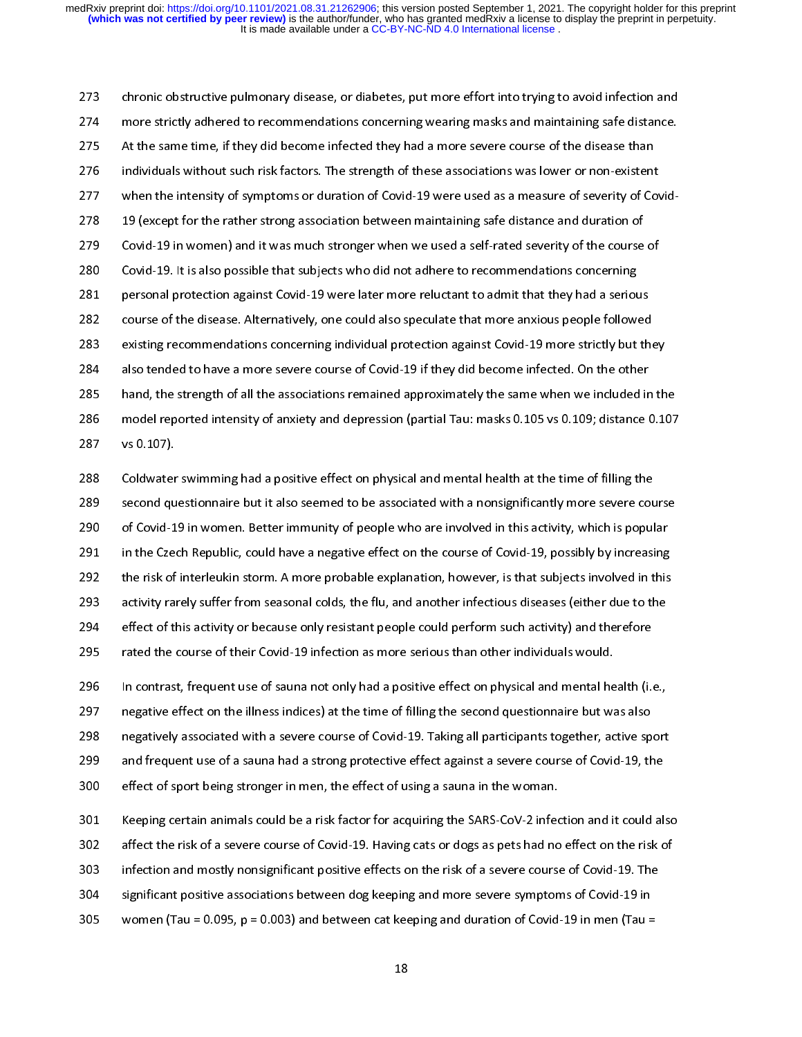chronic obstructive pulmonary disease, or diabetes, put more effort into trying to avoid infection and<br>274 more strictly adhered to recommendations concerning wearing masks and maintaining safe distance.<br>275 At the same ti 275 At the same time, if they did become infected they had a more severe course of the disease than<br>276 individuals without such risk factors. The strength of these associations was lower or non-existent<br>277 when the inten 276 individuals without such risk factors. The strength of these associations was lower or non-existent<br>277 when the intensity of symptoms or duration of Covid-19 were used as a measure of severity of Co<br>278 19 (except for 277 when the intensity of symptoms or duration of Covid-19 were used as a measure of severity of Cov<br>278 19 (except for the rather strong association between maintaining safe distance and duration of<br>279 Covid-19 in women) 201 when the internal definition of symptoms of symptoms of Covid-19 were used as a serious of several serious 279 Covid-19 in women) and it was much stronger when we used a self-rated severity of the course<br>280 Covid-19. It is also possible that subjects who did not adhere to recommendations concerning<br>281 personal protection agai 280 Covid-19. It is also possible that subjects who did not adhere to recommendations concerning<br>281 personal protection against Covid-19 were later more reluctant to admit that they had a serious<br>282 course of the disease 281 personal protection against Covid-19 were later more reluctant to admit that they had a seriou<br>282 course of the disease. Alternatively, one could also speculate that more anxious people follow<br>283 existing recommendat 282 course of the disease. Alternatively, one could also speculate that more anxious people followed<br>283 existing recommendations concerning individual protection against Covid-19 more strictly but th<br>284 also tended to ha 283 existing recommendations concerning individual protection against Covid-19 more strictly but the<br>284 also tended to have a more severe course of Covid-19 if they did become infected. On the other<br>285 hand, the strength 284 also tended to have a more severe course of Covid-19 if they did become infected. On the other<br>285 hand, the strength of all the associations remained approximately the same when we included in th<br>286 model reported in 285 hand, the strength of all the associations remained approximately the same when we included in<br>286 model reported intensity of anxiety and depression (partial Tau: masks 0.105 vs 0.109; distance (<br>287 vs 0.107).<br>288 Co 286 model reported intensity of anxiety and depression (partial Tau: masks 0.105 vs 0.109; distance 0.107<br>287 vs 0.107).<br>288 Coldwater swimming had a positive effect on physical and mental health at the time of filling the

287 vs 0.107).<br>288 Coldwater swimming had a positive effect on physical and mental health at the time of filling the<br>289 second questionnaire but it also seemed to be associated with a nonsignificantly more severe course<br>2 287 Coldwater<br>288 Coldwater<br>289 second qu<br>290 of Covid-1<br>291 in the Czeo 289 second questionnaire but it also seemed to be associated with a nonsignificantly more severe coure of Covid-19 in women. Better immunity of people who are involved in this activity, which is popul<br>291 in the Czech Repu second questionnaire but it also seemed to be associated with a nonsignificantly more severe course<br>290 of Covid-19 in women. Better immunity of people who are involved in this activity, which is popular<br>291 in the Czech R 291 in the Czech Republic, could have a negative effect on the course of Covid-19, possibly by increasing<br>292 the risk of interleukin storm. A more probable explanation, however, is that subjects involved in this<br>293 activ 292 the risk of interleukin storm. A more probable explanation, however, is that subjects involved in this<br>293 activity rarely suffer from seasonal colds, the flu, and another infectious diseases (either due to the<br>294 eff activity rarely suffer from seasonal colds, the flu, and another infectious diseases (either due to the<br>294 effect of this activity or because only resistant people could perform such activity) and therefore<br>295 rated the 294 effect of this activity or because only resistant people could perform such activity) and therefore<br>295 rated the course of their Covid-19 infection as more serious than other individuals would.<br>296 In contrast, freque

295 rated the course of their Covid-19 infection as more serious than other individuals would.<br>296 In contrast, frequent use of sauna not only had a positive effect on physical and mental health (i.e.<br>297 negative effect o 296 In contrast, frequent use of sauna not only had a positive effect on physical and mental he<br>297 negative effect on the illness indices) at the time of filling the second questionnaire but wa<br>298 negatively associated w 197 In egative effect on the illness indices) at the time of filling the second questionnaire but was also<br>198 In egatively associated with a severe course of Covid-19. Taking all participants together, active sport<br>199 In 298 negatively associated with a severe course of Covid-19. Taking all participants together, active sp<br>299 and frequent use of a sauna had a strong protective effect against a severe course of Covid-19, the second<br>200 eff 299 and frequent use of a sauna had a strong protective effect against a severe course of Covid-19, the<br>200 effect of sport being stronger in men, the effect of using a sauna in the woman.<br>201 Keeping certain animals could

209 and frequent use of a sauna had a strong protective effect against a severe course of covid-19, the strong protective effect of using a sauna in the woman.<br>
299 and the strong certain animals could be a risk factor for 301 Keeping certain animals could be a risk factor for acquiring the SARS-CoV-2 infect<br>302 affect the risk of a severe course of Covid-19. Having cats or dogs as pets had no<br>303 infection and mostly nonsignificant positive Soling the SARS-CoV-2 infection and it could also<br>
302 affect the risk of a severe course of Covid-19. Having cats or dogs as pets had no effect on the risk of<br>
303 infection and mostly nonsignificant positive effects on t infection and mostly nonsignificant positive effects on the risk of a severe course of Covid-19. The 304 significant positive associations between dog keeping and more severe symptoms of Covid-19 in<br>305 women (Tau = 0.095, p = 0.003) and between cat keeping and duration of Covid-19 in men (Tau =<br> $18$ 305 women (Tau = 0.095,  $p = 0.003$ ) and between cat keeping and duration of Covid-19 in men (Tau = 18  $305$  women (Tau  $\sim$  0.055) and between catalogical and duration of Covid-19 in men (Tau  $\sim$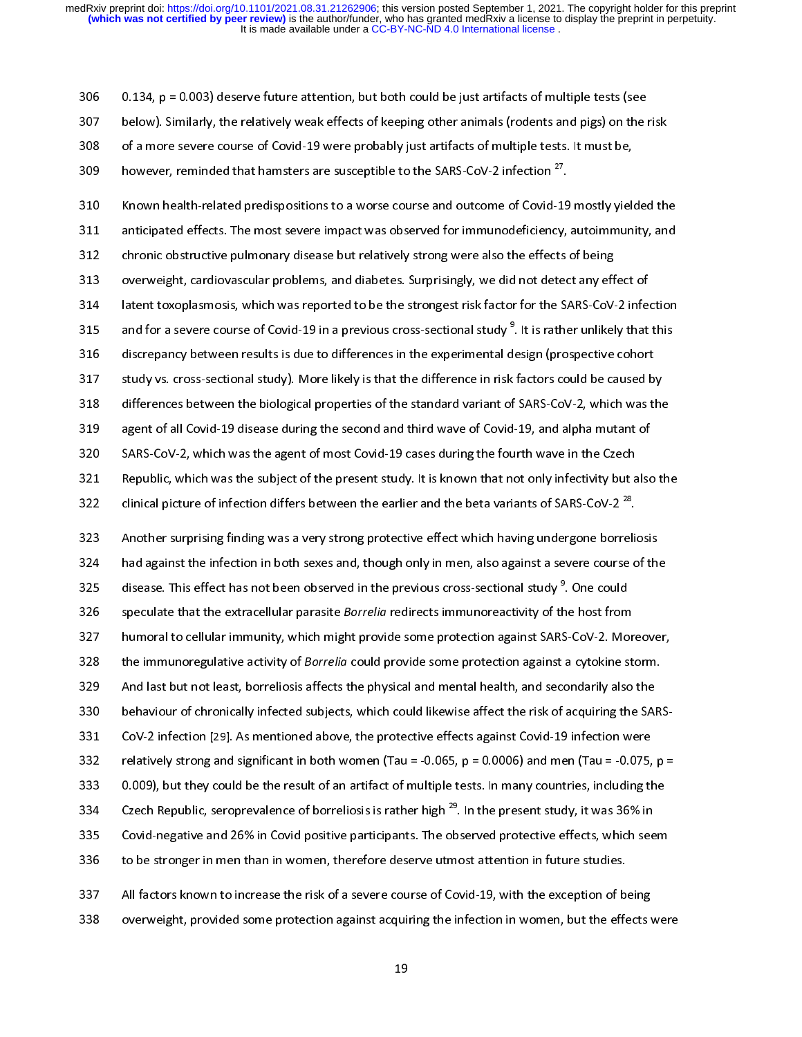306 0.134, p = 0.003) deserve future attention, but both could be just artifacts of multiple tests (see<br>307 below). Similarly, the relatively weak effects of keeping other animals (rodents and pigs) on the risk<br>308 of a m

310 Known health-related predispositions to a worse course and outcome of Covid-19 mostly yielded the<br>311 anticipated effects. The most severe impact was observed for immunodeficiency, autoimmunity, and 309 however, reminded that hamsters are susceptible to the SARS-CoV-2 infection <sup>27</sup>.<br>310 Known health-related predispositions to a worse course and outcome of Covid-19 mostly<br>311 anticipated effects. The most severe impac however, reminded that hamsters are susceptible to the SARS-CoV-2 infection  $\tilde{ }^{\prime}$ .<br>310 . Known health-related predispositions to a worse course and outcome of Covid-19<br>311 . anticipated effects. The most severe impac 311 anticipated effects. The most severe impact was observed for immunodeficiency, autoimmunity, and<br>312 chronic obstructive pulmonary disease but relatively strong were also the effects of being<br>313 overweight, cardiovasc 212 and the most severe pulmonary disease but relatively strong were also the effects of being<br>313 overweight, cardiovascular problems, and diabetes. Surprisingly, we did not detect any effect of<br>314 latent toxoplasmosis, 313 overweight, cardiovascular problems, and diabetes. Surprisingly, we did not detect any eff<br>314 latent toxoplasmosis, which was reported to be the strongest risk factor for the SARS-CoV-<br>315 and for a severe course of C 314 latent toxoplasmosis, which was reported to be the strongest risk factor for the SARS-CoV-2 inferential discrepancy between results is due to differences in the experimental design (prospective cohort study vs. cross-s 315 and for a severe course of Covid-19 in a previous cross-sectional study<sup>9</sup>. It is rather unlikely that this<br>316 discrepancy between results is due to differences in the experimental design (prospective cohort<br>317 study and for a severe course of Covid-19 in a previous cross-sectional study ". It is rather unlikely that this<br>316 discrepancy between results is due to differences in the experimental design (prospective cohort<br>317 study vs. discrepancy between results is due to differences in the experimental design (prospective cohort<br>317 study vs. cross-sectional study). More likely is that the difference in risk factors could be caused by<br>318 differences b 318 differences between the biological properties of the standard variant of SARS-CoV-2, which was the<br>319 agent of all Covid-19 disease during the second and third wave of Covid-19, and alpha mutant of<br>320 SARS-CoV-2, whi agent of all Covid-19 disease during the second and third wave of Covid-19, and alpha mutant of<br>320 SARS-CoV-2, which was the agent of most Covid-19 cases during the fourth wave in the Czech<br>321 Republic, which was the sub SARS-CoV-2, which was the agent of most Covid-19 cases during the fourth wave in the Czech<br>321 Republic, which was the subject of the present study. It is known that not only infectivity but also<br>322 clinical picture of in 321 Republic, which was the subject of the present study. It is known that not only infectivity but a<br>322 clinical picture of infection differs between the earlier and the beta variants of SARS-CoV-2<sup>28</sup>.<br>323 Another surpr

322 clinical picture of infection differs between the earlier and the beta variants of SARS-CoV-2<sup>28</sup>.<br>323 Another surprising finding was a very strong protective effect which having undergone borreliosis<br>324 had against clinical picture of infection differs between the earlier and the beta variants of SARS-CoV-2<sup>20</sup>.<br>
323 Another surprising finding was a very strong protective effect which having undergone borrelion<br>
324 had against the i 324 had against the infection in both sexes and, though only in men, also against a severe course of the<br>325 disease. This effect has not been observed in the previous cross-sectional study<sup>9</sup>. One could<br>326 speculate that 325 disease. This effect has not been observed in the previous cross-sectional study<sup>9</sup>. One could<br>326 speculate that the extracellular parasite *Borrelia* redirects immunoreactivity of the host from<br>327 humoral to cellula disease. This effect has not been observed in the previous cross-sectional study °. One could<br>326 . speculate that the extracellular parasite *Borrelia* redirects immunoreactivity of the host from<br>327 . humoral to cellular 327 speculate that the extracellular parasite Borrelia redirects immunoreactivity of the host from<br>328 humoral to cellular immunity, which might provide some protection against SARS-CoV-2. Mor<br>329 And last but not least, b 328 the immunoregulative activity of *Borrelia* could provide some protection against a cytokine storm.<br>329 And last but not least, borreliosis affects the physical and mental health, and secondarily also the<br>330 behaviour 328 the immunoregulative activity of *Borrelia* could provide some protection against a cytokine storm.<br>329 And last but not least, borreliosis affects the physical and mental health, and secondarily also the<br>330 behaviour 333 0.009), but they could be the result of an artifact of multiple tests. In many countries, including the 334 between republic, scroprevalence of borreliosis is rather liight. Therite present study, it was 30% in 332 relatively strong and significant in both women (Tau = -0.065, p = 0.0006) and men (Tau = -0.075,<br>333 0.009), but they could be the result of an artifact of multiple tests. In many countries, including the Czech Repub 333 0.009), but they could be the result of an artifact of multiple tests. In many countries, including the<br>334 Czech Republic, seroprevalence of borreliosis is rather high <sup>29</sup>. In the present study, it was 36% in<br>335 Cov Czech Republic, seroprevalence of borreliosis is rather high <sup>29</sup>. In the present study, it was 36% in<br>335 Covid-negative and 26% in Covid positive participants. The observed protective effects, which seem<br>336 to be strong Czech Republic, seroprevalence of borreliosis is rather high <sup>29</sup>. In the present study, it was 36% in<br>
Covid-negative and 26% in Covid positive participants. The observed protective effects, which seem<br>
to be stronger in 1336 to be stronger in men than in women, therefore deserve utmost attention in future studies.<br>
237 All factors known to increase the risk of a severe course of Covid-19, with the exception of being<br>
238 overweight, provi

337 All factors known to increase the risk of a severe course of Covid-19, with the exception of boverweight, provided some protection against acquiring the infection in women, but the effection in women but the effection 338 overweight, provided some protection against acquiring the infection in women, but the effects v<br>19  $338$  overweight, provided some protection against acquiring the infection in word, but the effects were effects were  $\frac{1}{2}$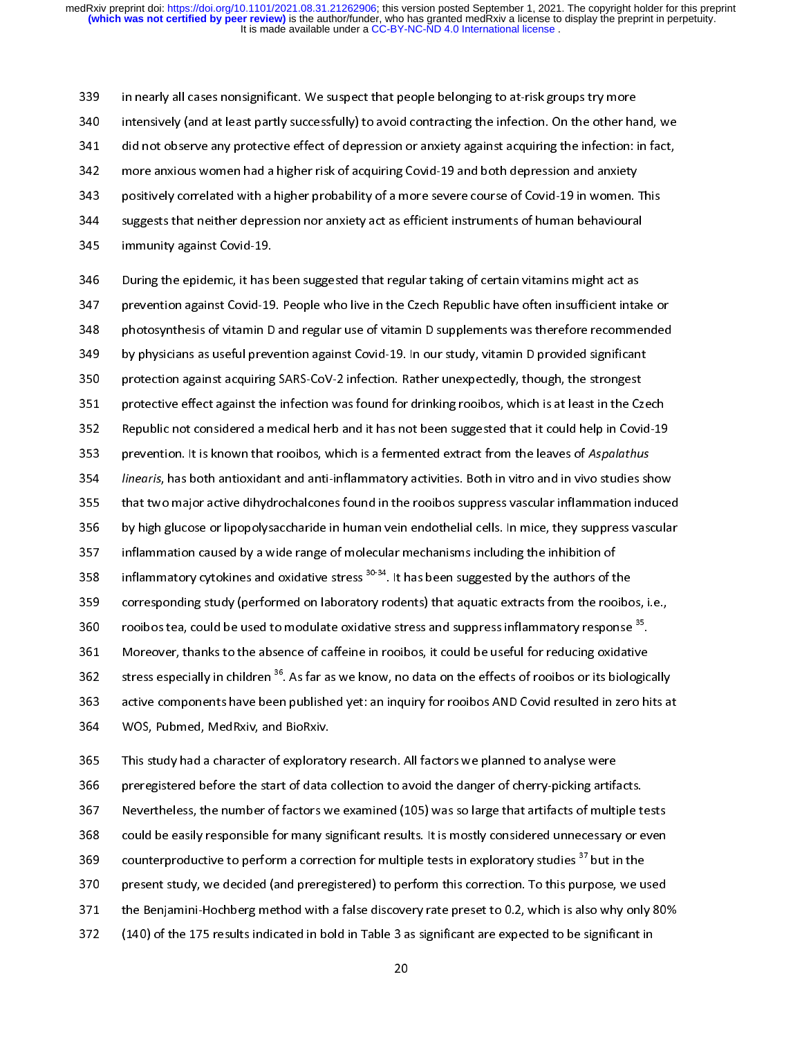in nearly all cases nonsignificant. We suspect that people belonging to at-risk groups try more<br>340 intensively (and at least partly successfully) to avoid contracting the infection. On the other hand, we<br>341 did not obser 341 did not observe any protective effect of depression or anxiety against acquiring the infection: in fact,<br>342 more anxious women had a higher risk of acquiring Covid-19 and both depression and anxiety<br>343 positively cor 342 more anxious women had a higher risk of acquiring Covid-19 and both depression and anxiety<br>343 positively correlated with a higher probability of a more severe course of Covid-19 in women.<br>344 suggests that neither dep 344 suggests that neither depression nor anxiety act as efficient instruments of human behavioural<br>345 immunity against Covid-19.<br>346 During the epidemic, it has been suggested that regular taking of certain vitamins might

346 During the epidemic, it has been suggested that regular taking of certain vitamins might act as 345 immunity against Covid-19.<br>346 During the epidemic, it has been suggested that regular taking of certain vitamins might act as<br>347 prevention against Covid-19. People who live in the Czech Republic have often insuffici 346 During the epidemic, it has I<br>347 prevention against Covid-19.<br>348 photosynthesis of vitamin D<br>349 by physicians as useful preve 347 prevention against Covid-19. People who live in the Czech Republic have often insufficient inta<br>348 photosynthesis of vitamin D and regular use of vitamin D supplements was therefore recomme<br>349 by physicians as useful 348 photosynthesis of vitamin D and regular use of vitamin D supplements was therefore recommended<br>349 by physicians as useful prevention against Covid-19. In our study, vitamin D provided significant<br>350 protection agains 349 by physicians as useful prevention against Covid-19. In our study, vitamin D provided significant<br>350 protection against acquiring SARS-CoV-2 infection. Rather unexpectedly, though, the strongest<br>351 protective effect 350 protection against acquiring SARS-CoV-2 infection. Rather unexpectedly, though, the strongest<br>351 protective effect against the infection was found for drinking rooibos, which is at least in the Cze<br>352 Republic not co protective effect against the infection was found for drinking rooibos, which is at least in the Cz<br>Republic not considered a medical herb and it has not been suggested that it could help in Covi-<br>prevention. It is known t 352 Republic not considered a medical herb and it has not been suggested that it could help in Covid-19<br>353 prevention. It is known that rooibos, which is a fermented extract from the leaves of Aspalathus<br>354 *linearis*, h 153 Prevention. It is known that rooibos, which is a fermented extract from the leaves of Aspalathus<br>154 *linearis*, has both antioxidant and anti-inflammatory activities. Both in vitro and in vivo studies show<br>155 that tw 353 prevention. It is known that rooibos, which is a remiented extract from the leaves of Asparathus<br>354 *linearis*, has both antioxidant and anti-inflammatory activities. Both in vitro and in vivo studies sh<br>355 that two 354 Interns, has both antioxidant and anti-inflammatory activities. Both in vitro and in vivo statics show<br>355 that two major active dihydrochalcones found in the rooibos suppress vascular inflammation induced<br>356 by high 356 by high glucose or lipopolysaccharide in human vein endothelial cells. In mice, they suppress vascular<br>357 inflammation caused by a wide range of molecular mechanisms including the inhibition of<br>358 inflammatory cytoki 357 inflammation caused by a wide range of molecular mechanisms including the inhibition of<br>358 inflammatory cytokines and oxidative stress  $30-34$ . It has been suggested by the authors of the<br>359 corresponding study (per 358 inflammatory cytokines and oxidative stress <sup>30-34</sup>. It has been suggested by the authors of t<br>359 corresponding study (performed on laboratory rodents) that aquatic extracts from the roo<br>360 rooibos tea, could be used inflammatory cytokines and oxidative stress <sup>3034</sup>. It has been suggested by the authors of the<br>359 corresponding study (performed on laboratory rodents) that aquatic extracts from the rooibo<br>760 rooibos tea, could be used 360 corresponding study (performance on laboratory) rodents) that aquatic extracts from the rooting of a<br>361 Moreover, thanks to the absence of caffeine in rooibos, it could be useful for reducing oxidative<br>362 stress espe rooibos tea, could be used to modulate oxidative stress and suppress inflammatory response<sup>57</sup>.<br>361 Moreover, thanks to the absence of caffeine in rooibos, it could be useful for reducing oxidative<br>362 stress especially in 362 stress especially in children <sup>36</sup>. As far as we know, no data on the effects of rooibos or its biologic<br>363 active components have been published yet: an inquiry for rooibos AND Covid resulted in zero hi<br>364 WOS, Pubm stress especially in children <sup>oo</sup>. As far as we know, no data on the effects of rooibos or its biologically<br>363 active components have been published yet: an inquiry for rooibos AND Covid resulted in zero hits at<br>364 WOS, active components have been published yet: an inquiry for rooibos AND Covid resulted in zero hits at<br>364 WOS, Pubmed, MedRxiv, and BioRxiv.<br>365 This study had a character of exploratory research. All factors we planned to

366 preregistered before the start of data collection to avoid the danger of cherry-picking artifacts<br>367 Nevertheless, the number of factors we examined (105) was so large that artifacts of multi<br>368 could be easily respo

368 could be easily responsible for many significant results. It is mostly considered unnecessary or even

367 Nevertheless, the number of factors we examined (105) was so large that artifacts of multiple to could be easily responsible for many significant results. It is mostly considered unnecessary or examined (105) was so la

368 could be easily responsible for many significant results. It is mostly considered unnecessary or even<br>369 counterproductive to perform a correction for multiple tests in exploratory studies <sup>37</sup> but in the<br>370 present 369 counterproductive to perform a correction for multiple tests in exploratory studies <sup>37</sup> but in the<br>370 present study, we decided (and preregistered) to perform this correction. To this purpose, we used<br>371 the Benjami counterproductive to perform a correction for multiple tests in exploratory studies 31<br>370 present study, we decided (and preregistered) to perform this correction. To this purpose, we u<br>371 the Benjamini-Hochberg method w 371 the Benjamini-Hochberg method with a false discovery rate preset to 0.2, which is also why only 80%<br>372 (140) of the 175 results indicated in bold in Table 3 as significant are expected to be significant in

372 (140) of the 175 results indicated in bold in Table 3 as significant are expected to be significant in 20  $320$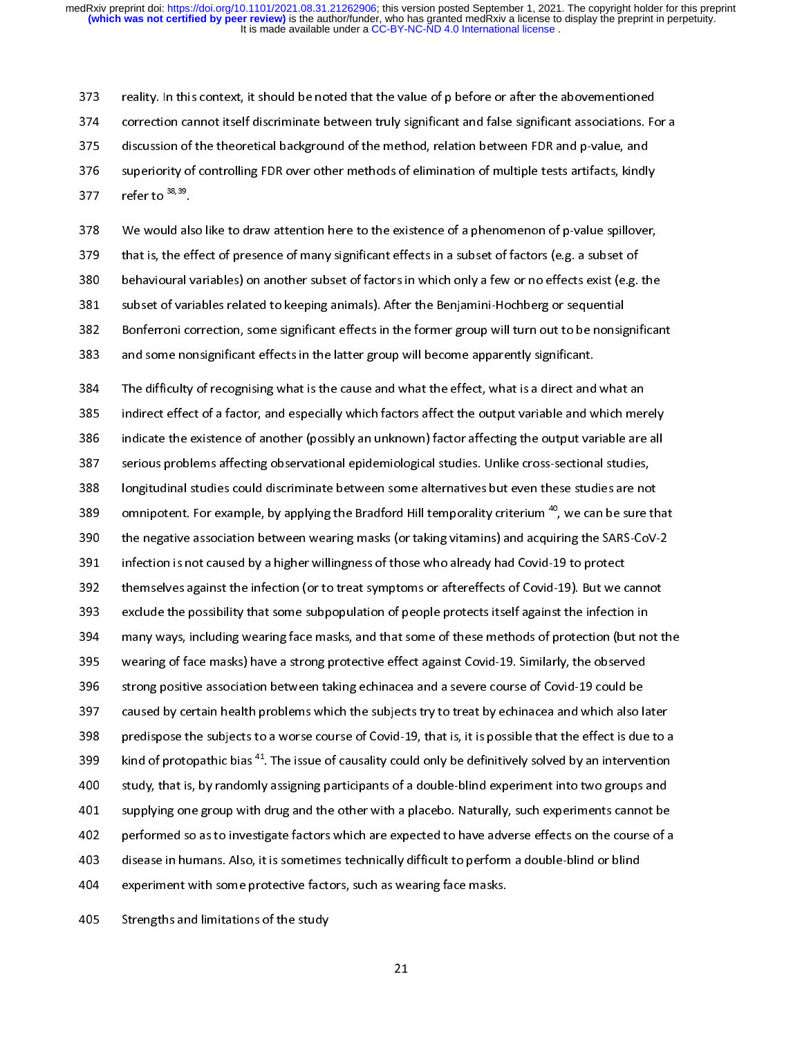374 correction cannot itself discriminate between truly significant and false significant associations. For discussion of the theoretical background of the method, relation between FDR and p-value, and superiority of contr discussion of the theoretical background of the method, relation between FDR and p-value, and<br>376 superiority of controlling FDR over other methods of elimination of multiple tests artifacts, kindly<br>377 refer to <sup>38,39</sup>.<br>3 superiority of controlling FDR over other methods of elimination of multiple tests artifacts, kindly<br>373 discussion of the theoretical background of the methods of elimination of multiple tests artifacts, kindly<br>378 discus

superiority of controlling FDR over other methods of elimination of multiple tests artifacts, kindly<br>377 refer to <sup>38,39</sup>.<br>378 We would also like to draw attention here to the existence of a phenomenon of p-value spillover 377 refer to  $378$ <br>378 We would als<br>379 that is, the ef<br>380 behavioural v<br>381 subset of var 379 that is, the effect of presence of many significant effects in a subset of factors (e.g. a subset of behavioural variables) on another subset of factors in which only a few or no effects exist (e.g. the subset of varia 380 behavioural variables) on another subset of factors in which only a few or no effects exist (e.g. subset of variables related to keeping animals). After the Benjamini-Hochberg or sequential<br>382 Bonferroni correction, s 381 subset of variables related to keeping animals). After the Benjamini-Hochberg or sequential<br>382 Bonferroni correction, some significant effects in the former group will turn out to be nonsignificant<br>383 and some nonsig 382 Bonferroni correction, some significant effects in the former group will turn out to be nonsig<br>383 and some nonsignificant effects in the latter group will become apparently significant.<br>384 The difficulty of recognisi

383 and some nonsignificant effects in the latter group will become apparently significant.<br>384 The difficulty of recognising what is the cause and what the effect, what is a direct and what an<br>385 indirect effect of a fac 384 The difficulty of recognising what is the cause and what the effect, what is a direct and<br>385 indirect effect of a factor, and especially which factors affect the output variable and w<br>386 indicate the existence of ano indirect effect of a factor, and especially which factors affect the output variable and which merely<br>386 indicate the existence of another (possibly an unknown) factor affecting the output variable are all<br>387 serious pro 386 indicate the existence of another (possibly an unknown) factor affecting the output variable are all<br>387 serious problems affecting observational epidemiological studies. Unlike cross-sectional studies,<br>388 longitudina 387 serious problems affecting observational epidemiological studies. Unlike cross-sectional studies,<br>388 longitudinal studies could discriminate between some alternatives but even these studies are not<br>389 omnipotent. For 388 longitudinal studies could discriminate between some alternatives but even these studies are no<br>389 omnipotent. For example, by applying the Bradford Hill temporality criterium <sup>40</sup>, we can be sure t<br>390 the negative a 389 omnipotent. For example, by applying the Bradford Hill temporality criterium <sup>40</sup>, we can be sure th<br>390 the negative association between wearing masks (or taking vitamins) and acquiring the SARS-CoV-<br>391 infection is omnipotent. For example, by applying the Bradford Hill temporality criterium <sup>40</sup>, we can be sure that<br>390 the negative association between wearing masks (or taking vitamins) and acquiring the SARS-CoV-2<br>391 infection is n 391 infection is not caused by a higher willingness of those who already had Covid-19 to protect<br>392 themselves against the infection (or to treat symptoms or aftereffects of Covid-19). But we cannot<br>393 exclude the possib 394 many ways, including wearing face masks, and that some of these methods of protection (but not the<br>395 wearing of face masks) have a strong protective effect against Covid-19. Similarly, the observed 393 exclude the possibility that some subpopulation of people protects itself against the infection in<br>394 many ways, including wearing face masks, and that some of these methods of protection (but not t<br>395 wearing of fac 396 strong positive association between taking echinacea and a severe course of Covid-19 could be<br>397 – caused by certain health problems which the subjects try to treat by echinacea and which also later 398 predispose the subjects to a worse course of Covid-19, that is, it is possible that the effect is due to a 396 strong positive association between taking echinacea and a severe course of Covid-19 could be<br>397 caused by certain health problems which the subjects try to treat by echinacea and which also la<br>398 predispose the subj Example 2018 Strong positive association between taking distributed that distributed to term in the strong caused by certain health problems which the subjects try to treat by echinacea and which also I<br>also predispose the 398 predispose the subjects to a worse course of Covid-19, that is, it is possible that the effect is due to a<br>399 kind of protopathic bias <sup>41</sup>. The issue of causality could only be definitively solved by an intervention<br> 399 kind of protopathic bias <sup>41</sup>. The issue of causality could only be definitively solved by an intervention<br>300 study, that is, by randomly assigning participants of a double-blind experiment into two groups and<br>301 sup kind of protopathic bias <sup>42</sup>. The issue of causality could only be definitively solved by an intervention<br>400 study, that is, by randomly assigning participants of a double-blind experiment into two groups and<br>401 supplyi 1000 supplying one group with drug and the other with a placebo. Naturally, such experiments cannot be<br>102 performed so as to investigate factors which are expected to have adverse effects on the course of a<br>103 disease in experience so as to investigate factors which are expected to have adverse effects on the course of a<br>disease in humans. Also, it is sometimes technically difficult to perform a double-blind or blind<br>experiment with some p 403 disease in humans. Also, it is sometimes technically difficult to perform a double-blind or blind<br>404 experiment with some protective factors, such as wearing face masks.<br>405 Strengths and limitations of the study 404 experiment with some protective factors, such as wearing face masks.<br>405 Strengths and limitations of the study<br>21 405 Strengths and limitations of the study<br>21

405 Strengths and limitations of the study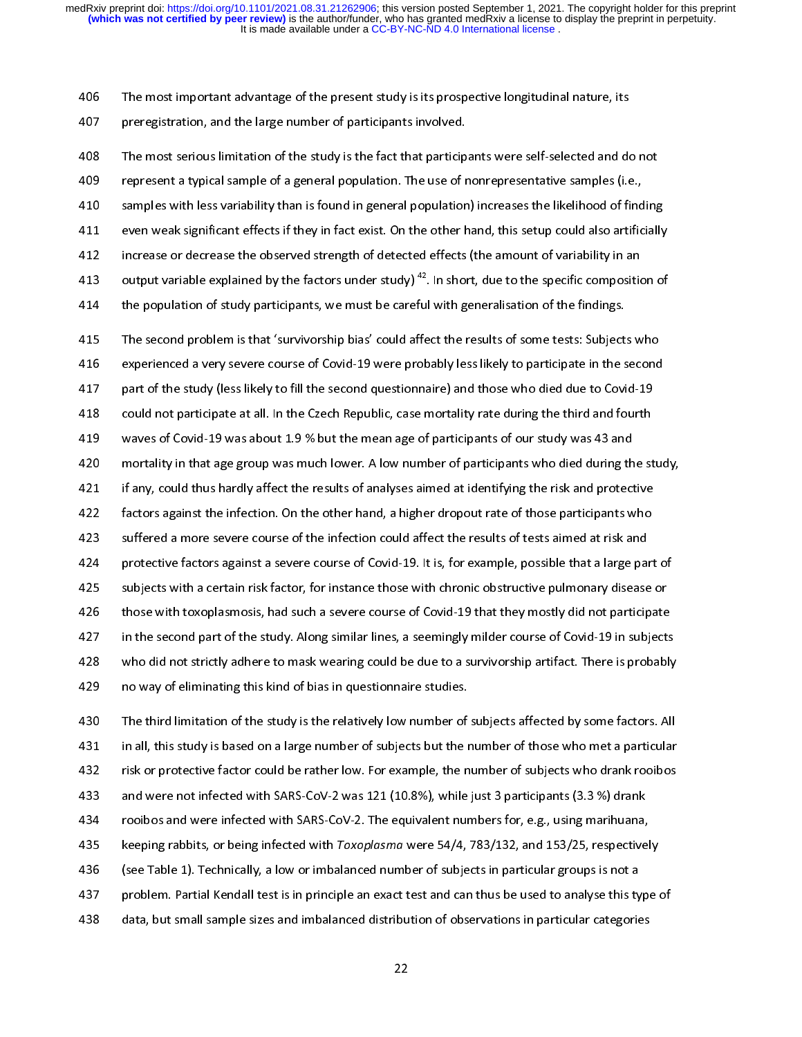For the most important antantage of the present study is the prespective longitudinal nature, its prospective<br>408 The most serious limitation of the study is the fact that participants were self-selected and do<br>409 The mos 408 The most serious limitation of the study is the fact that particip<br>409 epresent a typical sample of a general population. The use of r<br>410 samples with less variability than is found in general population<br>411 even weak The most serious limitation of the study is the fact that participants were self-selected and do not<br>409 represent a typical sample of a general population. The use of nonrepresentative samples (i.e.,<br>410 samples with less 410 samples with less variability than is found in general population) increases the likelihood of find<br>411 even weak significant effects if they in fact exist. On the other hand, this setup could also artific<br>412 increas Examples with less variability than is found in population, increase the simulation of samples in fract exist. On the other hand, this setup could also artificially increase or decrease the observed strength of detected ef Figure 2011 and the observed strength of detected effects (the amount of variability in an<br>
413 output variable explained by the factors under study)<sup>42</sup>. In short, due to the specific composition of<br>
414 the population of output variable explained by the factors under study)<sup>42</sup>. In short, due to the specific composition<br>414 the population of study participants, we must be careful with generalisation of the findings.<br>415 The second problem

output variable explained by the factors under study) <sup>42</sup>. In short, due to the specific composition of<br>the population of study participants, we must be careful with generalisation of the findings.<br>The second problem is t the population of study participants, we must be careful with generalisation of the findings.<br>
415 The second problem is that 'survivorship bias' could affect the results of some tests: Subjects who<br>
416 experienced a very experienced a very severe course of Covid-19 were probably less likely to participate in the second<br>
part of the study (less likely to fill the second questionnaire) and those who died due to Covid-19<br>
could not participat 419 waves of Covid-19 was about 1.9 % but the mean age of participants of our study was 43 and<br>420 mortality in that age group was much lower. A low number of participants who died during the study, 421 if any, could thus hardly affect the results of analyses aimed at identifying the risk and protective waves of Covid-19 was about 1.9 % but the mean age of participants of our study was 43 and<br>420 mortality in that age group was much lower. A low number of participants who died during the st<br>421 if any, could thus hardly a mortality in that age group was much lower. A low number of participants who died during th<br>421 if any, could thus hardly affect the results of analyses aimed at identifying the risk and protect<br>422 factors against the inf 1421 if any, could thus hardly affect the results of analyses aimed at identifying the risk and protective<br>
422 factors against the infection. On the other hand, a higher dropout rate of those participants who<br>
423 suffere 422 factors against the infection. On the other hand, a higher dropout rate of those participants who<br>423 suffered a more severe course of the infection could affect the results of tests aimed at risk and<br>424 protective fa 1423 suffered a more severe course of the infection could affect the results of tests aimed at risk and<br>1424 protective factors against a severe course of Covid-19. It is, for example, possible that a large part<br>1425 subje 124 protective factors against a severe course of Covid-19. It is, for example, possible that a large particle<br>125 subjects with a certain risk factor, for instance those with chronic obstructive pulmonary disease<br>126 thos 425 subjects with a certain risk factor, for instance those with chronic obstructive pulmonary disease or<br>426 those with toxoplasmosis, had such a severe course of Covid-19 that they mostly did not participate<br>427 in the s 426 those with toxoplasmosis, had such a severe course of Covid-19 that they mostly did not participate<br>427 in the second part of the study. Along similar lines, a seemingly milder course of Covid-19 in subject:<br>428 who di 427 in the second part of the study. Along similar lines, a seemingly milder course of Covid-19 in subjects<br>428 who did not strictly adhere to mask wearing could be due to a survivorship artifact. There is probably<br>429 no who did not strictly adhere to mask wearing could be due to a survivorship artifact. There is probably<br>
429 no way of eliminating this kind of bias in questionnaire studies.<br>
430 The third limitation of the study is the re

129 no way of eliminating this kind of bias in questionnaire studies.<br>130 The third limitation of the study is the relatively low number of subjects affected by some factors. All<br>131 in all, this study is based on a large 430 The third limitation of the study is the relatively low number of<br>431 in all, this study is based on a large number of subjects but the r<br>432 isk or protective factor could be rather low. For example, the n<br>433 and wer 431 in all, this study is based on a large number of subjects but the number of those who met a particular<br>432 tisk or protective factor could be rather low. For example, the number of subjects who drank rooibos<br>433 and we 132 is a protective factor could be rather low. For example, the number of subjects who drank rooibos<br>
2433 and were not infected with SARS-CoV-2 was 121 (10.8%), while just 3 participants (3.3 %) drank<br>
2434 rooibos and w and were not infected with SARS-CoV-2 was 121 (10.8%), while just 3 participants (3.3 %) drank<br>434 rooibos and were infected with SARS-CoV-2. The equivalent numbers for, e.g., using marihuana,<br>435 keeping rabbits, or being 434 rooibos and were infected with SARS-CoV-2. The equivalent numbers for, e.g., using marihuana,<br>435 keeping rabbits, or being infected with *Toxoplasma* were 54/4, 783/132, and 153/25, respective<br>436 (see Table 1). Techn keeping rabbits, or being infected with Toxoplasma were 54/4, 783/132, and 153/25, respectivel<br>436 (see Table 1). Technically, a low or imbalanced number of subjects in particular groups is not a<br>437 problem. Partial Kenda 435 keeping rabbits, or being infected with Toxopiasma were 34/4, 783/132, and 133/23, respectively<br>436 (see Table 1). Technically, a low or imbalanced number of subjects in particular groups is not a<br>437 problem. Partial 437 (see Table 1). The table 1). The problem. Partial Kendall test is in principle an exact test and can thus be used to analyse this ty<br>438 (data, but small sample sizes and imbalanced distribution of observations in part 438 data, but small sample sizes and imbalanced distribution of observations in particular categories<br>22

 $^{22}$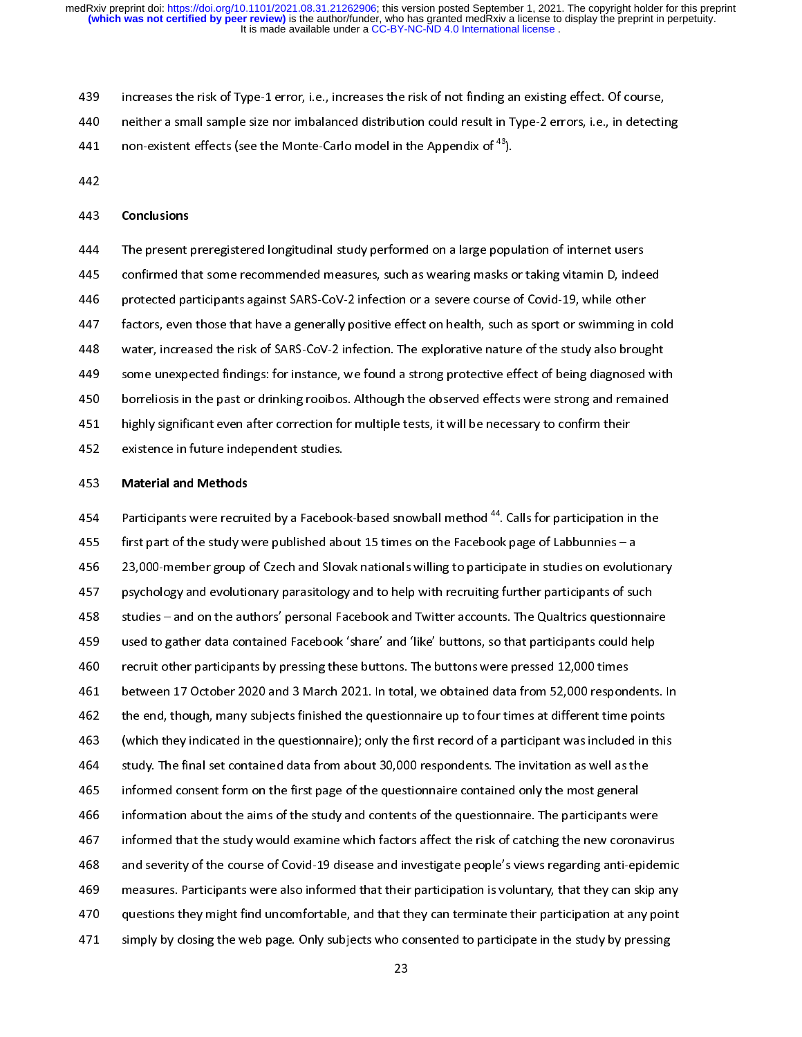- 
- 439 increases the risk of Type-1 error, i.e., increases the risk of not finding an existing effect. Of course,<br>
140 neither a small sample size nor imbalanced distribution could result in Type-2 errors, i.e., in detecting
- 441 non-existent effects (see the Monte-Carlo model in the Appendix of  $^{43}$ ).<br>442 **Conclusions**
- 

non-existent effects (see the Monte-Carlo model in the Appendix of <sup>43</sup> 441 ). 443<br>444<br>445<br>446 443 Conclusions<br>444 The present<br>445 confirmed th<br>446 protected pa<br>447 factors, even The present preregistered longitudinal study performed on a large population of internet users<br>
confirmed that some recommended measures, such as wearing masks or taking vitamin D, indeed<br>
protected participants against SA protected participants against SARS-CoV-2 infection or a severe course of Covid-19, while other<br>447 factors, even those that have a generally positive effect on health, such as sport or swimming in co<br>448 water, increased Fronting in the control of the set of same are against the effect on health, such as sport or swimming in<br>
448 water, increased the risk of SARS-CoV-2 infection. The explorative nature of the study also broug<br>
449 some une water, increased the risk of SARS-CoV-2 infection. The explorative nature of the study also brought<br>some unexpected findings: for instance, we found a strong protective effect of being diagnosed with<br>borreliosis in the pas Final some unexpected findings: for instance, we found a strong protective effect of being diagnosed wit<br>450 borreliosis in the past or drinking rooibos. Although the observed effects were strong and remained<br>451 highly si Find analysis in the past or drinking rooibos. Although the observed effects were strong and remained<br>highly significant even after correction for multiple tests, it will be necessary to confirm their<br>existence in future i 450 borreliosis in the past or drinking rooibos. Although the observed effects were strong and remained<br>
451 highly significant even after correction for multiple tests, it will be necessary to confirm their<br>
452 existence

existence in future independent studies.<br>452 existence in future independent studies.<br>453 Material and Methods<br>454 Participants were recruited by a Facebook-based snowball method <sup>44</sup>. Calls for participation in 453 **Material and Methods**<br>454 Participants were recruited by a Faceboo<br>455 first part of the study were published abo 453 Material and Methods<br>454 Participants were recrui<br>455 first part of the study w<br>456 23,000-member group of Participants were recruited by a Facebook-based snowball method <sup>44</sup>. Calls for participation in the<br>455 first part of the study were published about 15 times on the Facebook page of Labbunnies – a<br>456 23,000-member group 456 and 23,000-member group of Czech and Slovak nationals willing to participate in studies on evolut<br>457 by expection are published about the participate in studies on evolut<br>458 studies – and on the authors' personal Fac 1467 23,000 parallel group of Czech and Sloven and Sloven and Sloven participants of such studies – and on the authors' personal Facebook and Twitter accounts. The Qualtrics questionnaire used to gather data contained Face 458 studies – and on the authors' personal Facebook and Twitter accounts. The Qualtrics questionnai<br>459 studies – and on the authors' personal Facebook and Twitter accounts. The Qualtrics questionnai<br>460 recruit other part 458 studies – and on the authors' personal Facebook and Twitter accounts. The Qualtrics questionnaire<br>459 used to gather data contained Facebook 'share' and 'like' buttons, so that participants could help<br>460 recruit other From the gather data contains to get to the facebook to the buttons were pressed 12,000 times<br>
between 17 October 2020 and 3 March 2021. In total, we obtained data from 52,000 respondents<br>
the end, though, many subjects fi 1461 between 17 October 2020 and 3 March 2021. In total, we obtained data from 52,000 respond<br>1462 the end, though, many subjects finished the questionnaire up to four times at different time<br>1463 (which they indicated in 462 the end, though, many subjects finished the questionnaire up to four times at different time points<br>463 (which they indicated in the questionnaire); only the first record of a participant was included in this<br>464 study 463 (which they indicated in the questionnaire); only the first record of a participant was included in this study. The final set contained data from about 30,000 respondents. The invitation as well as the informed consent 463 (which they indicated in the questionnaire); only the first record of a participant was included in this<br>464 study. The final set contained data from about 30,000 respondents. The invitation as well as the<br>465 informed 465 informed consent form on the first page of the questionnaire contained only the most general<br>466 information about the aims of the study and contents of the questionnaire. The participants wer<br>467 informed that the stu 1466 information about the aims of the study and contents of the questionnaire. The participants would informed that the study would examine which factors affect the risk of catching the new coron and severity of the cours 1467 informed that the study would examine which factors affect the risk of catching the new coronavir<br>1468 and severity of the course of Covid-19 disease and investigate people's views regarding anti-epide<br>1469 measures. and severity of the course of Covid-19 disease and investigate people's views regarding anti-epidemic<br>measures. Participants were also informed that their participation is voluntary, that they can skip any<br>questions they m measures. Participants were also informed that their participation is voluntary, that they can skip any<br>470 questions they might find uncomfortable, and that they can terminate their participation at any point<br>471 simply b questions they might find uncomfortable, and that they can terminate their participation at any point<br>471 simply by closing the web page. Only subjects who consented to participate in the study by pressing<br>23 471 simply by closing the web page. Only subjects who consented to participate in the study by pressing<br>23  $23$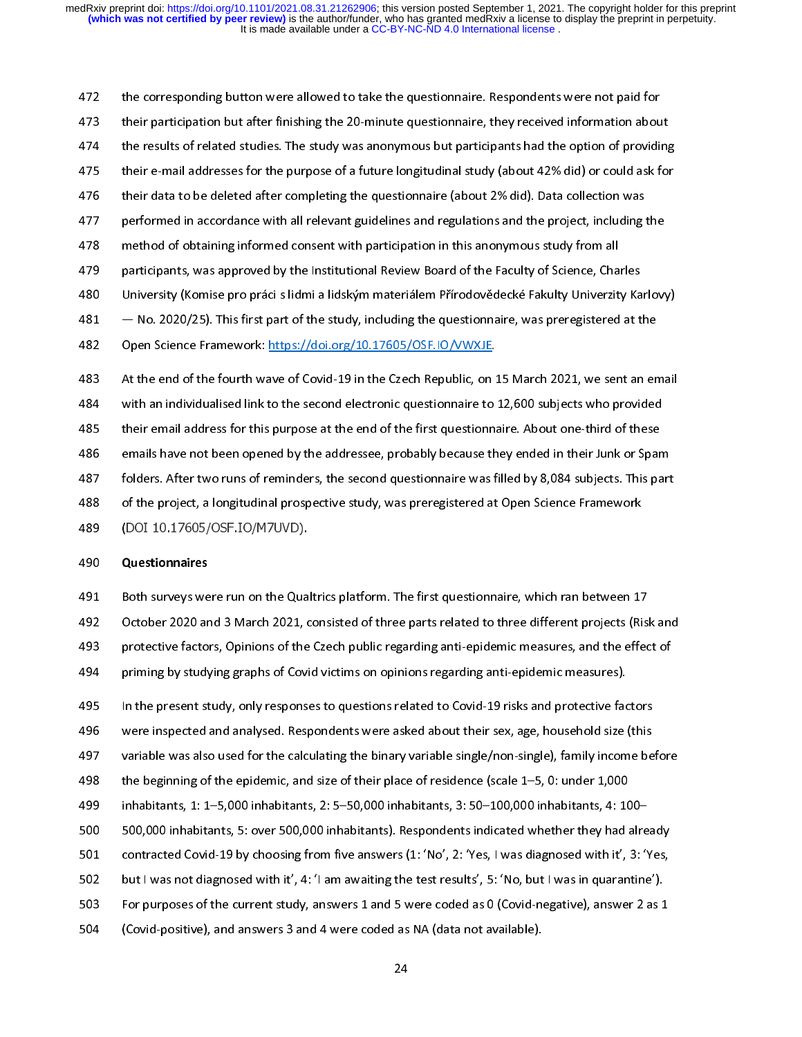the corresponding button were allowed to take the questionnaire. Respondents were not paid for<br>
473 their participation but after finishing the 20-minute questionnaire, they received information about<br>
474 the results of r 474 the results of related studies. The study was anonymous but participants had the option of providing<br>475 their e-mail addresses for the purpose of a future longitudinal study (about 42% did) or could ask for<br>476 their 475 their e-mail addresses for the purpose of a future longitudinal study (about 42% did) or could ask for<br>476 their data to be deleted after completing the questionnaire (about 2% did). Data collection was<br>477 performed i 476 their data to be deleted after completing the questionnaire (about 2% did). Data collection was<br>477 performed in accordance with all relevant guidelines and regulations and the project, including the<br>478 method of obta 1477 performed in accordance with all relevant guidelines and regulations and the project, including<br>1478 method of obtaining informed consent with participation in this anonymous study from all<br>1479 participants, was appr method of obtaining informed consent with participation in this anonymous study from all<br>
479 participants, was approved by the Institutional Review Board of the Faculty of Science, Charles<br>
480 University (Komise pro prác participants, was approved by the Institutional Review Board of the Faculty of Science, Cha<br>480 University (Komise pro práci s lidmi a lidským materiálem Přírodovědecké Fakulty Univerzit<br>481 – No. 2020/25). This first part University (Komise pro práci s lidmi a lidským materiálem Přírodovědecké Fakulty Univerzity Ka<br>481 — No. 2020/25). This first part of the study, including the questionnaire, was preregistered at t<br>482 Open Science 481 – No. 2020/25). This first part of the study, including the questionnaire, was preregistered at the<br>482 Open Science Framework: https://doi.org/10.17605/OSF.IO/VWXJE.<br>483 At the end of the fourth wave of Covid-19 in th

This first part of the San Assembly Correct open Science Framework: https://doi.org/10.17605/OSF.IO/VWXJE.<br>
483 At the end of the fourth wave of Covid-19 in the Czech Republic, on 15 March 2021, we sent an en<br>
484 with an Open Science Framework: https://doi.org/10.17605/OSF.IO/VWXJE.<br>
483 At the end of the fourth wave of Covid-19 in the Czech Republic, on 15 March 2021, we sent an email<br>
484 with an individualised link to the second electro 487 folders. After two runs of reminders, the second questionnaire was filled by 8,084 subjects. This part 14485 their email address for this purpose at the end of the first questionnaire. About one-third of these<br>1486 emails have not been opened by the addressee, probably because they ended in their Junk or Span<br>1487 folders. 486 emails have not been opened by the addressee, probably because they ended in their Junk or Spar<br>487 folders. After two runs of reminders, the second questionnaire was filled by 8,084 subjects. This particle<br>489 (DOI 10 1487 folders. After two runs of reminders, the second questionnaire was filled by 8,084 subjects. This part<br>1488 of the project, a longitudinal prospective study, was preregistered at Open Science Framework<br>1489 (DOI 10.17 488 of the project, a longitudinal prospective study, was preregistered at Open Science Framework<br>489 (DOI 10.17605/OSF.IO/M7UVD).<br>490 Questionnaires

488 of the project, a longitudinal prospective study, was preregistered at Open Science Framework<br>489 (DOI 10.17605/OSF.IO/M7UVD).<br>490 **Questionnaires**<br>491 Both surveys were run on the Qualtrics platform. The first questio 489 (BOI 10.17605/OSF.IO/M70VD).<br>490 **Questionnaires**<br>491 Both surveys were run on the Qual<br>492 October 2020 and 3 March 2021, c 490 Questionnaires<br>492 October 2020 ar<br>493 protective facto<br>494 priming by study 493 protective factors, Opinions of the Czech public regarding anti-epidemic measures, and the effect of<br>494 priming by studying graphs of Covid victims on opinions regarding anti-epidemic measures).<br>495 In the present stu protective factors, Opinions of the Czech public regarding anti-epidemic measures, and the effect of<br>494 priming by studying graphs of Covid victims on opinions regarding anti-epidemic measures).<br>495 In the present study, priming by studying graphs of Covid victims on opinions regarding anti-epidemic measures).<br>
495 In the present study, only responses to questions related to Covid-19 risks and protective factors<br>
496 were inspected and ana

495 In the present study, only responses to questions related to Covid-19 risks and protective factor were inspected and analysed. Respondents were asked about their sex, age, household size is variable was also used for t

- were inspected and analysed. Respondents were asked about their sex, age, household size (this<br>
497 variable was also used for the calculating the binary variable single/non-single), family income be<br>
498 the beginning of
- 497 variable was also used for the calculating the binary variable single/non-single), family income be<br>498 the beginning of the epidemic, and size of their place of residence (scale 1–5, 0: under 1,000<br>499 inhabitants, 1: 498 the beginning of the epidemic, and size of their place of residence (scale 1–5, 0: under 1,000<br>499 inhabitants, 1: 1–5,000 inhabitants, 2: 5–50,000 inhabitants, 3: 50–100,000 inhabitants, 4: 100–<br>500,000 inhabitants, 5 the beginning of the epidemic, and size of their place of residence (scale 1–5, 0: under 1,000<br>
1499 inhabitants, 1: 1–5,000 inhabitants, 2: 5–50,000 inhabitants, 3: 50–100,000 inhabitants, 4: 100–<br>
1600,000 inhabitants, 5 499 500,000 inhabitants, 5: over 500,000 inhabitants). Respondents indicated whether they had alre<br>
501 contracted Covid-19 by choosing from five answers (1: 'No', 2: 'Yes, I was diagnosed with it', 3: '<br>
502 but I was not
- 
- 
- 501 contracted Covid-19 by choosing from five answers (1: 'No', 2: 'Yes, I was diagnosed with it', 3: 'Yes,<br>502 but I was not diagnosed with it', 4: 'I am awaiting the test results', 5: 'No, but I was in quarantine').<br>503 502 but I was not diagnosed with it', 4: 'I am awaiting the test results', 5: 'No, but I was in quarantine').<br>503 For purposes of the current study, answers 1 and 5 were coded as 0 (Covid-negative), answer 2 as 1<br>504 (Cov 503 For purposes of the current study, answers 1 and 5 were coded as 0 (Covid-negative), answer 2 as 1<br>504 (Covid-positive), and answers 3 and 4 were coded as NA (data not available).<br>24
- $504$  (Covid-positive), and answers 3 and 4 were coded as NA (data not available).<br> $24$  $54$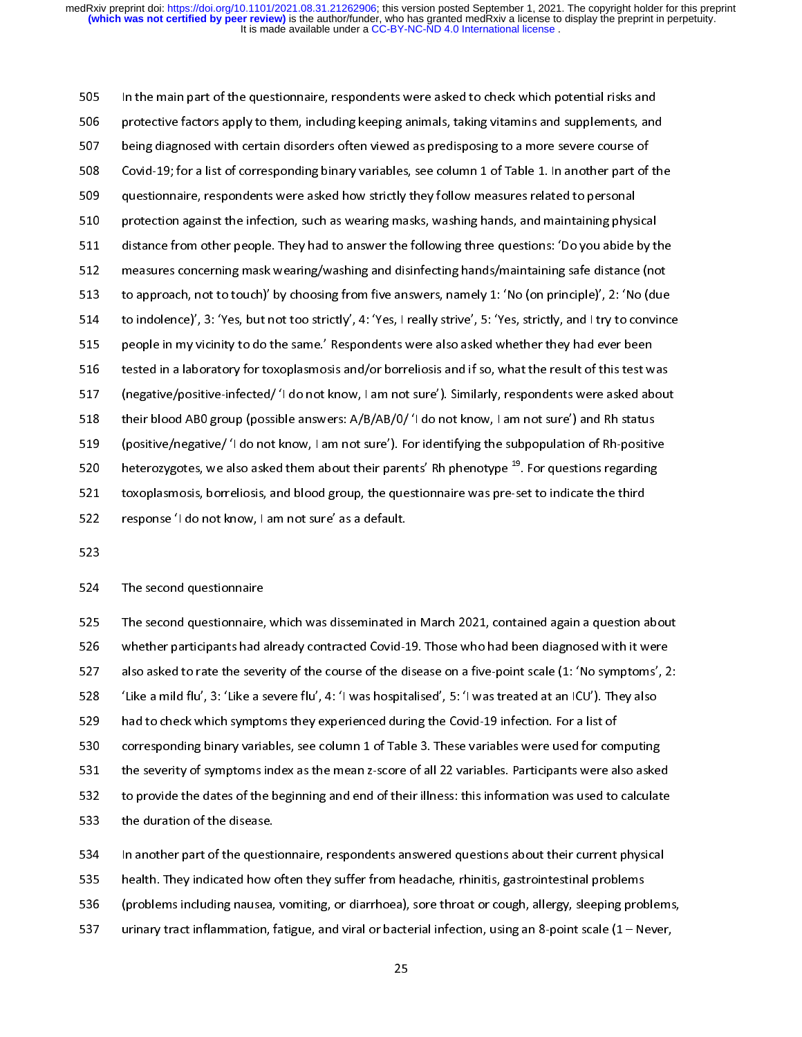In the main part of the questionnaire, respondents were asked to check which potential risks and<br>506 protective factors apply to them, including keeping animals, taking vitamins and supplements, and<br>507 being diagnosed wit 507 being diagnosed with certain disorders often viewed as predisposing to a more severe course of<br>508 Covid-19; for a list of corresponding binary variables, see column 1 of Table 1. In another part of the<br>509 questionnai 508 Covid-19; for a list of corresponding binary variables, see column 1 of Table 1. In another part of<br>509 questionnaire, respondents were asked how strictly they follow measures related to personal<br>510 protection against 510 protection against the infection, such as wearing masks, washing hands, and maintaining physical<br>511 distance from other people. They had to answer the following three questions: 'Do you abide by the<br>512 measures conce protection against the infection, such as wearing masks, washing hands, and maintaining phys<br>511 distance from other people. They had to answer the following three questions: 'Do you abide<br>512 measures concerning mask wear 511 distance from other people. They had to answer the following three questions: 'Do you abide by the measures concerning mask wearing/washing and disinfecting hands/maintaining safe distance (no<br>513 to approach, not to t manus concerning mask wearing/washing and disinfecting hands/maintaining safe distance (not<br>513 distance from the following from the answers, namely 1: 'No (on principle)', 2: 'No (due<br>514 to indolence)', 3: 'Yes, but not 513 to approach, not to touch)' by choosing from five answers, namely 1: 'No (on principle)', 2: 'No (due<br>514 to indolence)', 3: 'Yes, but not too strictly', 4: 'Yes, I really strive', 5: 'Yes, strictly, and I try to convi to approach, not to touch)' by choosing from five answers, namely 1: 'No (on principle)', 2: 'No (due<br>514 to indolence)', 3: 'Yes, but not too strictly', 4: 'Yes, I really strive', 5: 'Yes, strictly, and I try to convince<br> 515 people in my vicinity to do the same.' Respondents were also asked whether they had ever been<br>516 tested in a laboratory for toxoplasmosis and/or borreliosis and if so, what the result of this test was<br>517 (negative/po 516 tested in a laboratory for toxoplasmosis and/or borreliosis and if so, what the result of this test w<br>517 (negative/positive-infected/ 'I do not know, I am not sure'). Similarly, respondents were asked ab<br>518 their blo (negative/positive-infected/ 'I do not know, I am not sure'). Similarly, respondents were asked about<br>
their blood AB0 group (possible answers: A/B/AB/O/ 'I do not know, I am not sure') and Rh status<br>
(positive/negative/ ' 518 their blood ABO group (possible answers: A/B/AB/O/ 'I do not know, I am not sure') and Rh status<br>519 (positive/negative/ 'I do not know, I am not sure'). For identifying the subpopulation of Rh-positive<br>520 heterozygo 519 (positive/negative/ 'I do not know, I am not sure'). For identifying the subpopulation of Rh-positiv<br>520 heterozygotes, we also asked them about their parents' Rh phenotype <sup>19</sup>. For questions regarding<br>521 toxoplasmos 520 heterozygotes, we also asked them about their parents' Rh phenotype <sup>19</sup>. For questions regarding<br>521 toxoplasmosis, borreliosis, and blood group, the questionnaire was pre-set to indicate the third<br>522 response 'I do 520 heterozygotes, we also asked them about their parents' Rh phenotype <sup>22</sup>. For questions regarding<br>521 toxoplasmosis, borreliosis, and blood group, the questionnaire was pre-set to indicate the third<br>522 response 'I do 522 response 'I do not know, I am not sure' as a default.<br>523<br>524 The second questionnaire

523<br>523 The second questionnaire<br>525 The second questionnaire, which was disseminated i 524<br>525<br>526<br>527 525 The second questionnaire,<br>526 Whether participants had a<br>527 also asked to rate the seve<br>528 Like a mild flu', 3: 'Like a s 526 Whether participants had already contracted Covid-19. Those who had been diagnosed with it were<br>527 also asked to rate the severity of the course of the disease on a five-point scale (1: 'No symptoms', 2:<br>528 'Like a m 527 also asked to rate the severity of the course of the disease on a five-point scale (1: 'No symptoms', 2<br>528 'Like a mild flu', 3: 'Like a severe flu', 4: 'I was hospitalised', 5: 'I was treated at an ICU'). They also<br>5 528 (Elike a mild flu', 3: 'Like a severe flu', 4: 'I was hospitalised', 5: 'I was treated at an ICU'). They also<br>529 had to check which symptoms they experienced during the Covid-19 infection. For a list of<br>530 correspond a mild fluid fluid fluid fluid fluid fluid fluid fluid fluid fluid fluid fluid fluid fluid fluid fluid fluid f<br>
530 to provide the dates of the beginning and end of their illness: this information was used to calcular<br>
532 530 corresponding binary variables, see column 1 of Table 3. These variables were used for con<br>531 the severity of symptoms index as the mean z-score of all 22 variables. Participants were a<br>532 to provide the dates of the 531 the severity of symptoms index as the mean z-score of all 22 variables. Participants were also asket<br>532 to provide the dates of the beginning and end of their illness: this information was used to calculat<br>533 the dur 532 to provide the dates of the beginning and end of their illness: this information was used to calculate<br>533 the duration of the disease.<br>534 In another part of the questionnaire, respondents answered questions about the

533 the duration of the disease.<br>534 In another part of the questionnaire, respondents answered questions about their current physical<br>535 health. They indicated how often they suffer from headache, rhinitis, gastrointesti 534 The annunced are accessed.<br>535 the duration of the questi<br>535 the duration of the disease of the disease.<br>537 the disease of the disease of the disease. Figure 1.1 In any indicated how often they suffer from headache, rhinitis, gastrointestinal problems<br>
536 (problems including nausea, vomiting, or diarrhoea), sore throat or cough, allergy, sleeping problem<br>
537 urinary tr 536 (problems including nausea, vomiting, or diarrhoea), sore throat or cough, allergy, sleeping prob<br>537 urinary tract inflammation, fatigue, and viral or bacterial infection, using an 8-point scale (1 – Network<br>537 25 537 urinary tract inflammation, fatigue, and viral or bacterial infection, using an 8-point scale (1 – Never,<br>25  $537$  urinary tractation,  $25$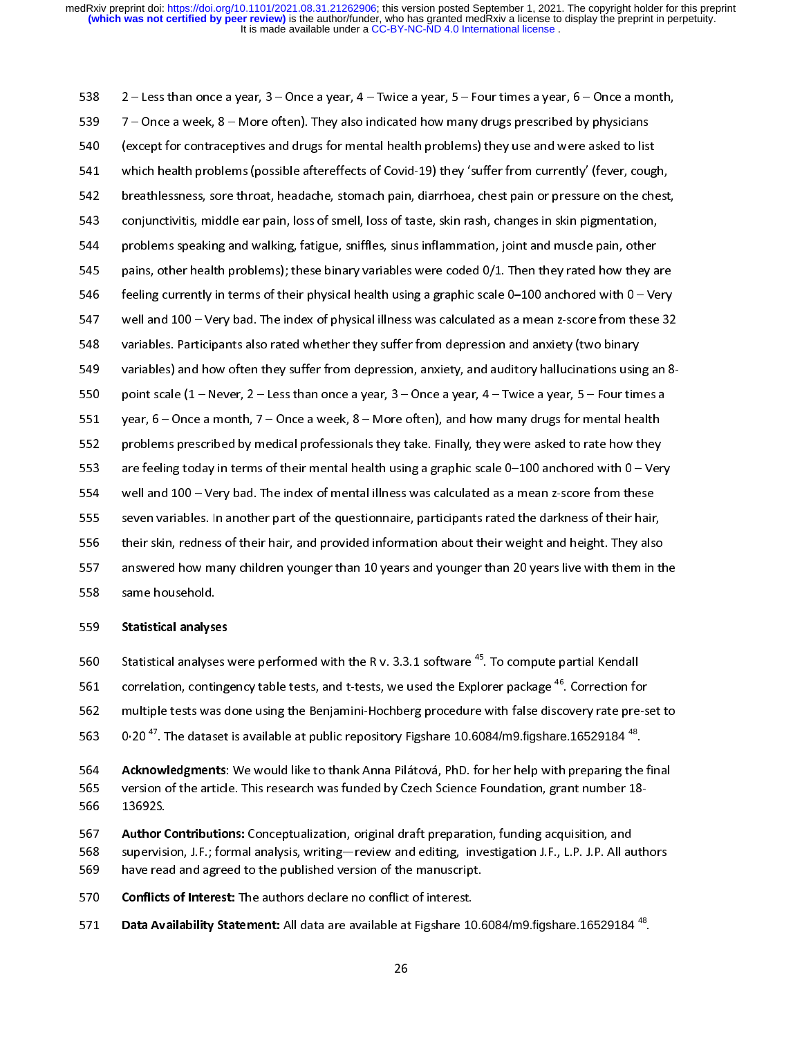It is made available under a CC-BY-NC-ND 4.0 International license. **(which was not certified by peer review)** is the author/funder, who has granted medRxiv a license to display the preprint in perpetuity. medRxiv preprint doi: [https://doi.org/10.1101/2021.08.31.21262906;](https://doi.org/10.1101/2021.08.31.21262906) this version posted September 1, 2021. The copyright holder for this preprint

539 7 – Once a week, 8 – More often). They also indicated how many drugs prescribed by physicians<br>540 (except for contraceptives and drugs for mental health problems) they use and were asked to list<br>541 which health proble 540 (except for contraceptives and drugs for mental health problems) they use and were asked to list<br>541 which health problems (possible aftereffects of Covid-19) they 'suffer from currently' (fever, cou<sub>i</sub><br>542 breathlessn 541 which health problems (possible aftereffects of Covid-19) they 'suffer from currently' (fever, coug<br>542 breathlessness, sore throat, headache, stomach pain, diarrhoea, chest pain or pressure on the cho<br>543 conjunctivit which health problems (possible aftereffects of Covid-19) they 'suffer from currently' (fever, cough,<br>542 breathlessness, sore throat, headache, stomach pain, diarrhoea, chest pain or pressure on the chest,<br>543 conjunctivi 543 conjunctivitis, middle ear pain, loss of smell, loss of taste, skin rash, changes in skin pigmentation,<br>544 problems speaking and walking, fatigue, sniffles, sinus inflammation, joint and muscle pain, other<br>545 pains, 544 problems speaking and walking, fatigue, sniffles, sinus inflammation, joint and muscle pain, other<br>545 pains, other health problems); these binary variables were coded 0/1. Then they rated how they a<br>546 feeling curren problems speaking and walking, fatigue, since your minimizing, joint inflamence pains<br>bains, other health problems); these binary variables were coded 0/1. Then they rated how they a<br>feeling currently in terms of their phy 546 feeling currently in terms of their physical health using a graphic scale 0–100 anchored with 0 – Very<br>547 well and 100 – Very bad. The index of physical illness was calculated as a mean z-score from these 32<br>548 varia 547 beeling currently in terms of their physical health using a graphic scale 0–100 anchored with 0–100 yery<br>547 well and 100 – Very bad. The index of physical illness was calculated as a mean z-score from these 32<br>548 var SA8 variables. Participants also rated whether they suffer from depression and anxiety (two binary<br>549 variables) and how often they suffer from depression, anxiety, and auditory hallucinations using an 8-<br>550 point scale variables) and how often they suffer from depression, anxiety, and auditory hallucinations usin<br>550 point scale (1 – Never, 2 – Less than once a year, 3 – Once a year, 4 – Twice a year, 5 – Four tim<br>551 year, 6 – Once a mo 550 point scale (1 – Never, 2 – Less than once a year, 3 – Once a year, 4 – Twice a year, 5 – Four times a<br>551 year, 6 – Once a month, 7 – Once a week, 8 – More often), and how many drugs for mental health<br>552 problems pre 951 year, 6 – Once a month, 7 – Once a week, 8 – More often), and how many drugs for mental health<br>552 problems prescribed by medical professionals they take. Finally, they were asked to rate how they<br>553 are feeling toda 552 problems prescribed by medical professionals they take. Finally, they were asked to rate how they<br>553 are feeling today in terms of their mental health using a graphic scale 0–100 anchored with 0 – Ver<br>554 well and 10 553 are feeling today in terms of their mental health using a graphic scale 0–100 anchored with 0 – Ver<br>554 well and 100 – Very bad. The index of mental illness was calculated as a mean z-score from these<br>555 seven variabl well and 100 – Very bad. The index of mental illness was calculated as a mean z-score from these<br>S55 seven variables. In another part of the questionnaire, participants rated the darkness of their hair,<br>S56 their skin, red 555 seven variables. In another part of the questionnaire, participants rated the darkness of their hair<br>556 their skin, redness of their hair, and provided information about their weight and height. They als<br>557 answered 556 their skin, redness of their hair, and provided information about their weight and height. They also<br>557 answered how many children younger than 10 years and younger than 20 years live with them in t<br>558 Statistical an 557 answered how many children younger than 10 years and younger than 20 years live with them in the same household.<br>558 Statistical analyses 557 answered how many children younger than 10 years and younger than 20 years live with them in the<br>558 same household.<br>559 Statistical analyses<br>560 Statistical analyses were performed with the R v. 3.3.1 software <sup>45</sup>. T

- 
- 559 Statistical analyse<br>560 Statistical analyse<br>561 correlation, contil 5559 Statistical analyses<br>560 Statistical analyses<br>561 correlation, conting<br>562 multiple tests was d<br>563 0.20<sup>47</sup>. The dataset
- correlation, contingency table tests, and t-tests, we used the Explorer package <sup>46</sup>. Correction for<br>
562 multiple tests was done using the Benjamini-Hochberg procedure with false discovery rate pre-set to<br>
563 0.20<sup>47</sup>. T
- 0.20<sup>47</sup>. The dataset is available at public repository Figshare 10.6084/m9. figshare 16529184<sup>48</sup>.
- multiple tests was done using the Benjamini-Hochberg procedure with false discovery rate pre-set to<br>
563 . 0.20<sup>47</sup>. The dataset is available at public repository Figshare 10.6084/m9.figshare.16529184<sup>48</sup>.<br> **Acknowledgment** 0·20<sup>47</sup>. The dataset is available at public repository Figshare 10.6084/m9.figshare.16529184<sup>48</sup>.<br> **Acknowledgments**: We would like to thank Anna Pilátová, PhD. for her help with preparing the<br>
version of the article. Thi
- South Mexinowledgments: We would like to thank Anna Pilátová, PhD. for her help with preparing the final<br>13692S.<br>**Author Contributions:** Conceptualization, original draft preparation, funding acquisition, and<br>1568 Supervis 566 13692S.<br>566 13692S.<br>567 **Author Contributions:** Conceptualization, original draft preparation, funding acquisition, and<br>568 supervision, J.F.; formal analysis, writing—review and editing, investigation J.F., L.P. J.P. 567 Author C<br>568 supervisi<br>569 have rea<br>570 Conflicts **Author Contributions:** Conceptualization, original draft preparation, funding acquisition, and<br>
568 supervision, J.F.; formal analysis, writing—review and editing, investigation J.F., L.P. J.P. All authors<br>
569 have read 569 have read and agreed to the published version of the manuscript.<br>570 **Conflicts of Interest:** The authors declare no conflict of interest.<br>571 **Data Availability Statement:** All data are available at Figshare 10.6084/m
- 
- 570 **Conflicts of Interest:** The authors declare no conflict of interest.<br>571 **Data Availability Statement:** All data are available at Figshare 10.6 570 Conflicts of Interest: The authors declare no conflict of interest.<br>571 **Data Availability Statement:** All data are available at Figshare 10 Data Availability Statement: All data are available at Figshare 10.6084/m9.figshare.16529184  $^{48}$ .<br>26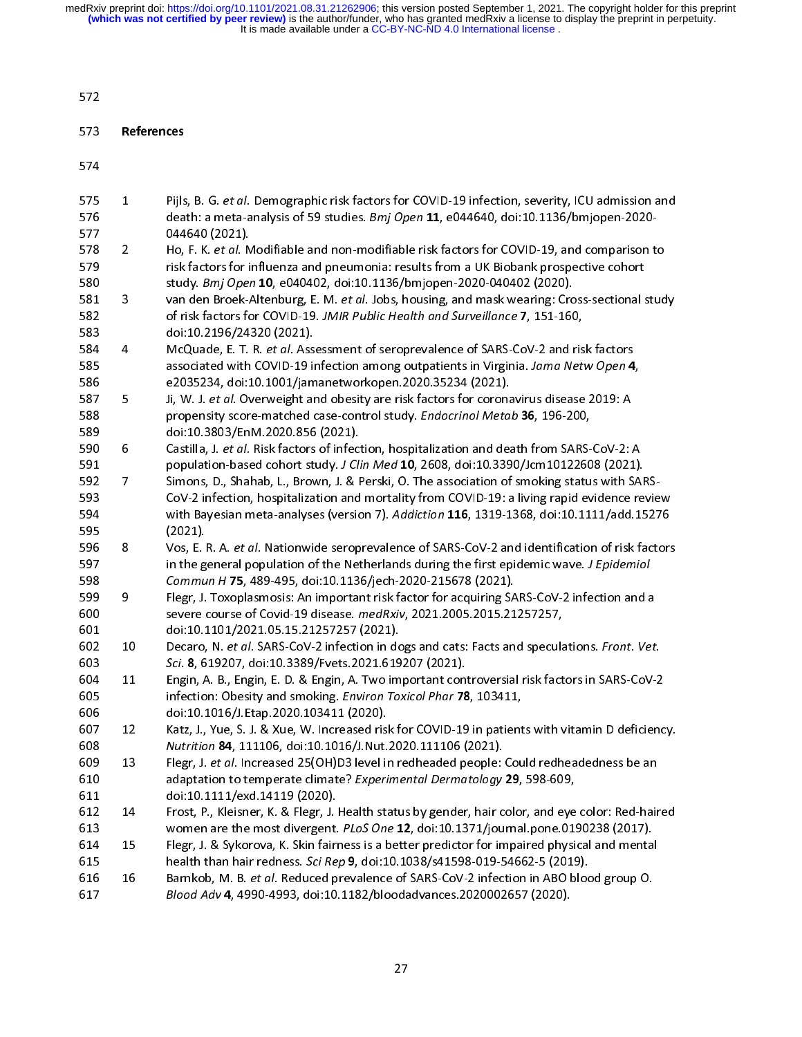# 572<br>573<br>574

| 574        |                |                                                                                                                                                                   |
|------------|----------------|-------------------------------------------------------------------------------------------------------------------------------------------------------------------|
| 575        | $\mathbf{1}$   | Pijls, B. G. et al. Demographic risk factors for COVID-19 infection, severity, ICU admission and                                                                  |
| 576<br>577 |                | death: a meta-analysis of 59 studies. Bmj Open 11, e044640, doi:10.1136/bmjopen-2020-<br>044640 (2021).                                                           |
| 578        | $\overline{2}$ | Ho, F. K. et al. Modifiable and non-modifiable risk factors for COVID-19, and comparison to                                                                       |
| 579        |                | risk factors for influenza and pneumonia: results from a UK Biobank prospective cohort                                                                            |
| 580        |                | study. Bmj Open 10, e040402, doi:10.1136/bmjopen-2020-040402 (2020).                                                                                              |
| 581        | 3              | van den Broek-Altenburg, E. M. et al. Jobs, housing, and mask wearing: Cross-sectional study                                                                      |
| 582<br>583 |                | of risk factors for COVID-19. JMIR Public Health and Surveillance 7, 151-160,<br>doi:10.2196/24320 (2021).                                                        |
| 584        | 4              | McQuade, E. T. R. et al. Assessment of seroprevalence of SARS-CoV-2 and risk factors                                                                              |
| 585        |                | associated with COVID-19 infection among outpatients in Virginia. Jama Netw Open 4,                                                                               |
| 586        |                | e2035234, doi:10.1001/jamanetworkopen.2020.35234 (2021).                                                                                                          |
| 587        | 5              | Ji, W. J. et al. Overweight and obesity are risk factors for coronavirus disease 2019: A                                                                          |
| 588        |                | propensity score-matched case-control study. Endocrinol Metab 36, 196-200,                                                                                        |
| 589        |                | doi:10.3803/EnM.2020.856 (2021).                                                                                                                                  |
| 590        | 6              | Castilla, J. et al. Risk factors of infection, hospitalization and death from SARS-CoV-2: A                                                                       |
| 591        |                | population-based cohort study. J Clin Med 10, 2608, doi:10.3390/Jcm10122608 (2021).                                                                               |
| 592        | $\overline{7}$ | Simons, D., Shahab, L., Brown, J. & Perski, O. The association of smoking status with SARS-                                                                       |
| 593        |                | CoV-2 infection, hospitalization and mortality from COVID-19: a living rapid evidence review                                                                      |
| 594        |                | with Bayesian meta-analyses (version 7). Addiction 116, 1319-1368, doi:10.1111/add.15276                                                                          |
| 595        |                | (2021).                                                                                                                                                           |
| 596        | 8              | Vos, E. R. A. et al. Nationwide seroprevalence of SARS-CoV-2 and identification of risk factors                                                                   |
| 597<br>598 |                | in the general population of the Netherlands during the first epidemic wave. J Epidemiol<br>Commun H 75, 489-495, doi:10.1136/jech-2020-215678 (2021).            |
| 599        | 9              | Flegr, J. Toxoplasmosis: An important risk factor for acquiring SARS-CoV-2 infection and a                                                                        |
| 600        |                | severe course of Covid-19 disease. medRxiv, 2021.2005.2015.21257257,                                                                                              |
| 601        |                | doi:10.1101/2021.05.15.21257257 (2021).                                                                                                                           |
| 602        | 10             | Decaro, N. et al. SARS-CoV-2 infection in dogs and cats: Facts and speculations. Front. Vet.                                                                      |
| 603        |                | Sci. 8, 619207, doi:10.3389/Fvets.2021.619207 (2021).                                                                                                             |
| 604        | 11             | Engin, A. B., Engin, E. D. & Engin, A. Two important controversial risk factors in SARS-CoV-2                                                                     |
| 605        |                | infection: Obesity and smoking. Environ Toxicol Phar 78, 103411,                                                                                                  |
| 606        |                | doi:10.1016/J.Etap.2020.103411 (2020).                                                                                                                            |
| 607<br>608 | 12             | Katz, J., Yue, S. J. & Xue, W. Increased risk for COVID-19 in patients with vitamin D deficiency.<br>Nutrition 84, 111106, doi:10.1016/J. Nut.2020.111106 (2021). |
| 609        | 13             | Flegr, J. et al. Increased 25(OH)D3 level in redheaded people: Could redheadedness be an                                                                          |
| 610        |                | adaptation to temperate climate? Experimental Dermatology 29, 598-609,                                                                                            |
| 611        |                | doi:10.1111/exd.14119 (2020).                                                                                                                                     |
| 612        | 14             | Frost, P., Kleisner, K. & Flegr, J. Health status by gender, hair color, and eye color: Red-haired                                                                |
| 613        |                | women are the most divergent. PLoS One 12, doi:10.1371/journal.pone.0190238 (2017).                                                                               |
| 614        | 15             | Flegr, J. & Sykorova, K. Skin fairness is a better predictor for impaired physical and mental                                                                     |
| 615        |                | health than hair redness. Sci Rep 9, doi:10.1038/s41598-019-54662-5 (2019).                                                                                       |
| 616        | 16             | Barnkob, M. B. et al. Reduced prevalence of SARS-CoV-2 infection in ABO blood group O.                                                                            |
| 617        |                | Blood Adv 4, 4990-4993, doi:10.1182/bloodadvances.2020002657 (2020).                                                                                              |
|            |                |                                                                                                                                                                   |
|            |                | 27                                                                                                                                                                |
|            |                |                                                                                                                                                                   |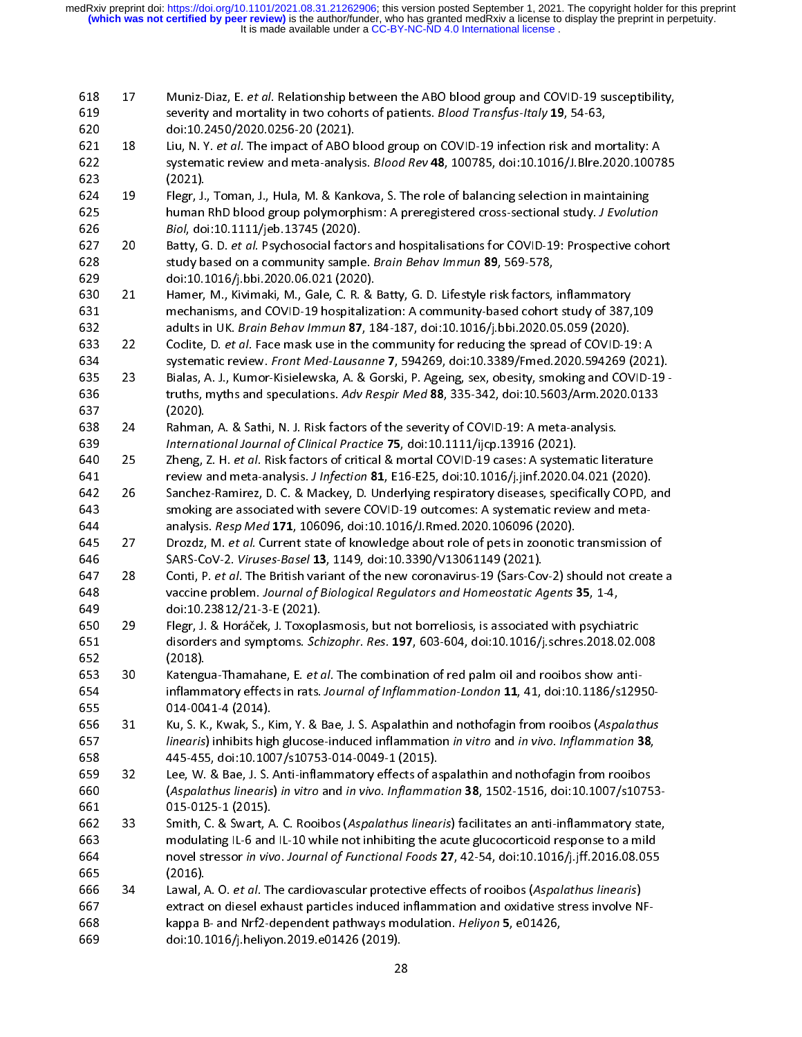| 618<br>619<br>620        | 17       | Muniz-Diaz, E. et al. Relationship between the ABO blood group and COVID-19 susceptibility,<br>severity and mortality in two cohorts of patients. Blood Transfus-Italy 19, 54-63,<br>doi:10.2450/2020.0256-20 (2021).                                                                                              |
|--------------------------|----------|--------------------------------------------------------------------------------------------------------------------------------------------------------------------------------------------------------------------------------------------------------------------------------------------------------------------|
| 621<br>622<br>623        | 18       | Liu, N. Y. et al. The impact of ABO blood group on COVID-19 infection risk and mortality: A<br>systematic review and meta-analysis. Blood Rev 48, 100785, doi:10.1016/J.Blre.2020.100785<br>(2021)                                                                                                                 |
| 624<br>625<br>626        | 19       | Flegr, J., Toman, J., Hula, M. & Kankova, S. The role of balancing selection in maintaining<br>human RhD blood group polymorphism: A preregistered cross-sectional study. J Evolution<br>Biol, doi:10.1111/jeb.13745 (2020).                                                                                       |
| 627<br>628<br>629        | 20       | Batty, G. D. et al. Psychosocial factors and hospitalisations for COVID-19: Prospective cohort<br>study based on a community sample. Brain Behav Immun 89, 569-578,<br>doi:10.1016/j.bbi.2020.06.021 (2020).                                                                                                       |
| 630<br>631<br>632        | 21       | Hamer, M., Kivimaki, M., Gale, C. R. & Batty, G. D. Lifestyle risk factors, inflammatory<br>mechanisms, and COVID-19 hospitalization: A community-based cohort study of 387,109<br>adults in UK. Brain Behav Immun 87, 184-187, doi:10.1016/j.bbi.2020.05.059 (2020).                                              |
| 633<br>634<br>635        | 22<br>23 | Coclite, D. et al. Face mask use in the community for reducing the spread of COVID-19: A<br>systematic review. Front Med-Lausanne 7, 594269, doi:10.3389/Fmed.2020.594269 (2021).<br>Bialas, A. J., Kumor-Kisielewska, A. & Gorski, P. Ageing, sex, obesity, smoking and COVID-19 -                                |
| 636<br>637<br>638        | 24       | truths, myths and speculations. Adv Respir Med 88, 335-342, doi:10.5603/Arm.2020.0133<br>(2020).<br>Rahman, A. & Sathi, N. J. Risk factors of the severity of COVID-19: A meta-analysis.                                                                                                                           |
| 639<br>640               | 25       | International Journal of Clinical Practice 75, doi:10.1111/ijcp.13916 (2021).<br>Zheng, Z. H. et al. Risk factors of critical & mortal COVID-19 cases: A systematic literature                                                                                                                                     |
| 641<br>642<br>643        | 26       | review and meta-analysis. J Infection 81, E16-E25, doi:10.1016/j.jinf.2020.04.021 (2020).<br>Sanchez-Ramirez, D. C. & Mackey, D. Underlying respiratory diseases, specifically COPD, and<br>smoking are associated with severe COVID-19 outcomes: A systematic review and meta-                                    |
| 644<br>645<br>646        | 27       | analysis. Resp Med 171, 106096, doi:10.1016/J.Rmed.2020.106096 (2020).<br>Drozdz, M. et al. Current state of knowledge about role of pets in zoonotic transmission of<br>SARS-CoV-2. Viruses-Basel 13, 1149, doi:10.3390/V13061149 (2021).                                                                         |
| 647<br>648               | 28       | Conti, P. et al. The British variant of the new coronavirus-19 (Sars-Cov-2) should not create a<br>vaccine problem. Journal of Biological Regulators and Homeostatic Agents 35, 1-4,                                                                                                                               |
| 649<br>650<br>651        | 29       | doi:10.23812/21-3-E (2021).<br>Flegr, J. & Horáček, J. Toxoplasmosis, but not borreliosis, is associated with psychiatric<br>disorders and symptoms. Schizophr. Res. 197, 603-604, doi:10.1016/j.schres.2018.02.008                                                                                                |
| 652<br>653<br>654        | 30       | (2018).<br>Katengua-Thamahane, E. et al. The combination of red palm oil and rooibos show anti-<br>inflammatory effects in rats. Journal of Inflammation-London 11, 41, doi:10.1186/s12950-                                                                                                                        |
| 655<br>656<br>657        | 31       | 014-0041-4 (2014).<br>Ku, S. K., Kwak, S., Kim, Y. & Bae, J. S. Aspalathin and nothofagin from rooibos (Aspalathus<br>linearis) inhibits high glucose-induced inflammation in vitro and in vivo. Inflammation 38,                                                                                                  |
| 658<br>659<br>660        | 32       | 445-455, doi:10.1007/s10753-014-0049-1 (2015).<br>Lee, W. & Bae, J. S. Anti-inflammatory effects of aspalathin and nothofagin from rooibos<br>(Aspalathus linearis) in vitro and in vivo. Inflammation 38, 1502-1516, doi:10.1007/s10753-                                                                          |
| 661<br>662<br>663<br>664 | 33       | 015-0125-1 (2015).<br>Smith, C. & Swart, A. C. Rooibos (Aspalathus linearis) facilitates an anti-inflammatory state,<br>modulating IL-6 and IL-10 while not inhibiting the acute glucocorticoid response to a mild<br>novel stressor in vivo. Journal of Functional Foods 27, 42-54, doi:10.1016/j.jff.2016.08.055 |
| 665<br>666<br>667        | 34       | (2016).<br>Lawal, A. O. et al. The cardiovascular protective effects of rooibos (Aspalathus linearis)<br>extract on diesel exhaust particles induced inflammation and oxidative stress involve NF-                                                                                                                 |
| 668<br>669               |          | kappa B- and Nrf2-dependent pathways modulation. Heliyon 5, e01426,<br>doi:10.1016/j.heliyon.2019.e01426 (2019).                                                                                                                                                                                                   |
|                          |          | 28                                                                                                                                                                                                                                                                                                                 |
|                          |          |                                                                                                                                                                                                                                                                                                                    |